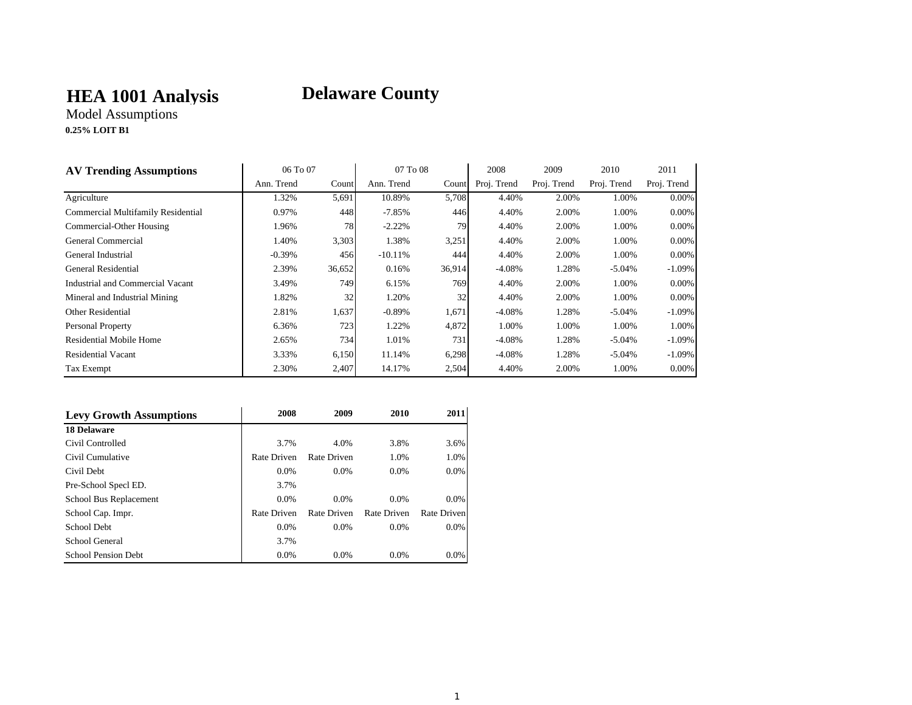## **HEA 1001 Analysis**

# **Delaware County**

Model Assumptions **0.25% LOIT B1**

| <b>AV Trending Assumptions</b>     | 06 To 07   |        | 07 To 08   |        | 2008        | 2009        | 2010        | 2011        |
|------------------------------------|------------|--------|------------|--------|-------------|-------------|-------------|-------------|
|                                    | Ann. Trend | Count  | Ann. Trend | Count  | Proj. Trend | Proj. Trend | Proj. Trend | Proj. Trend |
| Agriculture                        | 1.32%      | 5,691  | 10.89%     | 5,708  | 4.40%       | 2.00%       | 1.00%       | 0.00%       |
| Commercial Multifamily Residential | 0.97%      | 448    | $-7.85%$   | 446    | 4.40%       | 2.00%       | 1.00%       | 0.00%       |
| Commercial-Other Housing           | 1.96%      | 78     | $-2.22%$   | 79     | 4.40%       | 2.00%       | 1.00%       | 0.00%       |
| General Commercial                 | 1.40%      | 3,303  | 1.38%      | 3,251  | 4.40%       | 2.00%       | 1.00%       | 0.00%       |
| General Industrial                 | $-0.39\%$  | 456    | $-10.11%$  | 444    | 4.40%       | 2.00%       | 1.00%       | 0.00%       |
| General Residential                | 2.39%      | 36,652 | 0.16%      | 36,914 | $-4.08%$    | 1.28%       | $-5.04%$    | $-1.09\%$   |
| Industrial and Commercial Vacant   | 3.49%      | 749    | 6.15%      | 769    | 4.40%       | 2.00%       | 1.00%       | 0.00%       |
| Mineral and Industrial Mining      | 1.82%      | 32     | 1.20%      | 32     | 4.40%       | 2.00%       | 1.00%       | 0.00%       |
| <b>Other Residential</b>           | 2.81%      | 1,637  | $-0.89%$   | 1,671  | $-4.08%$    | 1.28%       | $-5.04%$    | $-1.09\%$   |
| Personal Property                  | 6.36%      | 723    | 1.22%      | 4,872  | 1.00%       | 1.00%       | 1.00%       | 1.00%       |
| Residential Mobile Home            | 2.65%      | 734    | 1.01%      | 731    | $-4.08%$    | 1.28%       | $-5.04\%$   | $-1.09\%$   |
| <b>Residential Vacant</b>          | 3.33%      | 6,150  | 11.14%     | 6,298  | $-4.08%$    | 1.28%       | $-5.04\%$   | $-1.09\%$   |
| Tax Exempt                         | 2.30%      | 2,407  | 14.17%     | 2,504  | 4.40%       | 2.00%       | 1.00%       | $0.00\%$    |

| <b>Levy Growth Assumptions</b> | 2008        | 2009        | 2010        | 2011        |
|--------------------------------|-------------|-------------|-------------|-------------|
| <b>18 Delaware</b>             |             |             |             |             |
| Civil Controlled               | 3.7%        | 4.0%        | 3.8%        | 3.6%        |
| Civil Cumulative               | Rate Driven | Rate Driven | 1.0%        | 1.0%        |
| Civil Debt                     | $0.0\%$     | $0.0\%$     | $0.0\%$     | $0.0\%$     |
| Pre-School Specl ED.           | 3.7%        |             |             |             |
| School Bus Replacement         | $0.0\%$     | $0.0\%$     | $0.0\%$     | 0.0%        |
| School Cap. Impr.              | Rate Driven | Rate Driven | Rate Driven | Rate Driven |
| School Debt                    | $0.0\%$     | $0.0\%$     | $0.0\%$     | $0.0\%$     |
| School General                 | 3.7%        |             |             |             |
| <b>School Pension Debt</b>     | 0.0%        | 0.0%        | 0.0%        | $0.0\%$     |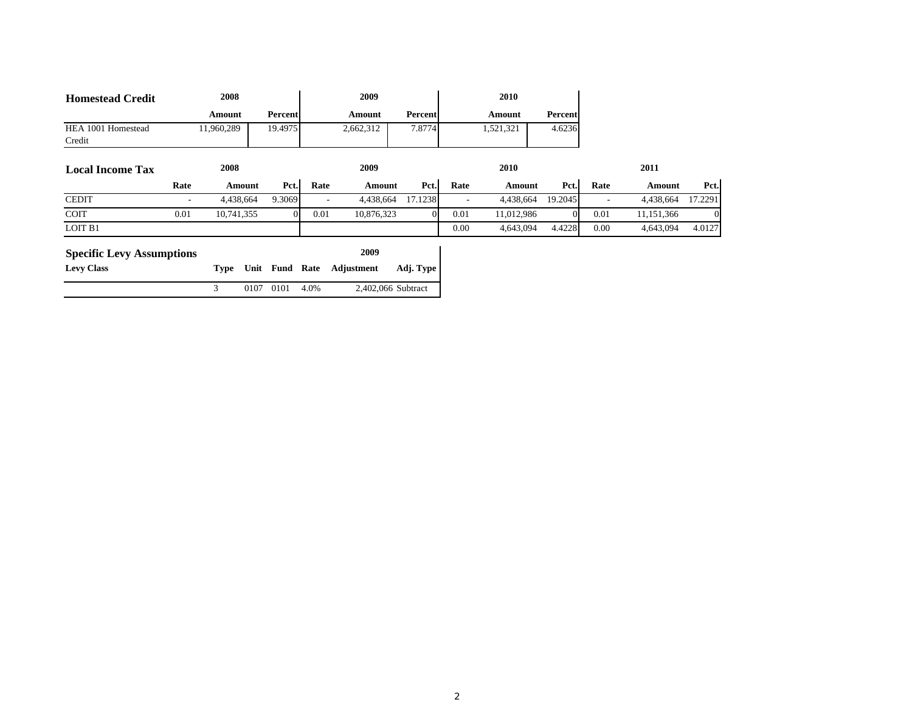| <b>Homestead Credit</b>          |      | 2008       |        |           |      | 2009       |                    |      | 2010       |         |      |            |         |
|----------------------------------|------|------------|--------|-----------|------|------------|--------------------|------|------------|---------|------|------------|---------|
|                                  |      | Amount     |        | Percent   |      | Amount     | Percent            |      | Amount     | Percent |      |            |         |
| HEA 1001 Homestead               |      | 11,960,289 |        | 19.4975   |      | 2,662,312  | 7.8774             |      | 1,521,321  | 4.6236  |      |            |         |
| Credit                           |      |            |        |           |      |            |                    |      |            |         |      |            |         |
| <b>Local Income Tax</b>          |      | 2008       |        |           |      | 2009       |                    |      | 2010       |         |      | 2011       |         |
|                                  | Rate |            | Amount | Pct.      | Rate | Amount     | Pct.               | Rate | Amount     | Pct.    | Rate | Amount     | Pct.    |
| <b>CEDIT</b>                     |      | 4,438,664  |        | 9.3069    |      | 4,438,664  | 17.1238            |      | 4,438,664  | 19.2045 |      | 4,438,664  | 17.2291 |
| <b>COIT</b>                      | 0.01 | 10,741,355 |        | $\Omega$  | 0.01 | 10,876,323 |                    | 0.01 | 11,012,986 |         | 0.01 | 11,151,366 |         |
| LOIT B1                          |      |            |        |           |      |            |                    | 0.00 | 4,643,094  | 4.4228  | 0.00 | 4,643,094  | 4.0127  |
| <b>Specific Levy Assumptions</b> |      |            |        |           |      | 2009       |                    |      |            |         |      |            |         |
| <b>Levy Class</b>                |      | Type       |        | Unit Fund | Rate | Adjustment | Adj. Type          |      |            |         |      |            |         |
|                                  |      | 3          | 0107   | 0101      | 4.0% |            | 2,402,066 Subtract |      |            |         |      |            |         |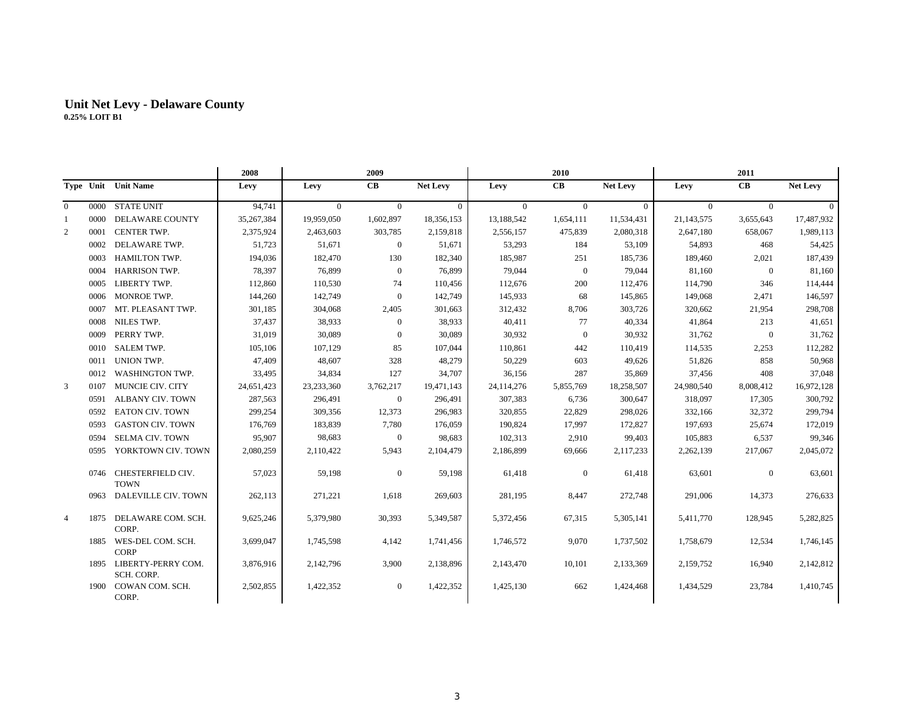|                |      |                                       | 2008       |            | 2009             |                 | 2010       |                |            |            | 2011           |                 |
|----------------|------|---------------------------------------|------------|------------|------------------|-----------------|------------|----------------|------------|------------|----------------|-----------------|
|                |      | Type Unit Unit Name                   | Levy       | Levy       | CB               | <b>Net Levy</b> | Levy       | CB             | Net Levy   | Levy       | CB             | <b>Net Levy</b> |
| $\overline{0}$ | 0000 | <b>STATE UNIT</b>                     | 94,741     | $\Omega$   | $\theta$         | $\Omega$        | $\Omega$   | $\Omega$       | $\Omega$   | $\Omega$   | $\Omega$       | $\Omega$        |
| 1              | 0000 | DELAWARE COUNTY                       | 35,267,384 | 19,959,050 | 1,602,897        | 18,356,153      | 13,188,542 | 1,654,111      | 11,534,431 | 21,143,575 | 3,655,643      | 17,487,932      |
| 2              | 0001 | CENTER TWP.                           | 2,375,924  | 2,463,603  | 303,785          | 2,159,818       | 2,556,157  | 475,839        | 2,080,318  | 2,647,180  | 658,067        | 1,989,113       |
|                | 0002 | DELAWARE TWP.                         | 51,723     | 51,671     | $\boldsymbol{0}$ | 51,671          | 53,293     | 184            | 53,109     | 54,893     | 468            | 54,425          |
|                | 0003 | HAMILTON TWP.                         | 194,036    | 182,470    | 130              | 182,340         | 185,987    | 251            | 185,736    | 189,460    | 2,021          | 187,439         |
|                | 0004 | <b>HARRISON TWP.</b>                  | 78,397     | 76,899     | $\mathbf{0}$     | 76,899          | 79,044     | $\overline{0}$ | 79,044     | 81,160     | $\overline{0}$ | 81,160          |
|                | 0005 | LIBERTY TWP.                          | 112,860    | 110,530    | 74               | 110,456         | 112,676    | 200            | 112,476    | 114,790    | 346            | 114,444         |
|                | 0006 | MONROE TWP.                           | 144,260    | 142,749    | $\boldsymbol{0}$ | 142,749         | 145,933    | 68             | 145,865    | 149,068    | 2,471          | 146,597         |
|                | 0007 | MT. PLEASANT TWP.                     | 301,185    | 304,068    | 2,405            | 301,663         | 312,432    | 8,706          | 303,726    | 320,662    | 21,954         | 298,708         |
|                | 0008 | NILES TWP.                            | 37,437     | 38,933     | $\mathbf{0}$     | 38,933          | 40,411     | 77             | 40,334     | 41,864     | 213            | 41,651          |
|                | 0009 | PERRY TWP.                            | 31,019     | 30,089     | $\mathbf{0}$     | 30,089          | 30,932     | $\overline{0}$ | 30,932     | 31,762     | $\mathbf{0}$   | 31,762          |
|                | 0010 | <b>SALEM TWP.</b>                     | 105,106    | 107,129    | 85               | 107,044         | 110,861    | 442            | 110,419    | 114,535    | 2,253          | 112,282         |
|                | 0011 | UNION TWP.                            | 47,409     | 48,607     | 328              | 48,279          | 50,229     | 603            | 49,626     | 51,826     | 858            | 50,968          |
|                | 0012 | <b>WASHINGTON TWP.</b>                | 33,495     | 34,834     | 127              | 34,707          | 36,156     | 287            | 35,869     | 37,456     | 408            | 37,048          |
| 3              | 0107 | MUNCIE CIV. CITY                      | 24,651,423 | 23,233,360 | 3,762,217        | 19,471,143      | 24,114,276 | 5,855,769      | 18,258,507 | 24,980,540 | 8,008,412      | 16,972,128      |
|                | 0591 | <b>ALBANY CIV. TOWN</b>               | 287,563    | 296,491    | $\boldsymbol{0}$ | 296,491         | 307,383    | 6,736          | 300,647    | 318,097    | 17,305         | 300,792         |
|                | 0592 | <b>EATON CIV. TOWN</b>                | 299,254    | 309,356    | 12,373           | 296,983         | 320,855    | 22,829         | 298,026    | 332,166    | 32,372         | 299,794         |
|                | 0593 | <b>GASTON CIV. TOWN</b>               | 176,769    | 183,839    | 7,780            | 176,059         | 190,824    | 17,997         | 172,827    | 197,693    | 25,674         | 172,019         |
|                | 0594 | <b>SELMA CIV. TOWN</b>                | 95,907     | 98,683     | $\mathbf{0}$     | 98,683          | 102,313    | 2,910          | 99,403     | 105,883    | 6,537          | 99,346          |
|                | 0595 | YORKTOWN CIV. TOWN                    | 2,080,259  | 2,110,422  | 5,943            | 2,104,479       | 2,186,899  | 69,666         | 2,117,233  | 2,262,139  | 217,067        | 2,045,072       |
|                | 0746 | CHESTERFIELD CIV.<br><b>TOWN</b>      | 57,023     | 59,198     | $\boldsymbol{0}$ | 59,198          | 61,418     | $\mathbf{0}$   | 61,418     | 63,601     | $\mathbf{0}$   | 63,601          |
|                | 0963 | DALEVILLE CIV. TOWN                   | 262,113    | 271,221    | 1,618            | 269,603         | 281,195    | 8,447          | 272,748    | 291,006    | 14,373         | 276,633         |
| $\overline{4}$ | 1875 | DELAWARE COM. SCH.<br>CORP.           | 9,625,246  | 5,379,980  | 30,393           | 5,349,587       | 5,372,456  | 67,315         | 5,305,141  | 5,411,770  | 128,945        | 5,282,825       |
|                | 1885 | WES-DEL COM. SCH.<br><b>CORP</b>      | 3,699,047  | 1,745,598  | 4,142            | 1,741,456       | 1,746,572  | 9,070          | 1,737,502  | 1,758,679  | 12,534         | 1,746,145       |
|                |      | 1895 LIBERTY-PERRY COM.<br>SCH. CORP. | 3,876,916  | 2,142,796  | 3,900            | 2,138,896       | 2,143,470  | 10,101         | 2,133,369  | 2,159,752  | 16,940         | 2,142,812       |
|                |      | 1900 COWAN COM. SCH.<br>CORP.         | 2,502,855  | 1,422,352  | $\boldsymbol{0}$ | 1,422,352       | 1,425,130  | 662            | 1,424,468  | 1,434,529  | 23,784         | 1,410,745       |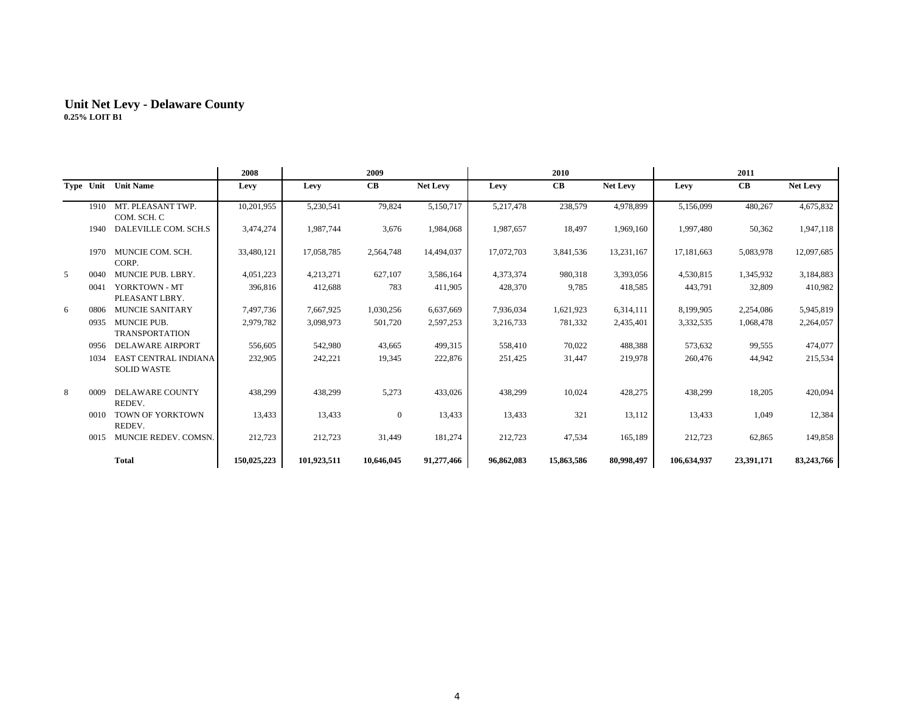|   |      |                                            | 2008        | 2009        |                  |                 |            | 2010       |                 |             | 2011       |                 |
|---|------|--------------------------------------------|-------------|-------------|------------------|-----------------|------------|------------|-----------------|-------------|------------|-----------------|
|   |      | Type Unit Unit Name                        | Levy        | Levy        | CB               | <b>Net Levy</b> | Levy       | CB         | <b>Net Levy</b> | Levy        | CB         | <b>Net Levy</b> |
|   | 1910 | MT. PLEASANT TWP.<br>COM. SCH. C           | 10,201,955  | 5,230,541   | 79,824           | 5,150,717       | 5,217,478  | 238,579    | 4,978,899       | 5,156,099   | 480,267    | 4,675,832       |
|   | 1940 | DALEVILLE COM. SCH.S                       | 3,474,274   | 1,987,744   | 3,676            | 1,984,068       | 1,987,657  | 18,497     | 1,969,160       | 1,997,480   | 50,362     | 1,947,118       |
|   | 1970 | MUNCIE COM. SCH.<br>CORP.                  | 33,480,121  | 17,058,785  | 2,564,748        | 14,494,037      | 17,072,703 | 3,841,536  | 13,231,167      | 17,181,663  | 5,083,978  | 12,097,685      |
| 5 | 0040 | <b>MUNCIE PUB. LBRY.</b>                   | 4,051,223   | 4,213,271   | 627,107          | 3,586,164       | 4,373,374  | 980,318    | 3,393,056       | 4,530,815   | 1,345,932  | 3,184,883       |
|   | 0041 | YORKTOWN - MT<br>PLEASANT LBRY.            | 396,816     | 412,688     | 783              | 411,905         | 428,370    | 9,785      | 418,585         | 443,791     | 32,809     | 410,982         |
| 6 | 0806 | <b>MUNCIE SANITARY</b>                     | 7,497,736   | 7,667,925   | 1,030,256        | 6,637,669       | 7,936,034  | 1,621,923  | 6,314,111       | 8,199,905   | 2,254,086  | 5,945,819       |
|   | 0935 | MUNCIE PUB.<br><b>TRANSPORTATION</b>       | 2,979,782   | 3,098,973   | 501,720          | 2,597,253       | 3,216,733  | 781,332    | 2,435,401       | 3,332,535   | 1,068,478  | 2,264,057       |
|   | 0956 | <b>DELAWARE AIRPORT</b>                    | 556,605     | 542,980     | 43,665           | 499,315         | 558,410    | 70,022     | 488,388         | 573,632     | 99,555     | 474,077         |
|   | 1034 | EAST CENTRAL INDIANA<br><b>SOLID WASTE</b> | 232,905     | 242,221     | 19,345           | 222,876         | 251,425    | 31,447     | 219,978         | 260,476     | 44,942     | 215,534         |
| 8 | 0009 | <b>DELAWARE COUNTY</b><br>REDEV.           | 438,299     | 438,299     | 5,273            | 433,026         | 438,299    | 10,024     | 428,275         | 438,299     | 18,205     | 420,094         |
|   | 0010 | TOWN OF YORKTOWN<br>REDEV.                 | 13,433      | 13,433      | $\boldsymbol{0}$ | 13,433          | 13,433     | 321        | 13,112          | 13,433      | 1,049      | 12,384          |
|   | 0015 | MUNCIE REDEV. COMSN.                       | 212,723     | 212,723     | 31,449           | 181,274         | 212,723    | 47,534     | 165,189         | 212,723     | 62,865     | 149,858         |
|   |      | <b>Total</b>                               | 150,025,223 | 101,923,511 | 10,646,045       | 91,277,466      | 96,862,083 | 15,863,586 | 80,998,497      | 106,634,937 | 23,391,171 | 83,243,766      |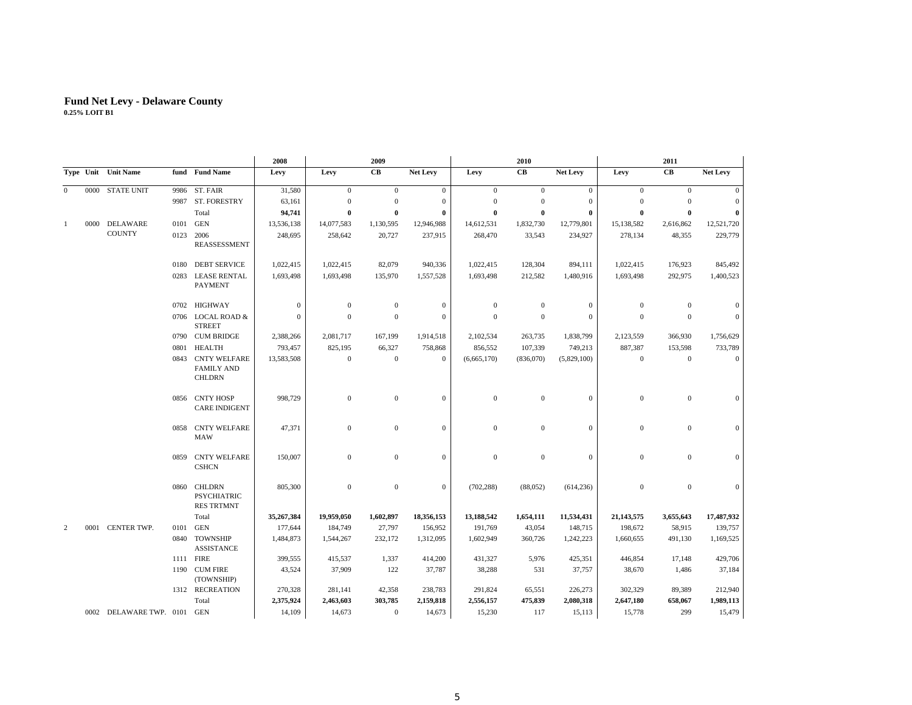|              |      |                         |      |                                                           | 2008         |                | 2009         |                  |                  | 2010             |                 |              | 2011             |              |
|--------------|------|-------------------------|------|-----------------------------------------------------------|--------------|----------------|--------------|------------------|------------------|------------------|-----------------|--------------|------------------|--------------|
|              |      | Type Unit Unit Name     |      | fund Fund Name                                            | Levy         | Levy           | CB           | <b>Net Levy</b>  | Levy             | CB               | <b>Net Levy</b> | Levy         | CB               | Net Levy     |
| $\mathbf{0}$ |      | 0000 STATE UNIT         |      | 9986 ST. FAIR                                             | 31,580       | $\overline{0}$ | $\mathbf{0}$ | $\overline{0}$   | $\overline{0}$   | $\mathbf{0}$     | $\mathbf{0}$    | $\mathbf{0}$ | $\overline{0}$   | $\mathbf{0}$ |
|              |      |                         |      | 9987 ST. FORESTRY                                         | 63,161       | $\mathbf{0}$   | $\mathbf{0}$ | $\boldsymbol{0}$ | $\boldsymbol{0}$ | $\theta$         | $\mathbf{0}$    | $\theta$     | $\mathbf{0}$     | $\mathbf{0}$ |
|              |      |                         |      | Total                                                     | 94,741       | $\bf{0}$       | $\mathbf 0$  | 0                | $\bf{0}$         | $\bf{0}$         | $\bf{0}$        | $\theta$     | $\mathbf{0}$     | $\bf{0}$     |
| -1           | 0000 | DELAWARE                | 0101 | GEN                                                       | 13,536,138   | 14,077,583     | 1,130,595    | 12,946,988       | 14,612,531       | 1,832,730        | 12,779,801      | 15,138,582   | 2,616,862        | 12,521,720   |
|              |      | <b>COUNTY</b>           | 0123 | 2006<br>REASSESSMENT                                      | 248,695      | 258,642        | 20,727       | 237,915          | 268,470          | 33,543           | 234,927         | 278,134      | 48,355           | 229,779      |
|              |      |                         | 0180 | <b>DEBT SERVICE</b>                                       | 1,022,415    | 1,022,415      | 82,079       | 940,336          | 1,022,415        | 128,304          | 894,111         | 1,022,415    | 176,923          | 845,492      |
|              |      |                         | 0283 | <b>LEASE RENTAL</b><br><b>PAYMENT</b>                     | 1,693,498    | 1,693,498      | 135,970      | 1,557,528        | 1,693,498        | 212,582          | 1,480,916       | 1,693,498    | 292,975          | 1,400,523    |
|              |      |                         | 0702 | HIGHWAY                                                   | $\mathbf{0}$ | $\theta$       | $\theta$     | $\mathbf{0}$     | $\theta$         | $\mathbf{0}$     | $\mathbf{0}$    | $\mathbf{0}$ | $\theta$         | $\mathbf{0}$ |
|              |      |                         |      | 0706 LOCAL ROAD &<br><b>STREET</b>                        | $\mathbf{0}$ | $\mathbf{0}$   | $\mathbf{0}$ | $\mathbf{0}$     | $\mathbf{0}$     | $\mathbf{0}$     | $\mathbf{0}$    | $\mathbf{0}$ | $\mathbf{0}$     | $\mathbf{0}$ |
|              |      |                         |      | 0790 CUM BRIDGE                                           | 2,388,266    | 2,081,717      | 167,199      | 1,914,518        | 2,102,534        | 263,735          | 1,838,799       | 2,123,559    | 366,930          | 1,756,629    |
|              |      |                         | 0801 | <b>HEALTH</b>                                             | 793,457      | 825,195        | 66,327       | 758,868          | 856,552          | 107,339          | 749,213         | 887,387      | 153,598          | 733,789      |
|              |      |                         | 0843 | <b>CNTY WELFARE</b><br><b>FAMILY AND</b><br><b>CHLDRN</b> | 13,583,508   | $\mathbf{0}$   | $\mathbf{0}$ | $\mathbf{0}$     | (6,665,170)      | (836,070)        | (5,829,100)     | $\mathbf{0}$ | $\mathbf{0}$     | $\mathbf{0}$ |
|              |      |                         | 0856 | CNTY HOSP<br><b>CARE INDIGENT</b>                         | 998,729      | $\mathbf{0}$   | $\mathbf{0}$ | $\mathbf{0}$     | $\boldsymbol{0}$ | $\mathbf{0}$     | $\mathbf{0}$    | $\mathbf{0}$ | $\mathbf{0}$     | $\mathbf{0}$ |
|              |      |                         |      | 0858 CNTY WELFARE<br>MAW                                  | 47,371       | $\mathbf{0}$   | $\mathbf{0}$ | $\mathbf{0}$     | $\boldsymbol{0}$ | $\boldsymbol{0}$ | $\mathbf{0}$    | $\mathbf{0}$ | $\mathbf{0}$     | $\mathbf{0}$ |
|              |      |                         | 0859 | <b>CNTY WELFARE</b><br><b>CSHCN</b>                       | 150,007      | $\mathbf{0}$   | $\mathbf{0}$ | $\mathbf{0}$     | $\mathbf{0}$     | $\mathbf{0}$     | $\mathbf{0}$    | $\mathbf{0}$ | $\boldsymbol{0}$ | $\mathbf{0}$ |
|              |      |                         | 0860 | CHLDRN<br><b>PSYCHIATRIC</b><br><b>RES TRTMNT</b>         | 805,300      | $\mathbf{0}$   | $\mathbf{0}$ | $\mathbf{0}$     | (702, 288)       | (88,052)         | (614, 236)      | $\mathbf{0}$ | $\mathbf{0}$     | $\mathbf{0}$ |
|              |      |                         |      | Total                                                     | 35,267,384   | 19,959,050     | 1,602,897    | 18,356,153       | 13,188,542       | 1,654,111        | 11,534,431      | 21,143,575   | 3,655,643        | 17,487,932   |
| 2            |      | 0001 CENTER TWP.        | 0101 | GEN                                                       | 177,644      | 184,749        | 27,797       | 156,952          | 191,769          | 43,054           | 148,715         | 198,672      | 58,915           | 139,757      |
|              |      |                         | 0840 | TOWNSHIP<br><b>ASSISTANCE</b>                             | 1,484,873    | 1,544,267      | 232,172      | 1,312,095        | 1,602,949        | 360,726          | 1,242,223       | 1,660,655    | 491,130          | 1,169,525    |
|              |      |                         |      | 1111 FIRE                                                 | 399,555      | 415,537        | 1,337        | 414,200          | 431,327          | 5,976            | 425,351         | 446,854      | 17,148           | 429,706      |
|              |      |                         |      | 1190 CUM FIRE<br>(TOWNSHIP)                               | 43,524       | 37,909         | 122          | 37,787           | 38,288           | 531              | 37,757          | 38,670       | 1,486            | 37,184       |
|              |      |                         |      | 1312 RECREATION                                           | 270,328      | 281,141        | 42,358       | 238,783          | 291,824          | 65,551           | 226,273         | 302,329      | 89,389           | 212,940      |
|              |      |                         |      | Total                                                     | 2,375,924    | 2,463,603      | 303,785      | 2,159,818        | 2,556,157        | 475,839          | 2,080,318       | 2,647,180    | 658,067          | 1,989,113    |
|              |      | 0002 DELAWARE TWP. 0101 |      | GEN                                                       | 14,109       | 14,673         | $\mathbf{0}$ | 14,673           | 15,230           | 117              | 15,113          | 15,778       | 299              | 15,479       |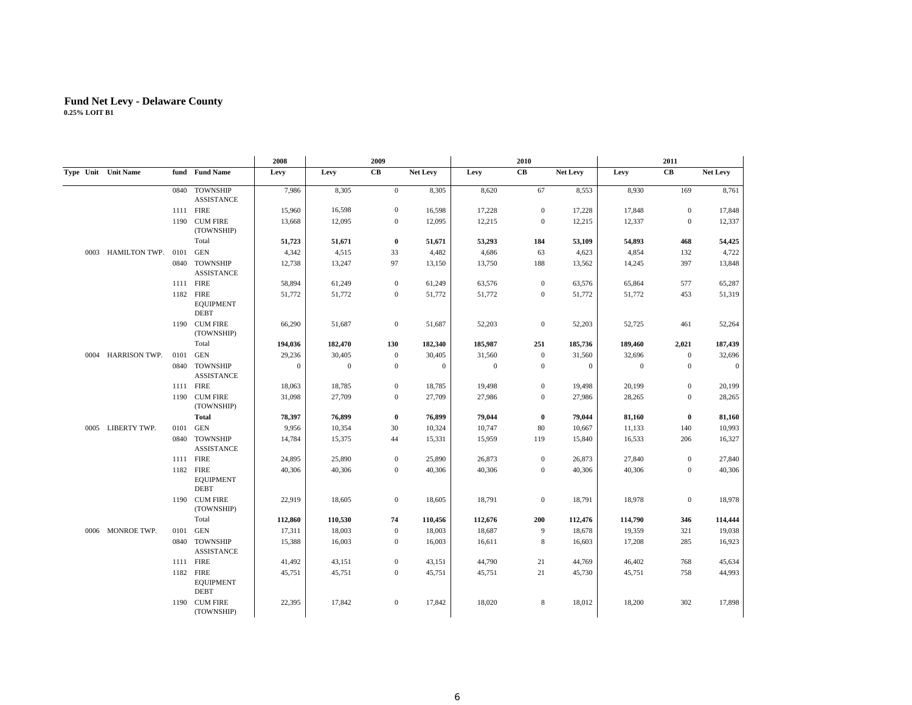|                         |      |                                                | 2008             |                  | 2009             |              |                  | 2010           |              |              | 2011           |              |
|-------------------------|------|------------------------------------------------|------------------|------------------|------------------|--------------|------------------|----------------|--------------|--------------|----------------|--------------|
| Type Unit Unit Name     |      | fund Fund Name                                 | Levy             | Levy             | CB               | Net Levy     | Levy             | CB             | Net Levy     | Levy         | CB             | Net Levy     |
|                         | 0840 | <b>TOWNSHIP</b><br><b>ASSISTANCE</b>           | 7,986            | 8,305            | $\boldsymbol{0}$ | 8,305        | 8,620            | 67             | 8,553        | 8,930        | 169            | 8,761        |
|                         |      | 1111 FIRE                                      | 15,960           | 16,598           | $\mathbf{0}$     | 16,598       | 17,228           | $\overline{0}$ | 17,228       | 17,848       | $\overline{0}$ | 17,848       |
|                         | 1190 | <b>CUM FIRE</b><br>(TOWNSHIP)                  | 13,668           | 12,095           | $\mathbf{0}$     | 12,095       | 12,215           | $\overline{0}$ | 12,215       | 12,337       | $\overline{0}$ | 12,337       |
|                         |      | Total                                          | 51,723           | 51,671           | $\bf{0}$         | 51,671       | 53,293           | 184            | 53,109       | 54,893       | 468            | 54,425       |
| 0003 HAMILTON TWP. 0101 |      | <b>GEN</b>                                     | 4,342            | 4,515            | 33               | 4,482        | 4,686            | 63             | 4,623        | 4,854        | 132            | 4,722        |
|                         | 0840 | <b>TOWNSHIP</b><br><b>ASSISTANCE</b>           | 12,738           | 13,247           | 97               | 13,150       | 13,750           | 188            | 13,562       | 14,245       | 397            | 13,848       |
|                         |      | 1111 FIRE                                      | 58,894           | 61,249           | $\mathbf{0}$     | 61,249       | 63,576           | $\mathbf{0}$   | 63,576       | 65,864       | 577            | 65,287       |
|                         | 1182 | FIRE<br><b>EQUIPMENT</b><br><b>DEBT</b>        | 51,772           | 51,772           | $\mathbf{0}$     | 51,772       | 51,772           | $\mathbf{0}$   | 51,772       | 51,772       | 453            | 51,319       |
|                         |      | 1190 CUM FIRE<br>(TOWNSHIP)                    | 66,290           | 51,687           | $\mathbf{0}$     | 51,687       | 52,203           | $\overline{0}$ | 52,203       | 52,725       | 461            | 52,264       |
|                         |      | Total                                          | 194,036          | 182,470          | 130              | 182,340      | 185,987          | 251            | 185,736      | 189,460      | 2,021          | 187,439      |
| 0004 HARRISON TWP.      | 0101 | <b>GEN</b>                                     | 29,236           | 30,405           | $\mathbf{0}$     | 30,405       | 31,560           | $\mathbf{0}$   | 31,560       | 32,696       | $\mathbf{0}$   | 32,696       |
|                         | 0840 | <b>TOWNSHIP</b><br><b>ASSISTANCE</b>           | $\boldsymbol{0}$ | $\boldsymbol{0}$ | $\mathbf{0}$     | $\mathbf{0}$ | $\boldsymbol{0}$ | $\mathbf{0}$   | $\mathbf{0}$ | $\mathbf{0}$ | $\overline{0}$ | $\mathbf{0}$ |
|                         |      | 1111 FIRE                                      | 18,063           | 18,785           | $\mathbf{0}$     | 18,785       | 19,498           | $\mathbf{0}$   | 19,498       | 20,199       | $\mathbf{0}$   | 20,199       |
|                         |      | 1190 CUM FIRE<br>(TOWNSHIP)                    | 31,098           | 27,709           | $\mathbf{0}$     | 27,709       | 27,986           | $\mathbf{0}$   | 27,986       | 28,265       | $\mathbf{0}$   | 28,265       |
|                         |      | <b>Total</b>                                   | 78,397           | 76,899           | $\bf{0}$         | 76,899       | 79,044           | $\bf{0}$       | 79,044       | 81,160       | $\bf{0}$       | 81,160       |
| 0005 LIBERTY TWP.       | 0101 | <b>GEN</b>                                     | 9,956            | 10,354           | 30               | 10,324       | 10,747           | 80             | 10,667       | 11,133       | 140            | 10,993       |
|                         |      | 0840 TOWNSHIP<br><b>ASSISTANCE</b>             | 14,784           | 15,375           | 44               | 15,331       | 15,959           | 119            | 15,840       | 16,533       | 206            | 16,327       |
|                         |      | 1111 FIRE                                      | 24,895           | 25,890           | $\mathbf{0}$     | 25,890       | 26,873           | $\mathbf{0}$   | 26,873       | 27,840       | $\mathbf{0}$   | 27,840       |
|                         |      | 1182 FIRE<br><b>EQUIPMENT</b><br><b>DEBT</b>   | 40,306           | 40,306           | $\mathbf{0}$     | 40,306       | 40,306           | $\overline{0}$ | 40,306       | 40,306       | $\overline{0}$ | 40,306       |
|                         |      | 1190 CUM FIRE<br>(TOWNSHIP)                    | 22,919           | 18,605           | $\mathbf{0}$     | 18,605       | 18,791           | $\overline{0}$ | 18,791       | 18,978       | $\mathbf{0}$   | 18,978       |
|                         |      | Total                                          | 112,860          | 110,530          | 74               | 110,456      | 112,676          | 200            | 112,476      | 114,790      | 346            | 114,444      |
| 0006 MONROE TWP.        | 0101 | <b>GEN</b>                                     | 17,311           | 18,003           | $\mathbf{0}$     | 18,003       | 18,687           | 9              | 18,678       | 19,359       | 321            | 19,038       |
|                         | 0840 | <b>TOWNSHIP</b><br><b>ASSISTANCE</b>           | 15,388           | 16,003           | $\mathbf{0}$     | 16,003       | 16,611           | 8              | 16,603       | 17,208       | 285            | 16,923       |
|                         |      | 1111 FIRE                                      | 41,492           | 43,151           | $\mathbf{0}$     | 43,151       | 44,790           | 21             | 44,769       | 46,402       | 768            | 45,634       |
|                         | 1182 | <b>FIRE</b><br><b>EQUIPMENT</b><br><b>DEBT</b> | 45,751           | 45,751           | $\mathbf{0}$     | 45,751       | 45,751           | 21             | 45,730       | 45,751       | 758            | 44,993       |
|                         |      | 1190 CUM FIRE<br>(TOWNSHIP)                    | 22,395           | 17,842           | $\mathbf{0}$     | 17,842       | 18,020           | 8              | 18,012       | 18,200       | 302            | 17,898       |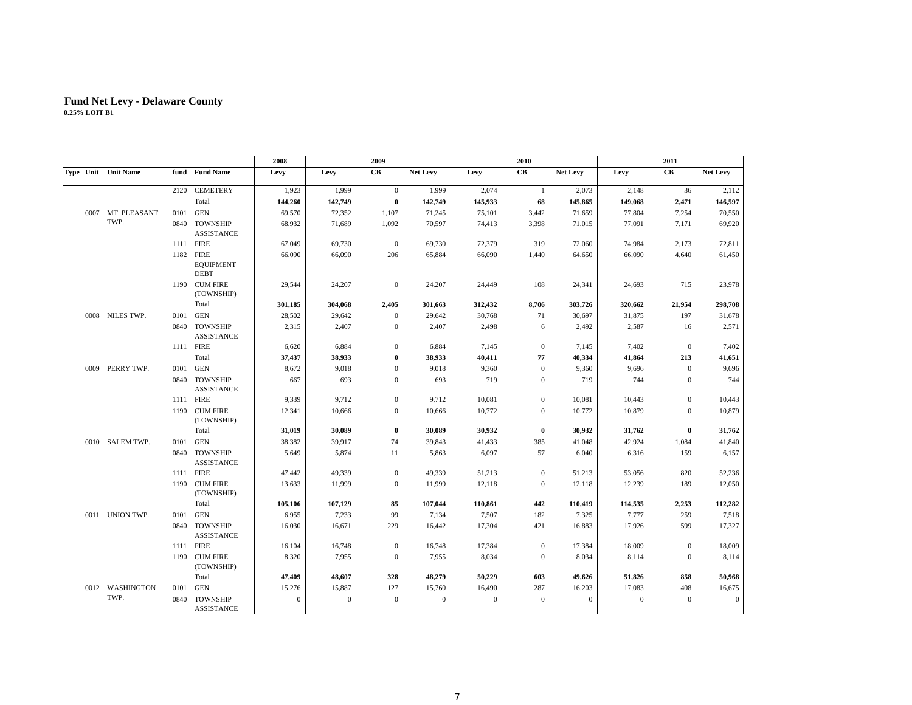|      |                     |      |                                              | 2008         |              | 2009                 |                 |              | 2010           |                 |              | 2011           |                 |
|------|---------------------|------|----------------------------------------------|--------------|--------------|----------------------|-----------------|--------------|----------------|-----------------|--------------|----------------|-----------------|
|      | Type Unit Unit Name |      | fund Fund Name                               | Levy         | Levy         | $\mathbf C\mathbf B$ | <b>Net Levy</b> | Levy         | CB             | <b>Net Levy</b> | Levy         | CB             | <b>Net Levy</b> |
|      |                     | 2120 | <b>CEMETERY</b>                              | 1,923        | 1,999        | $\mathbf{0}$         | 1,999           | 2,074        | $\mathbf{1}$   | 2,073           | 2,148        | 36             | 2,112           |
|      |                     |      | Total                                        | 144,260      | 142,749      | $\bf{0}$             | 142,749         | 145,933      | 68             | 145,865         | 149,068      | 2,471          | 146,597         |
|      | 0007 MT. PLEASANT   | 0101 | <b>GEN</b>                                   | 69,570       | 72,352       | 1,107                | 71,245          | 75,101       | 3,442          | 71,659          | 77,804       | 7,254          | 70,550          |
|      | TWP.                |      | 0840 TOWNSHIP<br><b>ASSISTANCE</b>           | 68,932       | 71,689       | 1,092                | 70,597          | 74,413       | 3,398          | 71,015          | 77,091       | 7,171          | 69,920          |
|      |                     |      | 1111 FIRE                                    | 67,049       | 69,730       | $\mathbf{0}$         | 69,730          | 72,379       | 319            | 72,060          | 74,984       | 2,173          | 72,811          |
|      |                     |      | 1182 FIRE<br><b>EQUIPMENT</b><br><b>DEBT</b> | 66,090       | 66,090       | 206                  | 65,884          | 66,090       | 1,440          | 64,650          | 66,090       | 4.640          | 61,450          |
|      |                     |      | 1190 CUM FIRE<br>(TOWNSHIP)                  | 29,544       | 24,207       | $\mathbf{0}$         | 24,207          | 24,449       | 108            | 24,341          | 24,693       | 715            | 23,978          |
|      |                     |      | Total                                        | 301,185      | 304,068      | 2,405                | 301,663         | 312,432      | 8,706          | 303,726         | 320,662      | 21,954         | 298,708         |
|      | 0008 NILES TWP.     | 0101 | GEN                                          | 28,502       | 29,642       | $\mathbf{0}$         | 29,642          | 30,768       | 71             | 30,697          | 31,875       | 197            | 31,678          |
|      |                     | 0840 | <b>TOWNSHIP</b><br><b>ASSISTANCE</b>         | 2,315        | 2,407        | $\mathbf{0}$         | 2,407           | 2,498        | 6              | 2,492           | 2,587        | 16             | 2,571           |
|      |                     |      | 1111 FIRE                                    | 6,620        | 6,884        | $\mathbf{0}$         | 6,884           | 7,145        | $\overline{0}$ | 7,145           | 7,402        | $\overline{0}$ | 7,402           |
|      |                     |      | Total                                        | 37,437       | 38,933       | $\bf{0}$             | 38,933          | 40,411       | 77             | 40,334          | 41,864       | 213            | 41,651          |
| 0009 | PERRY TWP.          | 0101 | GEN                                          | 8,672        | 9,018        | $\mathbf{0}$         | 9,018           | 9,360        | $\mathbf{0}$   | 9,360           | 9,696        | $\overline{0}$ | 9,696           |
|      |                     | 0840 | <b>TOWNSHIP</b><br><b>ASSISTANCE</b>         | 667          | 693          | $\mathbf{0}$         | 693             | 719          | $\mathbf{0}$   | 719             | 744          | $\mathbf{0}$   | 744             |
|      |                     |      | 1111 FIRE                                    | 9,339        | 9,712        | $\mathbf{0}$         | 9,712           | 10,081       | $\mathbf{0}$   | 10,081          | 10,443       | $\mathbf{0}$   | 10,443          |
|      |                     | 1190 | <b>CUM FIRE</b><br>(TOWNSHIP)                | 12,341       | 10.666       | $\mathbf{0}$         | 10,666          | 10,772       | $\mathbf{0}$   | 10,772          | 10.879       | $\mathbf{0}$   | 10,879          |
|      |                     |      | Total                                        | 31,019       | 30,089       | $\bf{0}$             | 30,089          | 30,932       | $\bf{0}$       | 30.932          | 31,762       | $\bf{0}$       | 31,762          |
|      | 0010 SALEM TWP.     | 0101 | <b>GEN</b>                                   | 38,382       | 39,917       | 74                   | 39,843          | 41,433       | 385            | 41,048          | 42,924       | 1,084          | 41,840          |
|      |                     | 0840 | <b>TOWNSHIP</b><br><b>ASSISTANCE</b>         | 5,649        | 5,874        | 11                   | 5,863           | 6,097        | 57             | 6,040           | 6,316        | 159            | 6,157           |
|      |                     |      | 1111 FIRE                                    | 47,442       | 49,339       | $\mathbf{0}$         | 49,339          | 51,213       | $\mathbf{0}$   | 51,213          | 53,056       | 820            | 52,236          |
|      |                     |      | 1190 CUM FIRE<br>(TOWNSHIP)                  | 13,633       | 11.999       | $\mathbf{0}$         | 11.999          | 12,118       | $\mathbf{0}$   | 12,118          | 12,239       | 189            | 12,050          |
|      |                     |      | Total                                        | 105,106      | 107,129      | 85                   | 107.044         | 110,861      | 442            | 110,419         | 114,535      | 2,253          | 112,282         |
|      | 0011 UNION TWP.     | 0101 | GEN                                          | 6,955        | 7,233        | 99                   | 7,134           | 7,507        | 182            | 7,325           | 7,777        | 259            | 7,518           |
|      |                     | 0840 | <b>TOWNSHIP</b><br><b>ASSISTANCE</b>         | 16,030       | 16,671       | 229                  | 16,442          | 17,304       | 421            | 16,883          | 17,926       | 599            | 17,327          |
|      |                     |      | 1111 FIRE                                    | 16,104       | 16,748       | $\mathbf{0}$         | 16,748          | 17,384       | $\mathbf{0}$   | 17,384          | 18,009       | $\overline{0}$ | 18,009          |
|      |                     |      | 1190 CUM FIRE<br>(TOWNSHIP)                  | 8.320        | 7.955        | $\mathbf{0}$         | 7,955           | 8,034        | $\mathbf{0}$   | 8,034           | 8,114        | $\overline{0}$ | 8,114           |
|      |                     |      | Total                                        | 47,409       | 48,607       | 328                  | 48,279          | 50,229       | 603            | 49,626          | 51,826       | 858            | 50,968          |
|      | 0012 WASHINGTON     | 0101 | <b>GEN</b>                                   | 15,276       | 15,887       | 127                  | 15,760          | 16,490       | 287            | 16,203          | 17,083       | 408            | 16,675          |
|      | TWP.                | 0840 | <b>TOWNSHIP</b><br>ASSISTANCE                | $\mathbf{0}$ | $\mathbf{0}$ | $\mathbf{0}$         | $\mathbf{0}$    | $\mathbf{0}$ | $\Omega$       | $\mathbf{0}$    | $\mathbf{0}$ | $\overline{0}$ | $\mathbf{0}$    |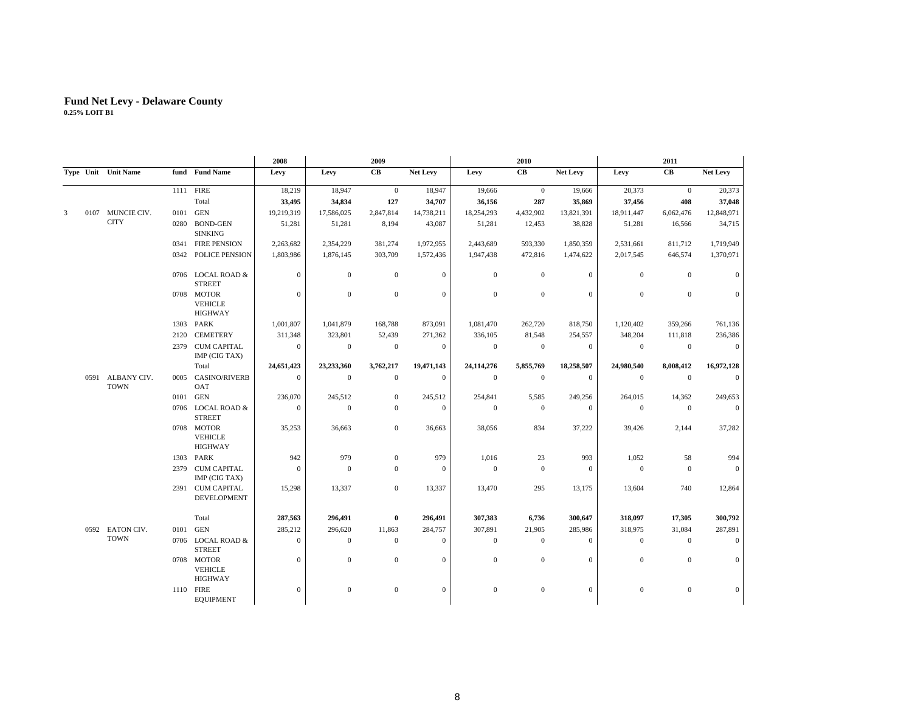|   |      |                                 |      |                                                | 2008         |              | 2009             |                |                  | 2010         |              |                  | 2011           |                  |
|---|------|---------------------------------|------|------------------------------------------------|--------------|--------------|------------------|----------------|------------------|--------------|--------------|------------------|----------------|------------------|
|   |      | Type Unit Unit Name             |      | fund Fund Name                                 | Levy         | Levy         | CB               | Net Levy       | Levy             | CB           | Net Levy     | Levy             | CB             | Net Levy         |
|   |      |                                 |      | 1111 FIRE                                      | 18,219       | 18,947       | $\overline{0}$   | 18,947         | 19,666           | $\mathbf{0}$ | 19,666       | 20,373           | $\mathbf{0}$   | 20,373           |
|   |      |                                 |      | Total                                          | 33,495       | 34,834       | 127              | 34,707         | 36,156           | 287          | 35,869       | 37,456           | 408            | 37,048           |
| 3 | 0107 | MUNCIE CIV.                     |      | 0101 GEN                                       | 19,219,319   | 17,586,025   | 2,847,814        | 14,738,211     | 18,254,293       | 4,432,902    | 13,821,391   | 18,911,447       | 6,062,476      | 12,848,971       |
|   |      | <b>CITY</b>                     | 0280 | <b>BOND-GEN</b><br><b>SINKING</b>              | 51,281       | 51,281       | 8,194            | 43,087         | 51,281           | 12,453       | 38,828       | 51,281           | 16,566         | 34,715           |
|   |      |                                 |      | 0341 FIRE PENSION                              | 2,263,682    | 2,354,229    | 381,274          | 1,972,955      | 2,443,689        | 593,330      | 1,850,359    | 2,531,661        | 811,712        | 1,719,949        |
|   |      |                                 | 0342 | <b>POLICE PENSION</b>                          | 1,803,986    | 1,876,145    | 303,709          | 1,572,436      | 1,947,438        | 472,816      | 1,474,622    | 2,017,545        | 646,574        | 1,370,971        |
|   |      |                                 |      | 0706 LOCAL ROAD &<br><b>STREET</b>             | $\mathbf{0}$ | $\mathbf{0}$ | $\mathbf{0}$     | $\mathbf{0}$   | $\mathbf{0}$     | $\mathbf{0}$ | $\mathbf{0}$ | $\mathbf{0}$     | $\mathbf{0}$   | $\boldsymbol{0}$ |
|   |      |                                 |      | 0708 MOTOR<br><b>VEHICLE</b><br><b>HIGHWAY</b> | $\mathbf{0}$ | $\mathbf{0}$ | $\mathbf{0}$     | $\mathbf{0}$   | $\mathbf{0}$     | $\mathbf{0}$ | $\mathbf{0}$ | $\mathbf{0}$     | $\mathbf{0}$   | $\overline{0}$   |
|   |      |                                 |      | 1303 PARK                                      | 1,001,807    | 1,041,879    | 168,788          | 873,091        | 1,081,470        | 262,720      | 818,750      | 1,120,402        | 359,266        | 761,136          |
|   |      |                                 | 2120 | <b>CEMETERY</b>                                | 311,348      | 323,801      | 52,439           | 271,362        | 336,105          | 81,548       | 254,557      | 348,204          | 111,818        | 236,386          |
|   |      |                                 |      | 2379 CUM CAPITAL<br>IMP (CIG TAX)              | $\mathbf{0}$ | $\mathbf{0}$ | $\mathbf{0}$     | $\mathbf{0}$   | $\mathbf{0}$     | $\mathbf{0}$ | $\mathbf{0}$ | $\mathbf{0}$     | $\overline{0}$ | $\mathbf{0}$     |
|   |      |                                 |      | Total                                          | 24,651,423   | 23,233,360   | 3,762,217        | 19,471,143     | 24,114,276       | 5,855,769    | 18,258,507   | 24,980,540       | 8,008,412      | 16,972,128       |
|   |      | 0591 ALBANY CIV.<br><b>TOWN</b> |      | 0005 CASINO/RIVERB<br>OAT                      | $\mathbf{0}$ | $\mathbf{0}$ | $\mathbf{0}$     | $\overline{0}$ | $\mathbf{0}$     | $\mathbf{0}$ | $\mathbf{0}$ | $\overline{0}$   | $\overline{0}$ | $\overline{0}$   |
|   |      |                                 |      | 0101 GEN                                       | 236,070      | 245,512      | $\boldsymbol{0}$ | 245,512        | 254,841          | 5,585        | 249,256      | 264,015          | 14,362         | 249,653          |
|   |      |                                 |      | 0706 LOCAL ROAD &<br><b>STREET</b>             | $\Omega$     | $\mathbf{0}$ | $\boldsymbol{0}$ | $\theta$       | $\boldsymbol{0}$ | $\mathbf{0}$ | $\mathbf{0}$ | $\mathbf{0}$     | $\overline{0}$ | $\mathbf{0}$     |
|   |      |                                 |      | 0708 MOTOR<br>VEHICLE<br>HIGHWAY               | 35,253       | 36,663       | $\boldsymbol{0}$ | 36,663         | 38,056           | 834          | 37,222       | 39,426           | 2,144          | 37,282           |
|   |      |                                 |      | 1303 PARK                                      | 942          | 979          | $\mathbf{0}$     | 979            | 1,016            | 23           | 993          | 1,052            | 58             | 994              |
|   |      |                                 |      | 2379 CUM CAPITAL<br>IMP (CIG TAX)              | $\Omega$     | $\mathbf{0}$ | $\mathbf{0}$     | $\theta$       | $\mathbf{0}$     | $\mathbf{0}$ | $\Omega$     | $\mathbf{0}$     | $\Omega$       | $\mathbf{0}$     |
|   |      |                                 |      | 2391 CUM CAPITAL<br>DEVELOPMENT                | 15,298       | 13,337       | $\mathbf{0}$     | 13,337         | 13,470           | 295          | 13,175       | 13,604           | 740            | 12,864           |
|   |      |                                 |      | Total                                          | 287,563      | 296,491      | $\bf{0}$         | 296,491        | 307,383          | 6,736        | 300,647      | 318,097          | 17,305         | 300,792          |
|   |      | 0592 EATON CIV.                 |      | 0101 GEN                                       | 285,212      | 296,620      | 11,863           | 284,757        | 307,891          | 21,905       | 285,986      | 318,975          | 31,084         | 287,891          |
|   |      | <b>TOWN</b>                     |      | 0706 LOCAL ROAD &<br><b>STREET</b>             | $\mathbf{0}$ | $\mathbf{0}$ | $\mathbf{0}$     | $\mathbf{0}$   | $\mathbf{0}$     | $\mathbf{0}$ | $\mathbf{0}$ | $\mathbf{0}$     | $\mathbf{0}$   | $\overline{0}$   |
|   |      |                                 |      | 0708 MOTOR<br>VEHICLE<br><b>HIGHWAY</b>        | $\mathbf{0}$ | $\mathbf{0}$ | $\mathbf{0}$     | $\mathbf{0}$   | $\boldsymbol{0}$ | $\mathbf{0}$ | $\mathbf{0}$ | $\boldsymbol{0}$ | $\mathbf{0}$   | $\mathbf{0}$     |
|   |      |                                 |      | 1110 FIRE<br><b>EQUIPMENT</b>                  | $\Omega$     | $\mathbf{0}$ | $\mathbf{0}$     | $\mathbf{0}$   | $\boldsymbol{0}$ | $\mathbf{0}$ | $\mathbf{0}$ | $\boldsymbol{0}$ | $\Omega$       | $\mathbf{0}$     |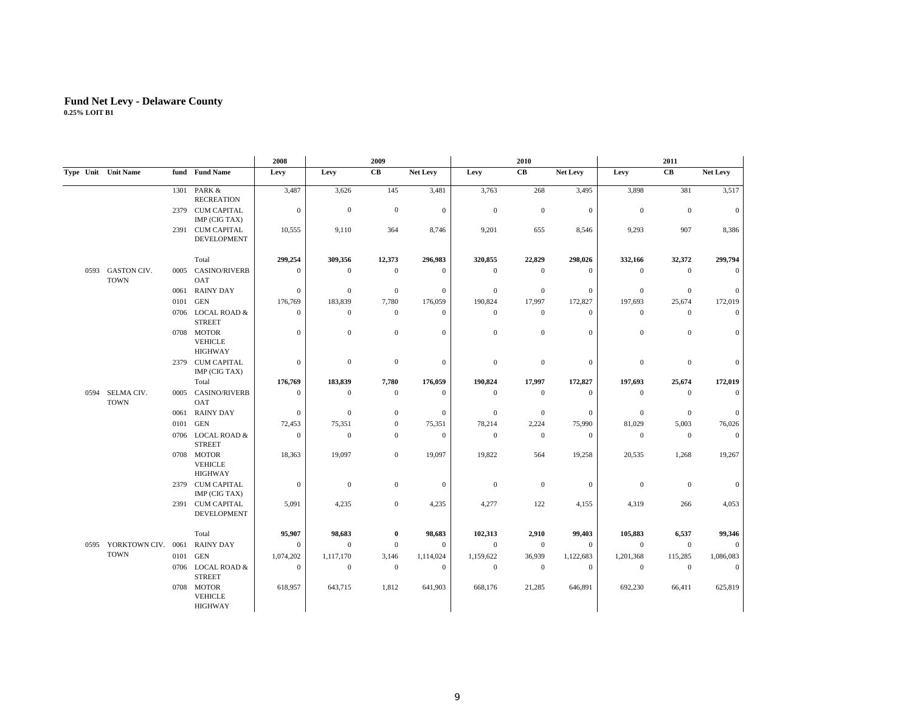|      |                            |      |                                         | 2008         | 2009             |                  |                | 2010             |                      |                  | 2011             |                |                  |
|------|----------------------------|------|-----------------------------------------|--------------|------------------|------------------|----------------|------------------|----------------------|------------------|------------------|----------------|------------------|
|      | Type Unit Unit Name        |      | fund Fund Name                          | Levy         | Levy             | CВ               | Net Levy       | Levy             | $\mathbf C\mathbf B$ | Net Levy         | Levy             | CB             | Net Levy         |
|      |                            |      | 1301 PARK &<br><b>RECREATION</b>        | 3,487        | 3,626            | 145              | 3,481          | 3,763            | 268                  | 3,495            | 3,898            | 381            | 3,517            |
|      |                            |      | 2379 CUM CAPITAL<br>IMP (CIG TAX)       | $\mathbf{0}$ | $\mathbf{0}$     | $\mathbf{0}$     | $\mathbf{0}$   | $\boldsymbol{0}$ | $\mathbf{0}$         | $\mathbf{0}$     | $\mathbf{0}$     | $\mathbf{0}$   | $\mathbf{0}$     |
|      |                            | 2391 | <b>CUM CAPITAL</b><br>DEVELOPMENT       | 10,555       | 9,110            | 364              | 8,746          | 9,201            | 655                  | 8,546            | 9,293            | 907            | 8,386            |
|      |                            |      | Total                                   | 299,254      | 309,356          | 12,373           | 296,983        | 320,855          | 22,829               | 298,026          | 332,166          | 32,372         | 299,794          |
| 0593 | GASTON CIV.<br><b>TOWN</b> | 0005 | <b>CASINO/RIVERB</b><br>OAT             | $\mathbf{0}$ | $\mathbf{0}$     | $\mathbf{0}$     | $\mathbf{0}$   | $\boldsymbol{0}$ | $\overline{0}$       | $\boldsymbol{0}$ | $\mathbf{0}$     | $\mathbf{0}$   | $\mathbf{0}$     |
|      |                            | 0061 | <b>RAINY DAY</b>                        | $\mathbf{0}$ | $\mathbf{0}$     | $\mathbf{0}$     | $\overline{0}$ | $\boldsymbol{0}$ | $\mathbf{0}$         | $\mathbf{0}$     | $\boldsymbol{0}$ | $\mathbf{0}$   | $\mathbf{0}$     |
|      |                            | 0101 | <b>GEN</b>                              | 176,769      | 183,839          | 7,780            | 176,059        | 190,824          | 17,997               | 172,827          | 197,693          | 25,674         | 172,019          |
|      |                            |      | 0706 LOCAL ROAD &<br><b>STREET</b>      | $\mathbf{0}$ | $\mathbf{0}$     | $\mathbf{0}$     | $\overline{0}$ | $\mathbf{0}$     | $\mathbf{0}$         | $\mathbf{0}$     | $\mathbf{0}$     | $\mathbf{0}$   | $\mathbf{0}$     |
|      |                            |      | 0708 MOTOR<br><b>VEHICLE</b><br>HIGHWAY | $\mathbf{0}$ | $\mathbf{0}$     | $\mathbf{0}$     | $\mathbf{0}$   | $\mathbf{0}$     | $\mathbf{0}$         | $\boldsymbol{0}$ | $\boldsymbol{0}$ | $\mathbf{0}$   | $\mathbf{0}$     |
|      |                            | 2379 | <b>CUM CAPITAL</b><br>IMP (CIG TAX)     | $\mathbf{0}$ | $\boldsymbol{0}$ | $\boldsymbol{0}$ | $\mathbf{0}$   | $\boldsymbol{0}$ | $\boldsymbol{0}$     | $\boldsymbol{0}$ | $\boldsymbol{0}$ | $\mathbf{0}$   | $\mathbf{0}$     |
|      |                            |      | Total                                   | 176,769      | 183,839          | 7,780            | 176,059        | 190,824          | 17,997               | 172,827          | 197,693          | 25,674         | 172,019          |
| 0594 | SELMA CIV.<br><b>TOWN</b>  | 0005 | <b>CASINO/RIVERB</b><br>OAT             | $\mathbf{0}$ | $\mathbf{0}$     | $\mathbf{0}$     | $\mathbf{0}$   | $\boldsymbol{0}$ | $\overline{0}$       | $\boldsymbol{0}$ | $\mathbf{0}$     | $\overline{0}$ | $\mathbf{0}$     |
|      |                            | 0061 | <b>RAINY DAY</b>                        | $\mathbf{0}$ | $\mathbf{0}$     | $\mathbf{0}$     | $\theta$       | $\boldsymbol{0}$ | $\overline{0}$       | $\boldsymbol{0}$ | $\mathbf{0}$     | $\mathbf{0}$   | $\mathbf{0}$     |
|      |                            | 0101 | <b>GEN</b>                              | 72,453       | 75,351           | $\mathbf{0}$     | 75,351         | 78,214           | 2,224                | 75,990           | 81,029           | 5,003          | 76,026           |
|      |                            |      | 0706 LOCAL ROAD &<br><b>STREET</b>      | $\mathbf{0}$ | $\mathbf{0}$     | $\mathbf{0}$     | $\mathbf{0}$   | $\boldsymbol{0}$ | $\overline{0}$       | $\boldsymbol{0}$ | $\boldsymbol{0}$ | $\bf{0}$       | $\overline{0}$   |
|      |                            |      | 0708 MOTOR<br>VEHICLE<br>HIGHWAY        | 18,363       | 19,097           | $\mathbf{0}$     | 19,097         | 19,822           | 564                  | 19,258           | 20,535           | 1,268          | 19,267           |
|      |                            | 2379 | <b>CUM CAPITAL</b><br>IMP (CIG TAX)     | $\mathbf{0}$ | $\boldsymbol{0}$ | $\mathbf{0}$     | $\mathbf{0}$   | $\boldsymbol{0}$ | $\mathbf{0}$         | $\boldsymbol{0}$ | $\boldsymbol{0}$ | $\mathbf{0}$   | $\mathbf{0}$     |
|      |                            |      | 2391 CUM CAPITAL<br>DEVELOPMENT         | 5,091        | 4,235            | $\mathbf{0}$     | 4,235          | 4,277            | 122                  | 4,155            | 4,319            | 266            | 4,053            |
|      |                            |      | Total                                   | 95,907       | 98,683           | $\bf{0}$         | 98,683         | 102,313          | 2,910                | 99,403           | 105,883          | 6,537          | 99,346           |
| 0595 | YORKTOWN CIV. 0061         |      | <b>RAINY DAY</b>                        | $\mathbf{0}$ | $\theta$         | $\mathbf{0}$     | $\mathbf{0}$   | $\boldsymbol{0}$ | $\mathbf{0}$         | $\mathbf{0}$     | $\mathbf{0}$     | $\mathbf{0}$   | $\mathbf{0}$     |
|      | <b>TOWN</b>                | 0101 | GEN                                     | 1,074,202    | 1,117,170        | 3,146            | 1,114,024      | 1,159,622        | 36,939               | 1,122,683        | 1,201,368        | 115,285        | 1,086,083        |
|      |                            | 0706 | LOCAL ROAD &<br><b>STREET</b>           | $\mathbf{0}$ | $\mathbf{0}$     | $\mathbf{0}$     | $\mathbf{0}$   | $\mathbf{0}$     | $\mathbf{0}$         | $\mathbf{0}$     | $\mathbf{0}$     | $\mathbf{0}$   | $\boldsymbol{0}$ |
|      |                            |      | 0708 MOTOR<br>VEHICLE<br>HIGHWAY        | 618,957      | 643,715          | 1,812            | 641,903        | 668,176          | 21,285               | 646,891          | 692,230          | 66,411         | 625,819          |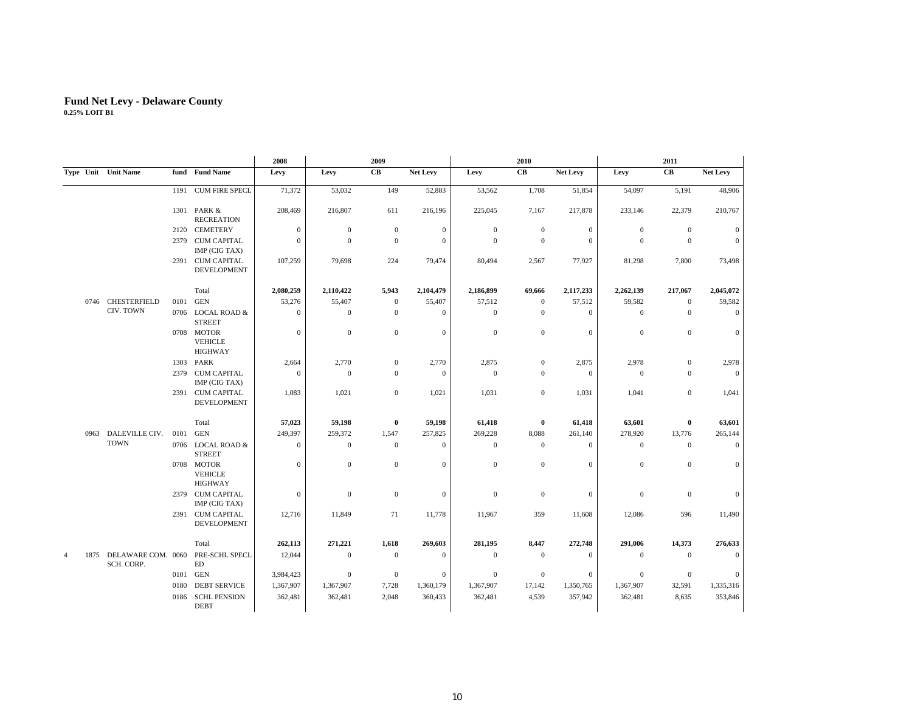|                | 2008<br>2009 |                                       |      |                                         | 2010           |                  |                  | 2011             |                  |                  |                  |                  |                      |                 |
|----------------|--------------|---------------------------------------|------|-----------------------------------------|----------------|------------------|------------------|------------------|------------------|------------------|------------------|------------------|----------------------|-----------------|
|                |              | Type Unit Unit Name                   |      | fund Fund Name                          | Levy           | Levy             | CB               | Net Levy         | Levy             | CB               | Net Levy         | Levy             | $\mathbf C\mathbf B$ | <b>Net Levy</b> |
|                |              |                                       | 1191 | <b>CUM FIRE SPECL</b>                   | 71,372         | 53,032           | 149              | 52,883           | 53,562           | 1,708            | 51,854           | 54,097           | 5,191                | 48,906          |
|                |              |                                       |      | 1301 PARK &<br><b>RECREATION</b>        | 208,469        | 216,807          | 611              | 216,196          | 225,045          | 7,167            | 217,878          | 233,146          | 22,379               | 210,767         |
|                |              |                                       | 2120 | <b>CEMETERY</b>                         | $\mathbf{0}$   | $\boldsymbol{0}$ | $\mathbf 0$      | $\boldsymbol{0}$ | $\mathbf{0}$     | $\boldsymbol{0}$ | $\boldsymbol{0}$ | $\mathbf{0}$     | $\mathbf{0}$         | $\theta$        |
|                |              |                                       | 2379 | <b>CUM CAPITAL</b><br>IMP (CIG TAX)     | $\mathbf{0}$   | $\mathbf{0}$     | $\mathbf{0}$     | $\mathbf{0}$     | $\mathbf{0}$     | $\boldsymbol{0}$ | $\mathbf{0}$     | $\mathbf{0}$     | $\mathbf{0}$         | $\mathbf{0}$    |
|                |              |                                       |      | 2391 CUM CAPITAL<br>DEVELOPMENT         | 107,259        | 79,698           | 224              | 79,474           | 80,494           | 2,567            | 77,927           | 81,298           | 7,800                | 73,498          |
|                |              |                                       |      | Total                                   | 2,080,259      | 2,110,422        | 5,943            | 2,104,479        | 2,186,899        | 69,666           | 2,117,233        | 2,262,139        | 217,067              | 2,045,072       |
|                |              | 0746 CHESTERFIELD                     | 0101 | <b>GEN</b>                              | 53,276         | 55,407           | $\mathbf{0}$     | 55,407           | 57,512           | $\mathbf{0}$     | 57,512           | 59,582           | $\mathbf{0}$         | 59,582          |
|                |              | CIV. TOWN                             |      | 0706 LOCAL ROAD &<br><b>STREET</b>      | $\mathbf{0}$   | $\boldsymbol{0}$ | $\mathbf{0}$     | $\mathbf{0}$     | $\mathbf{0}$     | $\mathbf{0}$     | $\mathbf{0}$     | $\mathbf{0}$     | $\mathbf{0}$         | $\mathbf{0}$    |
|                |              |                                       |      | 0708 MOTOR<br><b>VEHICLE</b><br>HIGHWAY | $\mathbf{0}$   | $\mathbf{0}$     | $\mathbf 0$      | $\mathbf{0}$     | $\mathbf{0}$     | $\mathbf{0}$     | $\mathbf{0}$     | $\mathbf{0}$     | $\mathbf{0}$         | $\overline{0}$  |
|                |              |                                       |      | 1303 PARK                               | 2,664          | 2,770            | $\mathbf{0}$     | 2,770            | 2,875            | $\mathbf{0}$     | 2,875            | 2,978            | $\mathbf{0}$         | 2,978           |
|                |              |                                       | 2379 | <b>CUM CAPITAL</b><br>IMP (CIG TAX)     | $\overline{0}$ | $\boldsymbol{0}$ | $\mathbf{0}$     | $\mathbf{0}$     | $\mathbf{0}$     | $\mathbf{0}$     | $\mathbf{0}$     | $\mathbf{0}$     | $\mathbf{0}$         | $\overline{0}$  |
|                |              |                                       |      | 2391 CUM CAPITAL<br><b>DEVELOPMENT</b>  | 1,083          | 1,021            | $\mathbf 0$      | 1,021            | 1,031            | $\overline{0}$   | 1,031            | 1,041            | $\mathbf{0}$         | 1,041           |
|                |              |                                       |      | Total                                   | 57,023         | 59,198           | $\bf{0}$         | 59,198           | 61,418           | $\bf{0}$         | 61,418           | 63,601           | 0                    | 63,601          |
|                |              | 0963 DALEVILLE CIV.                   | 0101 | <b>GEN</b>                              | 249,397        | 259,372          | 1,547            | 257,825          | 269,228          | 8,088            | 261,140          | 278,920          | 13,776               | 265,144         |
|                |              | <b>TOWN</b>                           |      | 0706 LOCAL ROAD &<br><b>STREET</b>      | $\mathbf{0}$   | $\mathbf{0}$     | $\mathbf{0}$     | $\mathbf{0}$     | $\mathbf{0}$     | $\boldsymbol{0}$ | $\mathbf{0}$     | $\mathbf{0}$     | $\mathbf{0}$         | $\mathbf{0}$    |
|                |              |                                       |      | 0708 MOTOR<br><b>VEHICLE</b><br>HIGHWAY | $\mathbf{0}$   | $\mathbf{0}$     | $\mathbf{0}$     | $\mathbf{0}$     | $\mathbf{0}$     | $\boldsymbol{0}$ | $\boldsymbol{0}$ | $\mathbf{0}$     | $\mathbf{0}$         | $\mathbf{0}$    |
|                |              |                                       |      | 2379 CUM CAPITAL<br>IMP (CIG TAX)       | $\mathbf{0}$   | $\boldsymbol{0}$ | $\boldsymbol{0}$ | $\mathbf{0}$     | $\boldsymbol{0}$ | $\boldsymbol{0}$ | $\boldsymbol{0}$ | $\boldsymbol{0}$ | $\mathbf{0}$         | $\mathbf{0}$    |
|                |              |                                       |      | 2391 CUM CAPITAL<br>DEVELOPMENT         | 12,716         | 11,849           | 71               | 11,778           | 11,967           | 359              | 11,608           | 12,086           | 596                  | 11,490          |
|                |              |                                       |      | Total                                   | 262,113        | 271,221          | 1,618            | 269,603          | 281,195          | 8,447            | 272,748          | 291,006          | 14,373               | 276,633         |
| $\overline{4}$ |              | 1875 DELAWARE COM. 0060<br>SCH. CORP. |      | PRE-SCHL SPECL<br>ED                    | 12,044         | $\mathbf{0}$     | $\mathbf{0}$     | $\mathbf{0}$     | $\mathbf{0}$     | $\mathbf{0}$     | $\mathbf{0}$     | $\mathbf{0}$     | $\mathbf{0}$         | $\mathbf{0}$    |
|                |              |                                       | 0101 | GEN                                     | 3,984,423      | $\boldsymbol{0}$ | $\bf{0}$         | $\mathbf{0}$     | $\mathbf{0}$     | $\bf{0}$         | $\mathbf{0}$     | $\mathbf{0}$     | $\mathbf{0}$         | $\Omega$        |
|                |              |                                       | 0180 | <b>DEBT SERVICE</b>                     | 1,367,907      | 1,367,907        | 7,728            | 1,360,179        | 1,367,907        | 17,142           | 1,350,765        | 1,367,907        | 32,591               | 1,335,316       |
|                |              |                                       | 0186 | <b>SCHL PENSION</b><br><b>DEBT</b>      | 362,481        | 362,481          | 2,048            | 360,433          | 362,481          | 4,539            | 357,942          | 362,481          | 8,635                | 353,846         |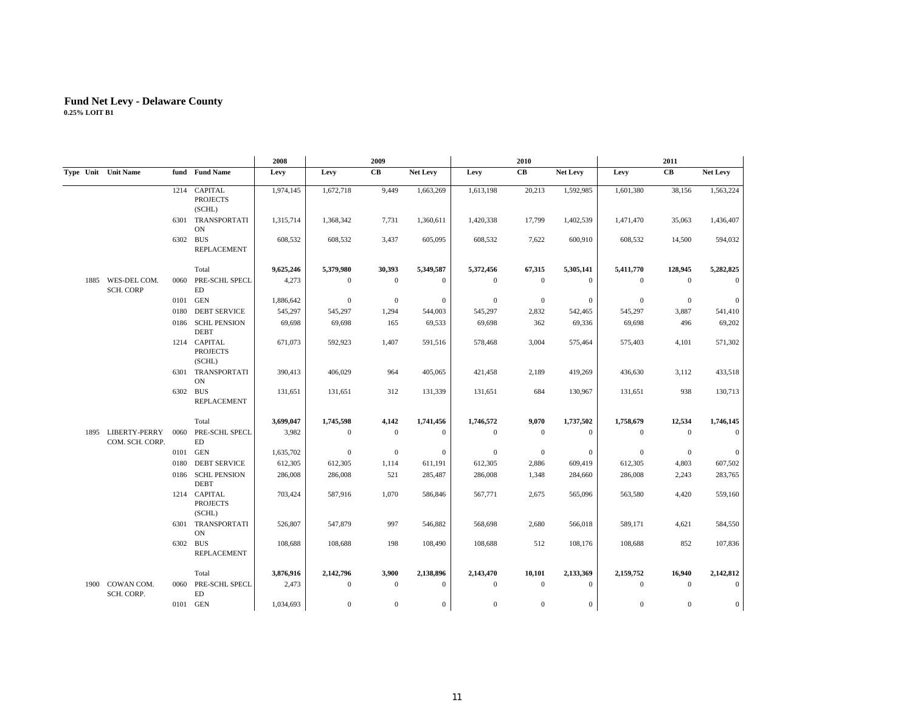|      |                                       |      |                                           | 2008      |              | 2009         |                  |                | 2010           |                 |              | 2011           |                  |
|------|---------------------------------------|------|-------------------------------------------|-----------|--------------|--------------|------------------|----------------|----------------|-----------------|--------------|----------------|------------------|
|      | Type Unit Unit Name                   |      | fund Fund Name                            | Levy      | Levy         | CВ           | Net Levy         | Levy           | CB             | <b>Net Levy</b> | Levy         | CB             | Net Levy         |
|      |                                       |      | 1214 CAPITAL<br><b>PROJECTS</b><br>(SCHL) | 1,974,145 | 1,672,718    | 9,449        | 1,663,269        | 1,613,198      | 20,213         | 1,592,985       | 1,601,380    | 38,156         | 1,563,224        |
|      |                                       |      | 6301 TRANSPORTATI<br>ON                   | 1,315,714 | 1,368,342    | 7,731        | 1,360,611        | 1,420,338      | 17,799         | 1,402,539       | 1,471,470    | 35,063         | 1,436,407        |
|      |                                       |      | 6302 BUS<br>REPLACEMENT                   | 608,532   | 608,532      | 3,437        | 605,095          | 608,532        | 7,622          | 600,910         | 608,532      | 14,500         | 594,032          |
|      |                                       |      | Total                                     | 9,625,246 | 5,379,980    | 30,393       | 5,349,587        | 5,372,456      | 67,315         | 5,305,141       | 5,411,770    | 128,945        | 5,282,825        |
| 1885 | WES-DEL COM.<br><b>SCH. CORP</b>      | 0060 | PRE-SCHL SPECL<br>ED                      | 4,273     | $\theta$     | $\mathbf{0}$ | $\mathbf{0}$     | $\theta$       | $\mathbf{0}$   | $\mathbf{0}$    | $\mathbf{0}$ | $\Omega$       | $\Omega$         |
|      |                                       | 0101 | <b>GEN</b>                                | 1,886,642 | $\mathbf{0}$ | $\mathbf{0}$ | $\mathbf{0}$     | $\overline{0}$ | $\overline{0}$ | $\mathbf{0}$    | $\mathbf{0}$ | $\mathbf{0}$   | $\Omega$         |
|      |                                       | 0180 | <b>DEBT SERVICE</b>                       | 545,297   | 545,297      | 1,294        | 544,003          | 545,297        | 2,832          | 542,465         | 545,297      | 3,887          | 541,410          |
|      |                                       | 0186 | <b>SCHL PENSION</b><br><b>DEBT</b>        | 69,698    | 69,698       | 165          | 69,533           | 69,698         | 362            | 69,336          | 69,698       | 496            | 69,202           |
|      |                                       |      | 1214 CAPITAL<br><b>PROJECTS</b><br>(SCHL) | 671,073   | 592,923      | 1,407        | 591,516          | 578,468        | 3,004          | 575,464         | 575,403      | 4,101          | 571,302          |
|      |                                       |      | 6301 TRANSPORTATI<br>ON                   | 390,413   | 406,029      | 964          | 405,065          | 421,458        | 2,189          | 419,269         | 436,630      | 3,112          | 433,518          |
|      |                                       |      | 6302 BUS<br><b>REPLACEMENT</b>            | 131,651   | 131,651      | 312          | 131,339          | 131,651        | 684            | 130,967         | 131,651      | 938            | 130,713          |
|      |                                       |      | Total                                     | 3,699,047 | 1,745,598    | 4,142        | 1,741,456        | 1,746,572      | 9,070          | 1,737,502       | 1,758,679    | 12,534         | 1,746,145        |
|      | 1895 LIBERTY-PERRY<br>COM. SCH. CORP. | 0060 | PRE-SCHL SPECL<br>ED                      | 3,982     | $\mathbf{0}$ | $\mathbf{0}$ | $\mathbf{0}$     | $\mathbf{0}$   | $\mathbf{0}$   | $\mathbf{0}$    | $\mathbf{0}$ | $\mathbf{0}$   | $\mathbf{0}$     |
|      |                                       | 0101 | GEN                                       | 1,635,702 | $\mathbf{0}$ | $\mathbf{0}$ | $\mathbf{0}$     | $\theta$       | $\overline{0}$ | $\mathbf{0}$    | $\mathbf{0}$ | $\overline{0}$ | $\mathbf{0}$     |
|      |                                       | 0180 | <b>DEBT SERVICE</b>                       | 612,305   | 612,305      | 1,114        | 611,191          | 612,305        | 2,886          | 609,419         | 612,305      | 4,803          | 607,502          |
|      |                                       | 0186 | <b>SCHL PENSION</b><br><b>DEBT</b>        | 286,008   | 286,008      | 521          | 285,487          | 286,008        | 1,348          | 284,660         | 286,008      | 2,243          | 283,765          |
|      |                                       |      | 1214 CAPITAL<br><b>PROJECTS</b><br>(SCHL) | 703,424   | 587,916      | 1,070        | 586,846          | 567,771        | 2,675          | 565,096         | 563,580      | 4,420          | 559,160          |
|      |                                       |      | 6301 TRANSPORTATI<br>ON                   | 526,807   | 547,879      | 997          | 546,882          | 568,698        | 2,680          | 566,018         | 589,171      | 4,621          | 584,550          |
|      |                                       | 6302 | <b>BUS</b><br><b>REPLACEMENT</b>          | 108,688   | 108,688      | 198          | 108,490          | 108,688        | 512            | 108,176         | 108,688      | 852            | 107,836          |
|      |                                       |      | Total                                     | 3,876,916 | 2,142,796    | 3,900        | 2,138,896        | 2,143,470      | 10,101         | 2,133,369       | 2,159,752    | 16,940         | 2,142,812        |
| 1900 | COWAN COM.<br>SCH. CORP.              | 0060 | PRE-SCHL SPECL<br>ED                      | 2,473     | $\mathbf{0}$ | $\mathbf{0}$ | $\mathbf{0}$     | $\mathbf{0}$   | $\mathbf{0}$   | $\mathbf{0}$    | $\mathbf{0}$ | $\mathbf{0}$   | $\overline{0}$   |
|      |                                       |      | 0101 GEN                                  | 1,034,693 | $\mathbf{0}$ | $\mathbf{0}$ | $\boldsymbol{0}$ | $\mathbf{0}$   | $\mathbf{0}$   | $\mathbf{0}$    | $\mathbf{0}$ | $\mathbf{0}$   | $\boldsymbol{0}$ |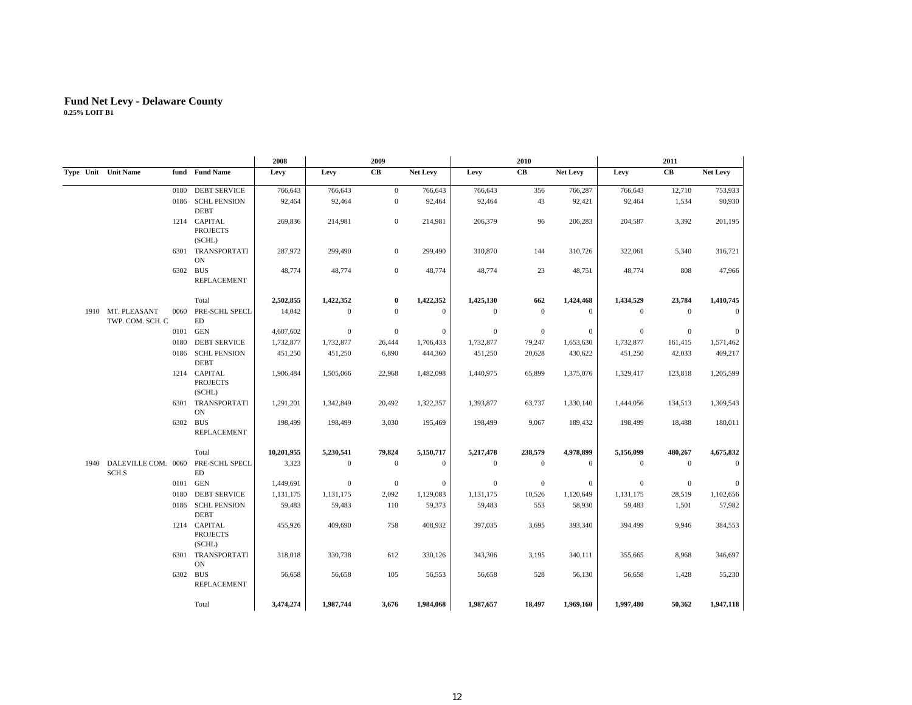|      |                                       |      |                                           | 2008       |           | 2009         |                 |              | 2010           |              |              | 2011         |                 |
|------|---------------------------------------|------|-------------------------------------------|------------|-----------|--------------|-----------------|--------------|----------------|--------------|--------------|--------------|-----------------|
|      | Type Unit Unit Name                   |      | fund Fund Name                            | Levy       | Levy      | CB           | <b>Net Levy</b> | Levy         | CB             | Net Levy     | Levy         | CB           | <b>Net Levy</b> |
|      |                                       | 0180 | <b>DEBT SERVICE</b>                       | 766,643    | 766,643   | $\mathbf{0}$ | 766,643         | 766,643      | 356            | 766,287      | 766,643      | 12,710       | 753,933         |
|      |                                       |      | 0186 SCHL PENSION<br><b>DEBT</b>          | 92,464     | 92,464    | $\mathbf{0}$ | 92,464          | 92,464       | 43             | 92,421       | 92,464       | 1,534        | 90,930          |
|      |                                       |      | 1214 CAPITAL<br><b>PROJECTS</b><br>(SCHL) | 269,836    | 214,981   | $\mathbf{0}$ | 214,981         | 206,379      | 96             | 206,283      | 204,587      | 3,392        | 201,195         |
|      |                                       |      | 6301 TRANSPORTATI<br><b>ON</b>            | 287,972    | 299,490   | $\mathbf{0}$ | 299,490         | 310,870      | 144            | 310,726      | 322,061      | 5,340        | 316,721         |
|      |                                       |      | 6302 BUS<br><b>REPLACEMENT</b>            | 48,774     | 48,774    | $\mathbf{0}$ | 48,774          | 48,774       | 23             | 48,751       | 48,774       | 808          | 47,966          |
|      |                                       |      | Total                                     | 2,502,855  | 1,422,352 | $\bf{0}$     | 1,422,352       | 1,425,130    | 662            | 1,424,468    | 1,434,529    | 23,784       | 1,410,745       |
|      | 1910 MT. PLEASANT<br>TWP. COM. SCH. C | 0060 | PRE-SCHL SPECL<br>ED                      | 14,042     | $\Omega$  | $\Omega$     | $\theta$        | $\mathbf{0}$ | $\overline{0}$ | $\mathbf{0}$ | $\mathbf{0}$ | $\mathbf{0}$ | $\mathbf{0}$    |
|      |                                       | 0101 | <b>GEN</b>                                | 4,607,602  | $\theta$  | $\mathbf{0}$ | $\theta$        | $\mathbf{0}$ | $\mathbf{0}$   | $\mathbf{0}$ | $\mathbf{0}$ | $\mathbf{0}$ | $\mathbf{0}$    |
|      |                                       | 0180 | <b>DEBT SERVICE</b>                       | 1,732,877  | 1,732,877 | 26,444       | 1,706,433       | 1,732,877    | 79,247         | 1,653,630    | 1,732,877    | 161,415      | 1,571,462       |
|      |                                       |      | 0186 SCHL PENSION<br><b>DEBT</b>          | 451,250    | 451,250   | 6,890        | 444,360         | 451,250      | 20,628         | 430,622      | 451,250      | 42,033       | 409,217         |
|      |                                       |      | 1214 CAPITAL<br><b>PROJECTS</b><br>(SCHL) | 1,906,484  | 1,505,066 | 22,968       | 1,482,098       | 1,440,975    | 65,899         | 1,375,076    | 1,329,417    | 123,818      | 1,205,599       |
|      |                                       |      | 6301 TRANSPORTATI<br><b>ON</b>            | 1,291,201  | 1,342,849 | 20,492       | 1,322,357       | 1,393,877    | 63,737         | 1,330,140    | 1,444,056    | 134,513      | 1,309,543       |
|      |                                       | 6302 | <b>BUS</b><br><b>REPLACEMENT</b>          | 198,499    | 198,499   | 3,030        | 195,469         | 198,499      | 9,067          | 189,432      | 198,499      | 18,488       | 180,011         |
|      |                                       |      | Total                                     | 10,201,955 | 5,230,541 | 79,824       | 5,150,717       | 5,217,478    | 238,579        | 4,978,899    | 5,156,099    | 480,267      | 4,675,832       |
| 1940 | DALEVILLE COM. 0060<br>SCH.S          |      | PRE-SCHL SPECL<br>ED                      | 3,323      | $\theta$  | $\mathbf{0}$ | $\theta$        | $\mathbf{0}$ | $\mathbf{0}$   | $\mathbf{0}$ | $\mathbf{0}$ | $\mathbf{0}$ | $\mathbf{0}$    |
|      |                                       | 0101 | GEN                                       | 1,449,691  | $\Omega$  | $\mathbf{0}$ | $\theta$        | $\mathbf{0}$ | $\overline{0}$ | $\mathbf{0}$ | $\mathbf{0}$ | $\mathbf{0}$ | $\mathbf{0}$    |
|      |                                       | 0180 | <b>DEBT SERVICE</b>                       | 1,131,175  | 1,131,175 | 2,092        | 1,129,083       | 1,131,175    | 10,526         | 1,120,649    | 1,131,175    | 28,519       | 1,102,656       |
|      |                                       |      | 0186 SCHL PENSION<br><b>DEBT</b>          | 59,483     | 59,483    | 110          | 59,373          | 59,483       | 553            | 58,930       | 59,483       | 1,501        | 57,982          |
|      |                                       |      | 1214 CAPITAL<br><b>PROJECTS</b><br>(SCHL) | 455,926    | 409,690   | 758          | 408,932         | 397,035      | 3,695          | 393,340      | 394,499      | 9,946        | 384,553         |
|      |                                       |      | 6301 TRANSPORTATI<br><b>ON</b>            | 318,018    | 330,738   | 612          | 330,126         | 343,306      | 3,195          | 340,111      | 355,665      | 8,968        | 346,697         |
|      |                                       |      | 6302 BUS<br><b>REPLACEMENT</b>            | 56,658     | 56,658    | 105          | 56,553          | 56,658       | 528            | 56,130       | 56,658       | 1,428        | 55,230          |
|      |                                       |      | Total                                     | 3,474,274  | 1,987,744 | 3.676        | 1,984,068       | 1,987,657    | 18,497         | 1,969,160    | 1.997.480    | 50,362       | 1,947,118       |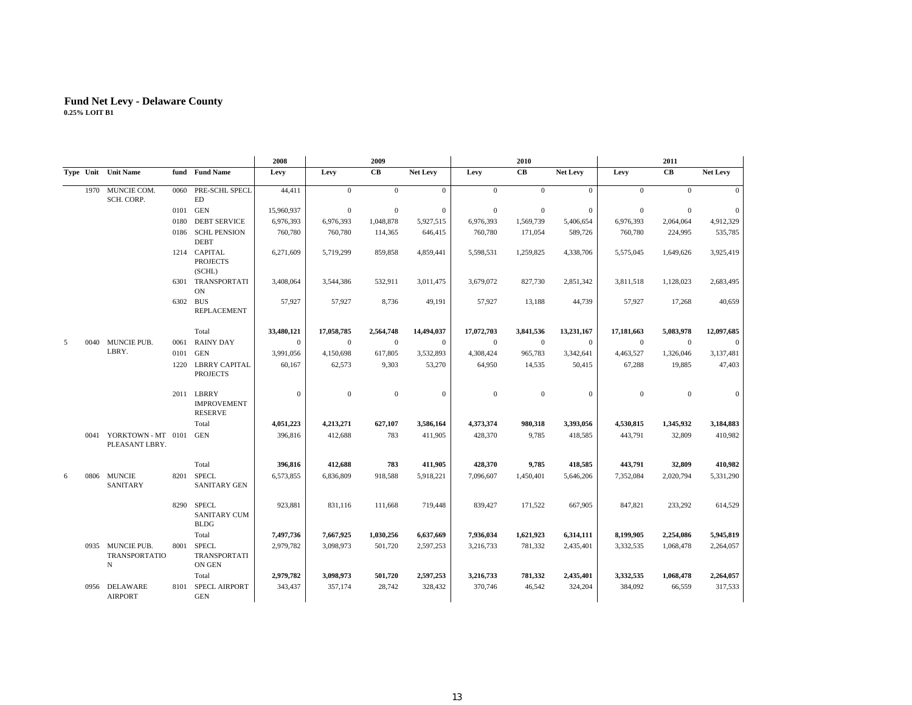|   |                                               |      |                                                    | 2008         |              | 2009           |              |              | 2010           |              |                  | 2011           |                 |
|---|-----------------------------------------------|------|----------------------------------------------------|--------------|--------------|----------------|--------------|--------------|----------------|--------------|------------------|----------------|-----------------|
|   | Type Unit Unit Name                           |      | fund Fund Name                                     | Levy         | Levy         | CB             | Net Levy     | Levy         | CB             | Net Levy     | Levy             | CB             | <b>Net Levy</b> |
|   | 1970 MUNCIE COM.<br>SCH. CORP.                | 0060 | PRE-SCHL SPECL<br><b>ED</b>                        | 44,411       | $\mathbf{0}$ | $\mathbf{0}$   | $\mathbf{0}$ | $\mathbf{0}$ | $\theta$       | $\mathbf{0}$ | $\boldsymbol{0}$ | $\Omega$       | $\Omega$        |
|   |                                               |      | 0101 GEN                                           | 15,960,937   | $\mathbf{0}$ | $\overline{0}$ | $\mathbf{0}$ | $\mathbf{0}$ | $\mathbf{0}$   | $\mathbf{0}$ | $\mathbf{0}$     | $\Omega$       | $\mathbf{0}$    |
|   |                                               | 0180 | <b>DEBT SERVICE</b>                                | 6,976,393    | 6,976,393    | 1,048,878      | 5,927,515    | 6,976,393    | 1,569,739      | 5,406,654    | 6,976,393        | 2,064,064      | 4,912,329       |
|   |                                               | 0186 | <b>SCHL PENSION</b><br><b>DEBT</b>                 | 760,780      | 760,780      | 114,365        | 646,415      | 760,780      | 171,054        | 589,726      | 760,780          | 224,995        | 535,785         |
|   |                                               |      | 1214 CAPITAL<br><b>PROJECTS</b><br>(SCHL)          | 6,271,609    | 5,719,299    | 859,858        | 4,859,441    | 5,598,531    | 1,259,825      | 4,338,706    | 5,575,045        | 1,649,626      | 3,925,419       |
|   |                                               | 6301 | TRANSPORTATI<br><b>ON</b>                          | 3,408,064    | 3,544,386    | 532,911        | 3,011,475    | 3,679,072    | 827,730        | 2,851,342    | 3,811,518        | 1,128,023      | 2,683,495       |
|   |                                               | 6302 | <b>BUS</b><br><b>REPLACEMENT</b>                   | 57,927       | 57,927       | 8,736          | 49,191       | 57,927       | 13,188         | 44,739       | 57,927           | 17,268         | 40,659          |
|   |                                               |      | Total                                              | 33,480,121   | 17,058,785   | 2,564,748      | 14,494,037   | 17,072,703   | 3,841,536      | 13,231,167   | 17,181,663       | 5,083,978      | 12,097,685      |
| 5 | 0040 MUNCIE PUB.                              | 0061 | <b>RAINY DAY</b>                                   | $\mathbf{0}$ | $\mathbf{0}$ | $\overline{0}$ | $\mathbf{0}$ | $\mathbf{0}$ | $\overline{0}$ | $\mathbf{0}$ | $\mathbf{0}$     | $\overline{0}$ | $\mathbf{0}$    |
|   | LBRY.                                         | 0101 | <b>GEN</b>                                         | 3,991,056    | 4,150,698    | 617,805        | 3,532,893    | 4,308,424    | 965,783        | 3,342,641    | 4,463,527        | 1,326,046      | 3,137,481       |
|   |                                               |      | 1220 LBRRY CAPITAL<br><b>PROJECTS</b>              | 60,167       | 62,573       | 9,303          | 53,270       | 64,950       | 14,535         | 50,415       | 67,288           | 19,885         | 47,403          |
|   |                                               |      | 2011 LBRRY<br><b>IMPROVEMENT</b><br><b>RESERVE</b> | $\mathbf{0}$ | $\mathbf{0}$ | $\overline{0}$ | $\mathbf{0}$ | $\mathbf{0}$ | $\overline{0}$ | $\mathbf{0}$ | $\mathbf{0}$     | $\mathbf{0}$   | $\mathbf{0}$    |
|   |                                               |      | Total                                              | 4,051,223    | 4,213,271    | 627,107        | 3,586,164    | 4,373,374    | 980,318        | 3,393,056    | 4,530,815        | 1,345,932      | 3,184,883       |
|   | 0041 YORKTOWN-MT 0101<br>PLEASANT LBRY.       |      | <b>GEN</b>                                         | 396,816      | 412,688      | 783            | 411,905      | 428,370      | 9,785          | 418,585      | 443,791          | 32,809         | 410,982         |
|   |                                               |      | Total                                              | 396,816      | 412,688      | 783            | 411,905      | 428,370      | 9,785          | 418,585      | 443,791          | 32,809         | 410,982         |
| 6 | 0806 MUNCIE<br>SANITARY                       | 8201 | <b>SPECL</b><br><b>SANITARY GEN</b>                | 6.573.855    | 6,836,809    | 918,588        | 5,918,221    | 7,096,607    | 1,450,401      | 5,646,206    | 7,352,084        | 2,020,794      | 5,331,290       |
|   |                                               | 8290 | <b>SPECL</b><br><b>SANITARY CUM</b><br><b>BLDG</b> | 923,881      | 831,116      | 111,668        | 719,448      | 839,427      | 171,522        | 667,905      | 847,821          | 233,292        | 614,529         |
|   |                                               |      | Total                                              | 7,497,736    | 7,667,925    | 1,030,256      | 6,637,669    | 7,936,034    | 1,621,923      | 6,314,111    | 8,199,905        | 2,254,086      | 5,945,819       |
|   | 0935 MUNCIE PUB.<br><b>TRANSPORTATIO</b><br>N | 8001 | <b>SPECL</b><br>TRANSPORTATI<br>ON GEN             | 2,979,782    | 3,098,973    | 501,720        | 2,597,253    | 3,216,733    | 781,332        | 2,435,401    | 3,332,535        | 1,068,478      | 2,264,057       |
|   |                                               |      | Total                                              | 2,979,782    | 3,098,973    | 501,720        | 2,597,253    | 3,216,733    | 781,332        | 2,435,401    | 3,332,535        | 1,068,478      | 2,264,057       |
|   | 0956 DELAWARE<br><b>AIRPORT</b>               | 8101 | <b>SPECL AIRPORT</b><br><b>GEN</b>                 | 343,437      | 357,174      | 28,742         | 328,432      | 370,746      | 46,542         | 324,204      | 384,092          | 66,559         | 317,533         |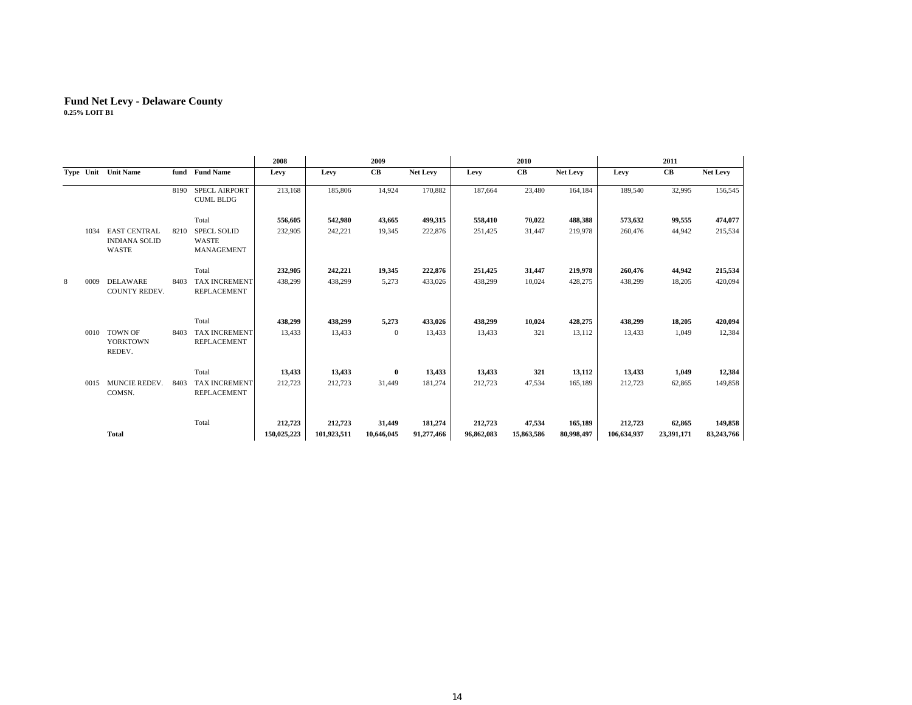|   |      |                                                      |      |                                                  | 2008        |             | 2009         |                 |            | 2010       |            |             | 2011       |            |
|---|------|------------------------------------------------------|------|--------------------------------------------------|-------------|-------------|--------------|-----------------|------------|------------|------------|-------------|------------|------------|
|   |      | Type Unit Unit Name                                  | fund | <b>Fund Name</b>                                 | Levy        | Levy        | CB           | <b>Net Levy</b> | Levy       | CB         | Net Levy   | Levy        | CB         | Net Levy   |
|   |      |                                                      | 8190 | <b>SPECL AIRPORT</b><br><b>CUML BLDG</b>         | 213,168     | 185,806     | 14,924       | 170,882         | 187,664    | 23,480     | 164.184    | 189,540     | 32,995     | 156,545    |
|   |      |                                                      |      | Total                                            | 556,605     | 542,980     | 43,665       | 499,315         | 558,410    | 70,022     | 488,388    | 573,632     | 99,555     | 474,077    |
|   | 1034 | <b>EAST CENTRAL</b><br><b>INDIANA SOLID</b><br>WASTE | 8210 | <b>SPECL SOLID</b><br><b>WASTE</b><br>MANAGEMENT | 232,905     | 242,221     | 19,345       | 222,876         | 251,425    | 31,447     | 219,978    | 260,476     | 44,942     | 215,534    |
|   |      |                                                      |      | Total                                            | 232,905     | 242,221     | 19,345       | 222,876         | 251,425    | 31,447     | 219,978    | 260,476     | 44,942     | 215,534    |
| 8 | 0009 | DELAWARE<br>COUNTY REDEV.                            | 8403 | <b>TAX INCREMENT</b><br><b>REPLACEMENT</b>       | 438,299     | 438,299     | 5,273        | 433,026         | 438,299    | 10,024     | 428,275    | 438,299     | 18,205     | 420,094    |
|   |      |                                                      |      | Total                                            | 438,299     | 438,299     | 5,273        | 433,026         | 438,299    | 10,024     | 428,275    | 438,299     | 18,205     | 420,094    |
|   | 0010 | <b>TOWN OF</b><br><b>YORKTOWN</b><br>REDEV.          | 8403 | TAX INCREMENT<br><b>REPLACEMENT</b>              | 13,433      | 13,433      | $\mathbf{0}$ | 13,433          | 13,433     | 321        | 13,112     | 13,433      | 1,049      | 12,384     |
|   |      |                                                      |      | Total                                            | 13,433      | 13,433      | $\bf{0}$     | 13,433          | 13,433     | 321        | 13,112     | 13,433      | 1,049      | 12,384     |
|   |      | 0015 MUNCIE REDEV.<br>COMSN.                         | 8403 | <b>TAX INCREMENT</b><br>REPLACEMENT              | 212,723     | 212,723     | 31,449       | 181,274         | 212,723    | 47,534     | 165,189    | 212,723     | 62,865     | 149,858    |
|   |      |                                                      |      | Total                                            | 212,723     | 212,723     | 31,449       | 181,274         | 212,723    | 47,534     | 165,189    | 212,723     | 62,865     | 149,858    |
|   |      | <b>Total</b>                                         |      |                                                  | 150,025,223 | 101,923,511 | 10,646,045   | 91,277,466      | 96,862,083 | 15,863,586 | 80,998,497 | 106,634,937 | 23,391,171 | 83,243,766 |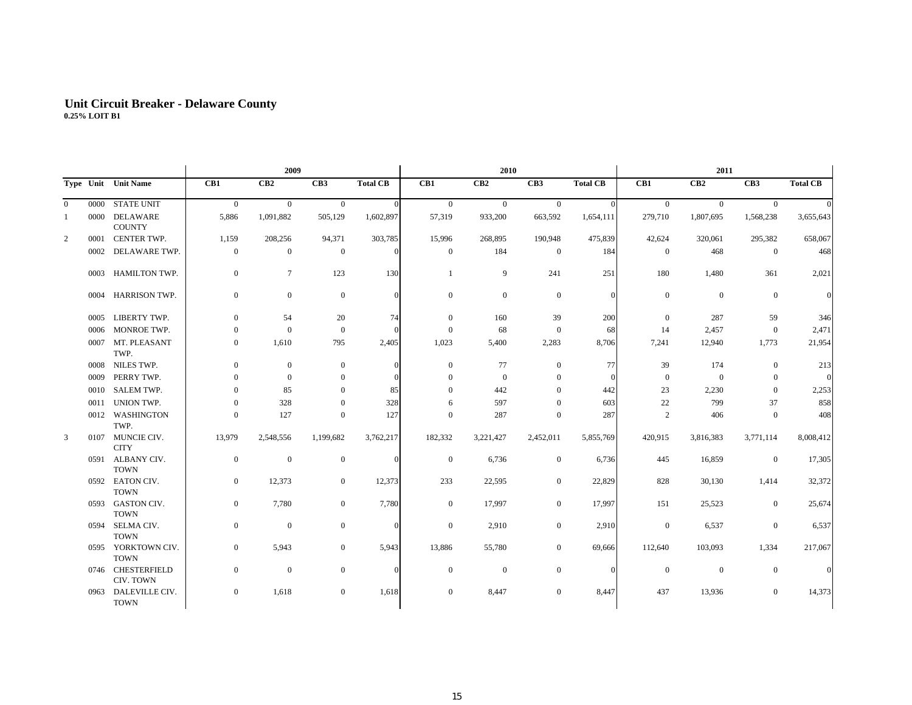## **Unit Circuit Breaker - Delaware Count y 0.25% LOIT B1**

|                |      |                                   |                  | 2009           |                  |                 |                | 2010             |                  |                 |                  |                  |                  |                 |
|----------------|------|-----------------------------------|------------------|----------------|------------------|-----------------|----------------|------------------|------------------|-----------------|------------------|------------------|------------------|-----------------|
|                |      | Type Unit Unit Name               | CB1              | CB2            | CB <sub>3</sub>  | <b>Total CB</b> | CB1            | CB2              | CB <sub>3</sub>  | <b>Total CB</b> | CB1              | CB2              | CB <sub>3</sub>  | <b>Total CB</b> |
| $\overline{0}$ | 0000 | <b>STATE UNIT</b>                 | $\overline{0}$   | $\overline{0}$ | $\overline{0}$   | $\overline{0}$  | $\overline{0}$ | $\overline{0}$   | $\overline{0}$   | $\Omega$        | $\overline{0}$   | $\overline{0}$   | $\Omega$         |                 |
| 1              | 0000 | DELAWARE<br><b>COUNTY</b>         | 5,886            | 1,091,882      | 505,129          | 1,602,897       | 57,319         | 933,200          | 663,592          | 1,654,111       | 279,710          | 1,807,695        | 1,568,238        | 3,655,643       |
| 2              | 0001 | <b>CENTER TWP.</b>                | 1,159            | 208,256        | 94,371           | 303,785         | 15,996         | 268,895          | 190,948          | 475,839         | 42,624           | 320,061          | 295,382          | 658,067         |
|                | 0002 | DELAWARE TWP.                     | $\boldsymbol{0}$ | $\mathbf{0}$   | $\boldsymbol{0}$ | $\Omega$        | $\mathbf{0}$   | 184              | $\mathbf{0}$     | 184             | $\boldsymbol{0}$ | 468              | $\overline{0}$   | 468             |
|                | 0003 | HAMILTON TWP.                     | $\boldsymbol{0}$ | $\overline{7}$ | 123              | 130             | $\mathbf{1}$   | 9                | 241              | 251             | 180              | 1,480            | 361              | 2,021           |
|                | 0004 | <b>HARRISON TWP.</b>              | $\boldsymbol{0}$ | $\mathbf{0}$   | $\boldsymbol{0}$ | $\Omega$        | $\mathbf{0}$   | $\boldsymbol{0}$ | $\mathbf{0}$     | $\mathbf{0}$    | $\boldsymbol{0}$ | $\boldsymbol{0}$ | $\overline{0}$   |                 |
|                | 0005 | LIBERTY TWP.                      | $\overline{0}$   | 54             | 20               | 74              | $\mathbf{0}$   | 160              | 39               | 200             | $\boldsymbol{0}$ | 287              | 59               | 346             |
|                | 0006 | MONROE TWP.                       | $\mathbf{0}$     | $\mathbf{0}$   | $\mathbf{0}$     | $\Omega$        | $\overline{0}$ | 68               | $\overline{0}$   | 68              | 14               | 2,457            | $\overline{0}$   | 2,471           |
|                | 0007 | MT. PLEASANT<br>TWP.              | $\boldsymbol{0}$ | 1,610          | 795              | 2,405           | 1,023          | 5,400            | 2,283            | 8,706           | 7,241            | 12,940           | 1,773            | 21,954          |
|                | 0008 | <b>NILES TWP.</b>                 | $\mathbf{0}$     | $\mathbf{0}$   | $\mathbf{0}$     | $\Omega$        | $\overline{0}$ | 77               | $\mathbf{0}$     | 77              | 39               | 174              | $\mathbf{0}$     | 213             |
|                | 0009 | PERRY TWP.                        | $\mathbf{0}$     | $\mathbf{0}$   | $\boldsymbol{0}$ | $\Omega$        | $\Omega$       | $\mathbf{0}$     | $\mathbf{0}$     | $\theta$        | $\boldsymbol{0}$ | $\mathbf{0}$     | $\mathbf{0}$     |                 |
|                | 0010 | <b>SALEM TWP.</b>                 | $\mathbf{0}$     | 85             | $\mathbf{0}$     | 85              | $\Omega$       | 442              | $\mathbf{0}$     | 442             | 23               | 2,230            | $\mathbf{0}$     | 2,253           |
|                | 0011 | UNION TWP.                        | $\boldsymbol{0}$ | 328            | $\mathbf{0}$     | 328             | 6              | 597              | $\mathbf{0}$     | 603             | 22               | 799              | 37               | 858             |
|                | 0012 | WASHINGTON<br>TWP.                | $\mathbf{0}$     | 127            | $\mathbf{0}$     | 127             | $\overline{0}$ | 287              | $\mathbf{0}$     | 287             | $\sqrt{2}$       | 406              | $\overline{0}$   | 408             |
| 3              | 0107 | MUNCIE CIV.<br><b>CITY</b>        | 13,979           | 2,548,556      | 1,199,682        | 3,762,217       | 182,332        | 3,221,427        | 2,452,011        | 5,855,769       | 420,915          | 3,816,383        | 3,771,114        | 8,008,412       |
|                | 0591 | ALBANY CIV.<br><b>TOWN</b>        | $\mathbf{0}$     | $\mathbf{0}$   | $\mathbf{0}$     | $\Omega$        | $\mathbf{0}$   | 6,736            | $\mathbf{0}$     | 6,736           | 445              | 16,859           | $\mathbf{0}$     | 17,305          |
|                |      | 0592 EATON CIV.<br><b>TOWN</b>    | $\overline{0}$   | 12,373         | $\boldsymbol{0}$ | 12,373          | 233            | 22,595           | $\boldsymbol{0}$ | 22,829          | 828              | 30,130           | 1,414            | 32,372          |
|                | 0593 | <b>GASTON CIV.</b><br><b>TOWN</b> | $\overline{0}$   | 7,780          | $\overline{0}$   | 7,780           | $\overline{0}$ | 17,997           | $\overline{0}$   | 17,997          | 151              | 25,523           | $\overline{0}$   | 25,674          |
|                | 0594 | SELMA CIV.<br><b>TOWN</b>         | $\overline{0}$   | $\mathbf{0}$   | $\overline{0}$   | $\Omega$        | $\mathbf{0}$   | 2,910            | $\overline{0}$   | 2,910           | $\boldsymbol{0}$ | 6,537            | $\mathbf{0}$     | 6,537           |
|                | 0595 | YORKTOWN CIV.<br><b>TOWN</b>      | $\mathbf{0}$     | 5,943          | $\overline{0}$   | 5,943           | 13,886         | 55,780           | $\overline{0}$   | 69,666          | 112,640          | 103,093          | 1,334            | 217,067         |
|                |      | 0746 CHESTERFIELD<br>CIV. TOWN    | $\boldsymbol{0}$ | $\mathbf{0}$   | $\boldsymbol{0}$ | $\Omega$        | $\mathbf{0}$   | $\mathbf{0}$     | $\boldsymbol{0}$ | $\mathbf{0}$    | $\boldsymbol{0}$ | $\mathbf{0}$     | $\boldsymbol{0}$ |                 |
|                | 0963 | DALEVILLE CIV.<br><b>TOWN</b>     | $\bf{0}$         | 1,618          | $\mathbf{0}$     | 1,618           | $\mathbf{0}$   | 8,447            | $\boldsymbol{0}$ | 8,447           | 437              | 13,936           | $\mathbf{0}$     | 14,373          |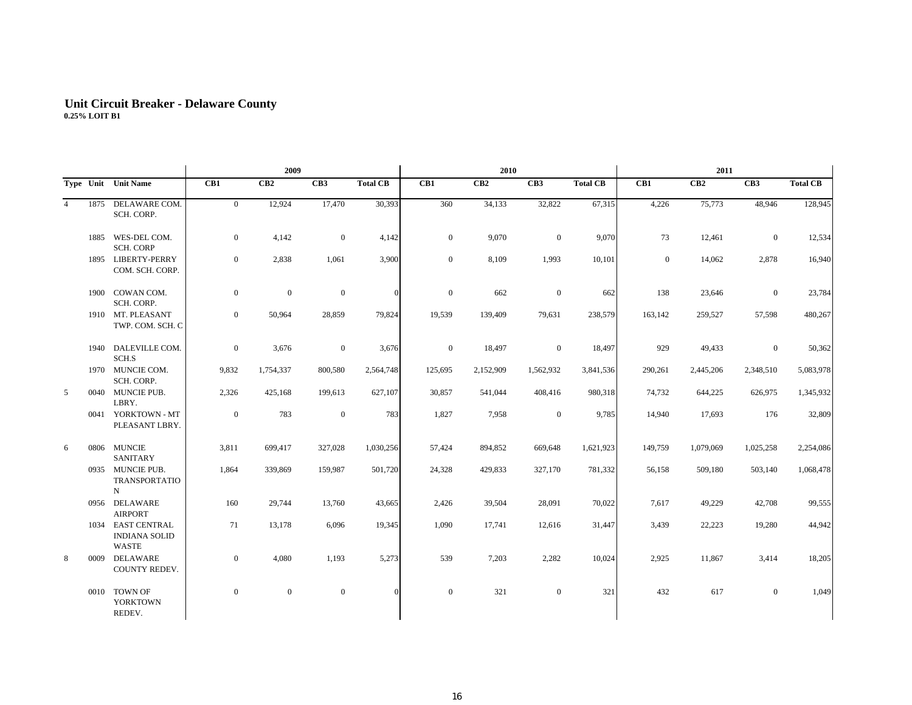## **Unit Circuit Breaker - Delaware Count y 0.25% LOIT B1**

|                |      |                                                           |                | 2009         |                  |                 |              | 2010      |                  |                 |                  | 2011      |                 |                 |
|----------------|------|-----------------------------------------------------------|----------------|--------------|------------------|-----------------|--------------|-----------|------------------|-----------------|------------------|-----------|-----------------|-----------------|
|                |      | Type Unit Unit Name                                       | CB1            | CB2          | CB <sub>3</sub>  | <b>Total CB</b> | CB1          | CB2       | CB <sub>3</sub>  | <b>Total CB</b> | CB1              | CB2       | CB <sub>3</sub> | <b>Total CB</b> |
| $\overline{4}$ | 1875 | DELAWARE COM.<br>SCH. CORP.                               | $\overline{0}$ | 12,924       | 17,470           | 30,393          | 360          | 34,133    | 32,822           | 67,315          | 4,226            | 75,773    | 48,946          | 128,945         |
|                | 1885 | WES-DEL COM.<br><b>SCH. CORP</b>                          | $\mathbf{0}$   | 4,142        | $\boldsymbol{0}$ | 4,142           | $\mathbf{0}$ | 9,070     | $\boldsymbol{0}$ | 9,070           | 73               | 12,461    | $\mathbf{0}$    | 12,534          |
|                |      | 1895 LIBERTY-PERRY<br>COM. SCH. CORP.                     | $\mathbf{0}$   | 2,838        | 1,061            | 3,900           | $\mathbf{0}$ | 8,109     | 1,993            | 10,101          | $\boldsymbol{0}$ | 14,062    | 2,878           | 16,940          |
|                | 1900 | COWAN COM.<br>SCH. CORP.                                  | $\mathbf{0}$   | $\mathbf{0}$ | $\boldsymbol{0}$ | $\Omega$        | $\mathbf{0}$ | 662       | $\boldsymbol{0}$ | 662             | 138              | 23,646    | $\mathbf{0}$    | 23,784          |
|                |      | 1910 MT. PLEASANT<br>TWP. COM. SCH. C                     | $\overline{0}$ | 50,964       | 28,859           | 79,824          | 19,539       | 139,409   | 79,631           | 238,579         | 163,142          | 259,527   | 57,598          | 480,267         |
|                | 1940 | DALEVILLE COM.<br>SCH.S                                   | $\mathbf{0}$   | 3,676        | $\boldsymbol{0}$ | 3,676           | $\mathbf{0}$ | 18,497    | $\overline{0}$   | 18,497          | 929              | 49,433    | $\mathbf{0}$    | 50,362          |
|                |      | 1970 MUNCIE COM.<br>SCH. CORP.                            | 9,832          | 1,754,337    | 800,580          | 2,564,748       | 125,695      | 2,152,909 | 1,562,932        | 3,841,536       | 290,261          | 2,445,206 | 2,348,510       | 5,083,978       |
| 5              |      | 0040 MUNCIE PUB.<br>LBRY.                                 | 2,326          | 425,168      | 199,613          | 627,107         | 30,857       | 541,044   | 408,416          | 980,318         | 74,732           | 644,225   | 626,975         | 1,345,932       |
|                |      | 0041 YORKTOWN - MT<br>PLEASANT LBRY.                      | $\mathbf{0}$   | 783          | $\boldsymbol{0}$ | 783             | 1,827        | 7,958     | $\overline{0}$   | 9,785           | 14,940           | 17,693    | 176             | 32,809          |
| 6              | 0806 | <b>MUNCIE</b><br><b>SANITARY</b>                          | 3,811          | 699,417      | 327,028          | 1,030,256       | 57,424       | 894,852   | 669,648          | 1,621,923       | 149,759          | 1,079,069 | 1,025,258       | 2,254,086       |
|                |      | 0935 MUNCIE PUB.<br><b>TRANSPORTATIO</b><br>N             | 1,864          | 339,869      | 159,987          | 501,720         | 24,328       | 429,833   | 327,170          | 781,332         | 56,158           | 509,180   | 503,140         | 1,068,478       |
|                |      | 0956 DELAWARE<br><b>AIRPORT</b>                           | 160            | 29,744       | 13,760           | 43,665          | 2,426        | 39,504    | 28,091           | 70,022          | 7,617            | 49,229    | 42,708          | 99,555          |
|                |      | 1034 EAST CENTRAL<br><b>INDIANA SOLID</b><br><b>WASTE</b> | 71             | 13,178       | 6,096            | 19,345          | 1,090        | 17,741    | 12,616           | 31,447          | 3,439            | 22,223    | 19,280          | 44,942          |
| 8              | 0009 | <b>DELAWARE</b><br><b>COUNTY REDEV.</b>                   | $\mathbf{0}$   | 4,080        | 1,193            | 5,273           | 539          | 7,203     | 2,282            | 10,024          | 2,925            | 11,867    | 3,414           | 18,205          |
|                | 0010 | <b>TOWN OF</b><br><b>YORKTOWN</b><br>REDEV.               | $\mathbf{0}$   | $\mathbf{0}$ | $\boldsymbol{0}$ | $\Omega$        | $\mathbf{0}$ | 321       | $\mathbf{0}$     | 321             | 432              | 617       | $\mathbf{0}$    | 1,049           |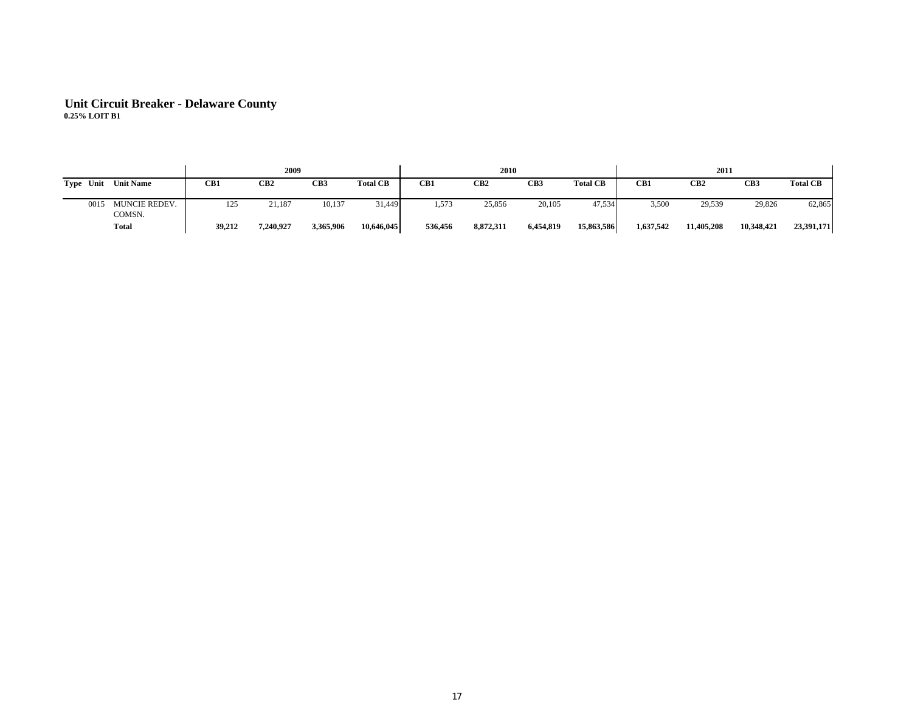# **Unit Circuit Breaker - Delaware Count y 0.25% LOIT B1**

|                               |        | 2009            |           |                 |         | 2010      |           |                 |           | 2011            |                 |                 |
|-------------------------------|--------|-----------------|-----------|-----------------|---------|-----------|-----------|-----------------|-----------|-----------------|-----------------|-----------------|
| Type Unit<br><b>Unit Name</b> | CB1    | CB <sub>2</sub> | CB3       | <b>Total CB</b> | CB1     | CB2       | CB3       | <b>Total CB</b> | CB1       | CB <sub>2</sub> | CB <sub>3</sub> | <b>Total CB</b> |
|                               |        |                 |           |                 |         |           |           |                 |           |                 |                 |                 |
| MUNCIE REDEV.<br>0015         | 125    | 21,187          | 10,137    | 31,449          | 1,573   | 25,856    | 20,105    | 47,534          | 3,500     | 29,539          | 29,826          | 62,865          |
| COMSN.                        |        |                 |           |                 |         |           |           |                 |           |                 |                 |                 |
| <b>Total</b>                  | 39,212 | 7,240,927       | 3,365,906 | 10,646,045      | 536,456 | 8,872,311 | 6,454,819 | 15,863,586      | 1,637,542 | 11,405,208      | 10,348,421      | 23,391,171      |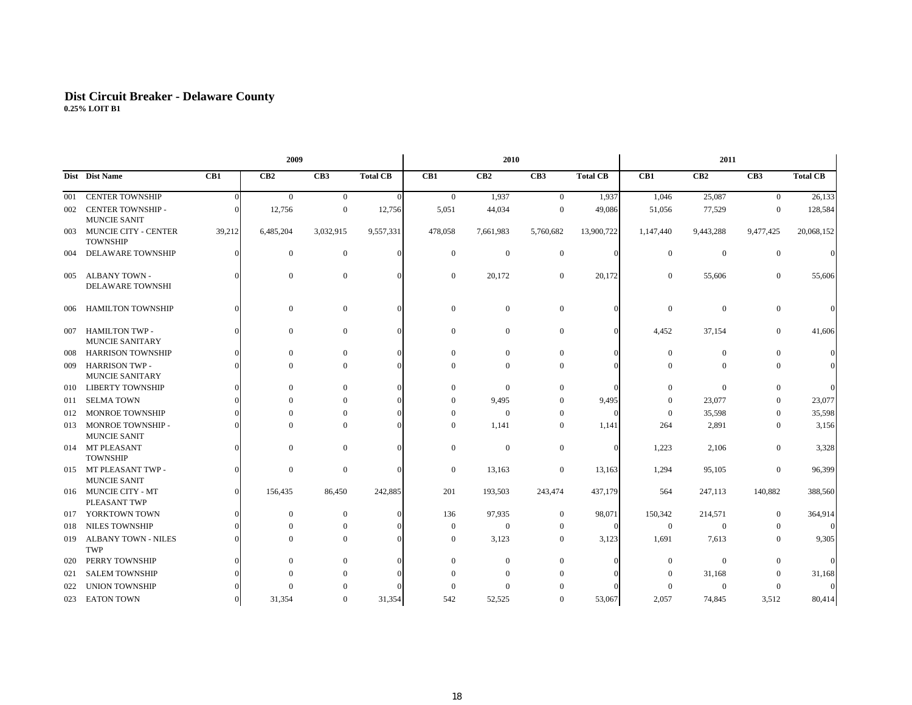## **Dist Circuit Breaker - Delaware Count y 0.25% LOIT B1**

|     |                                                 |        | 2009           |                  |                 |                | 2010             |                  |                 |                | 2011           |                  |                 |
|-----|-------------------------------------------------|--------|----------------|------------------|-----------------|----------------|------------------|------------------|-----------------|----------------|----------------|------------------|-----------------|
|     | Dist Dist Name                                  | CB1    | CB2            | CB <sub>3</sub>  | <b>Total CB</b> | CB1            | CB2              | CB <sub>3</sub>  | <b>Total CB</b> | CB1            | CB2            | CB3              | <b>Total CB</b> |
| 001 | <b>CENTER TOWNSHIP</b>                          |        | $\overline{0}$ | $\overline{0}$   | $\overline{0}$  | $\overline{0}$ | 1,937            | $\overline{0}$   | 1,937           | 1,046          | 25,087         | $\overline{0}$   | 26,133          |
| 002 | <b>CENTER TOWNSHIP -</b><br><b>MUNCIE SANIT</b> |        | 12,756         | $\boldsymbol{0}$ | 12,756          | 5,051          | 44,034           | $\mathbf{0}$     | 49,086          | 51,056         | 77,529         | $\boldsymbol{0}$ | 128,584         |
| 003 | <b>MUNCIE CITY - CENTER</b><br><b>TOWNSHIP</b>  | 39,212 | 6,485,204      | 3,032,915        | 9,557,331       | 478,058        | 7,661,983        | 5,760,682        | 13,900,722      | 1,147,440      | 9,443,288      | 9,477,425        | 20,068,152      |
| 004 | <b>DELAWARE TOWNSHIP</b>                        |        | $\Omega$       | $\mathbf{0}$     |                 | $\Omega$       | $\boldsymbol{0}$ | $\boldsymbol{0}$ |                 | $\overline{0}$ | $\overline{0}$ | $\overline{0}$   |                 |
| 005 | ALBANY TOWN -<br><b>DELAWARE TOWNSHI</b>        |        | $\Omega$       | $\overline{0}$   |                 | $\overline{0}$ | 20,172           | $\mathbf{0}$     | 20,172          | $\mathbf{0}$   | 55,606         | $\boldsymbol{0}$ | 55,606          |
| 006 | <b>HAMILTON TOWNSHIP</b>                        |        | $\Omega$       | $\overline{0}$   |                 | $\mathbf{0}$   | $\boldsymbol{0}$ | $\bf{0}$         |                 | $\theta$       | $\mathbf{0}$   | $\mathbf{0}$     |                 |
| 007 | <b>HAMILTON TWP -</b><br><b>MUNCIE SANITARY</b> |        | $\Omega$       | $\overline{0}$   |                 | $\Omega$       | $\mathbf{0}$     | $\mathbf{0}$     |                 | 4,452          | 37,154         | $\mathbf{0}$     | 41,606          |
| 008 | <b>HARRISON TOWNSHIP</b>                        |        | $\Omega$       | $\Omega$         |                 | $\Omega$       | $\boldsymbol{0}$ | $\mathbf{0}$     |                 | $\theta$       | $\Omega$       | $\Omega$         |                 |
| 009 | <b>HARRISON TWP -</b><br><b>MUNCIE SANITARY</b> |        | $\Omega$       | $\Omega$         |                 | $\Omega$       | $\Omega$         | $\Omega$         |                 |                | $\Omega$       | 0                |                 |
| 010 | <b>LIBERTY TOWNSHIP</b>                         |        | $\Omega$       | $\Omega$         |                 | $\Omega$       | $\boldsymbol{0}$ | $\Omega$         |                 | $\Omega$       | $\Omega$       | $\mathbf{0}$     |                 |
| 011 | <b>SELMA TOWN</b>                               |        |                | $\Omega$         |                 | $\mathbf{0}$   | 9,495            | $\mathbf{0}$     | 9,495           | $\Omega$       | 23,077         | $\mathbf{0}$     | 23,077          |
| 012 | <b>MONROE TOWNSHIP</b>                          |        |                | $\Omega$         |                 | $\mathbf{0}$   | $\overline{0}$   | $\mathbf{0}$     | $\Omega$        | $\overline{0}$ | 35,598         | $\overline{0}$   | 35,598          |
| 013 | MONROE TOWNSHIP -<br><b>MUNCIE SANIT</b>        |        | $\Omega$       | $\Omega$         |                 | $\Omega$       | 1,141            | $\overline{0}$   | 1,141           | 264            | 2,891          | $\Omega$         | 3,156           |
|     | 014 MT PLEASANT<br><b>TOWNSHIP</b>              |        | $\Omega$       | $\overline{0}$   |                 | $\overline{0}$ | $\boldsymbol{0}$ | $\mathbf{0}$     |                 | 1,223          | 2,106          | $\overline{0}$   | 3,328           |
|     | 015 MT PLEASANT TWP -<br><b>MUNCIE SANIT</b>    |        | $\Omega$       | $\overline{0}$   |                 | $\overline{0}$ | 13,163           | $\mathbf{0}$     | 13,163          | 1,294          | 95,105         | $\boldsymbol{0}$ | 96,399          |
|     | 016 MUNCIE CITY - MT<br>PLEASANT TWP            |        | 156,435        | 86,450           | 242,885         | 201            | 193,503          | 243,474          | 437,179         | 564            | 247,113        | 140,882          | 388,560         |
| 017 | YORKTOWN TOWN                                   |        | $\Omega$       | $\Omega$         |                 | 136            | 97,935           | $\mathbf{0}$     | 98,071          | 150,342        | 214,571        | $\boldsymbol{0}$ | 364,914         |
| 018 | <b>NILES TOWNSHIP</b>                           |        | $\Omega$       | $\overline{0}$   |                 | $\overline{0}$ | $\bf{0}$         | $\bf{0}$         |                 | $\mathbf{0}$   | $\overline{0}$ | $\bf{0}$         | $\Omega$        |
| 019 | <b>ALBANY TOWN - NILES</b><br><b>TWP</b>        |        | $\Omega$       | $\Omega$         |                 | $\mathbf{0}$   | 3,123            | $\mathbf{0}$     | 3,123           | 1,691          | 7,613          | $\Omega$         | 9,305           |
| 020 | PERRY TOWNSHIP                                  |        | $\Omega$       | $\theta$         |                 | $\Omega$       | $\theta$         | $\Omega$         |                 | $\Omega$       | $\Omega$       | $\Omega$         | $\Omega$        |
| 021 | <b>SALEM TOWNSHIP</b>                           |        |                | $\Omega$         |                 | $\Omega$       | $\Omega$         | $\Omega$         |                 | $\Omega$       | 31,168         | $\Omega$         | 31,168          |
| 022 | <b>UNION TOWNSHIP</b>                           |        |                |                  |                 |                | $\Omega$         |                  |                 |                | $\Omega$       | 0                |                 |
|     | 023 EATON TOWN                                  |        | 31,354         | $\Omega$         | 31,354          | 542            | 52,525           | $\overline{0}$   | 53,067          | 2,057          | 74,845         | 3,512            | 80,414          |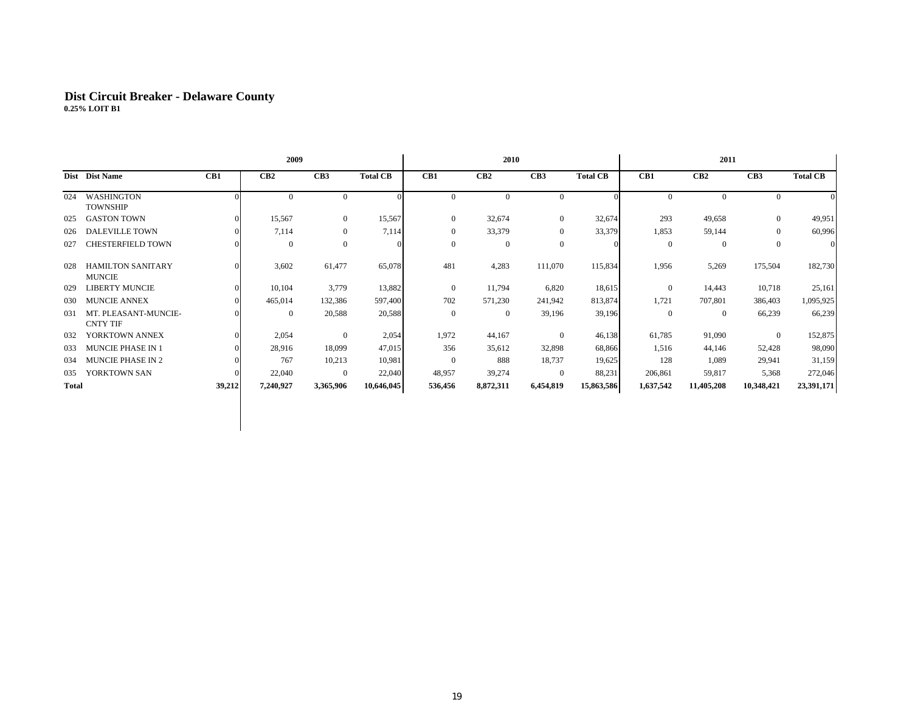## **Dist Circuit Breaker - Delaware Count y 0.25% LOIT B1**

|       |                                           |        | 2009         |                  |                 |                | 2010            |                  |                 |                | 2011           |                 |                 |
|-------|-------------------------------------------|--------|--------------|------------------|-----------------|----------------|-----------------|------------------|-----------------|----------------|----------------|-----------------|-----------------|
|       | Dist Dist Name                            | CB1    | CB2          | CB <sub>3</sub>  | <b>Total CB</b> | CB1            | CB <sub>2</sub> | CB3              | <b>Total CB</b> | CB1            | CB2            | CB <sub>3</sub> | <b>Total CB</b> |
| 024   | <b>WASHINGTON</b><br><b>TOWNSHIP</b>      |        | $\mathbf{0}$ | $\overline{0}$   |                 | $\mathbf{0}$   | $\overline{0}$  | $\overline{0}$   |                 | $\mathbf{0}$   | $\overline{0}$ | $\mathbf{0}$    |                 |
| 025   | <b>GASTON TOWN</b>                        |        | 15,567       | $\overline{0}$   | 15,567          | $\overline{0}$ | 32,674          | $\overline{0}$   | 32,674          | 293            | 49,658         | $\mathbf{0}$    | 49,951          |
| 026   | <b>DALEVILLE TOWN</b>                     |        | 7,114        | $\boldsymbol{0}$ | 7,114           | 0              | 33,379          | $\bf{0}$         | 33,379          | 1,853          | 59,144         | $\mathbf{0}$    | 60,996          |
| 027   | <b>CHESTERFIELD TOWN</b>                  |        | $\mathbf{0}$ | $\overline{0}$   |                 | $\overline{0}$ | $\mathbf{0}$    | $\boldsymbol{0}$ |                 | $\mathbf{0}$   | $\overline{0}$ | $\mathbf{0}$    | $\overline{0}$  |
| 028   | <b>HAMILTON SANITARY</b><br><b>MUNCIE</b> |        | 3,602        | 61,477           | 65,078          | 481            | 4,283           | 111,070          | 115,834         | 1,956          | 5,269          | 175,504         | 182,730         |
| 029   | <b>LIBERTY MUNCIE</b>                     |        | 10,104       | 3,779            | 13,882          | $\mathbf{0}$   | 11,794          | 6,820            | 18,615          | $\overline{0}$ | 14,443         | 10,718          | 25,161          |
| 030   | <b>MUNCIE ANNEX</b>                       |        | 465,014      | 132,386          | 597,400         | 702            | 571,230         | 241,942          | 813,874         | 1,721          | 707,801        | 386,403         | 1,095,925       |
| 031   | MT. PLEASANT-MUNCIE-<br><b>CNTY TIF</b>   |        | $\mathbf{0}$ | 20,588           | 20,588          | $\overline{0}$ | $\overline{0}$  | 39,196           | 39,196          | $\overline{0}$ | $\bf{0}$       | 66,239          | 66,239          |
| 032   | YORKTOWN ANNEX                            |        | 2,054        | $\overline{0}$   | 2,054           | 1,972          | 44,167          | $\overline{0}$   | 46,138          | 61,785         | 91,090         | $\overline{0}$  | 152,875         |
| 033   | <b>MUNCIE PHASE IN 1</b>                  |        | 28,916       | 18,099           | 47,015          | 356            | 35,612          | 32,898           | 68,866          | 1,516          | 44,146         | 52,428          | 98,090          |
| 034   | <b>MUNCIE PHASE IN 2</b>                  |        | 767          | 10,213           | 10,981          | $\overline{0}$ | 888             | 18,737           | 19,625          | 128            | 1,089          | 29,941          | 31,159          |
| 035   | YORKTOWN SAN                              |        | 22,040       | $\overline{0}$   | 22,040          | 48,957         | 39,274          | $\overline{0}$   | 88,231          | 206,861        | 59,817         | 5,368           | 272,046         |
| Total |                                           | 39,212 | 7,240,927    | 3,365,906        | 10,646,045      | 536,456        | 8,872,311       | 6,454,819        | 15,863,586      | 1,637,542      | 11,405,208     | 10,348,421      | 23,391,171      |
|       |                                           |        |              |                  |                 |                |                 |                  |                 |                |                |                 |                 |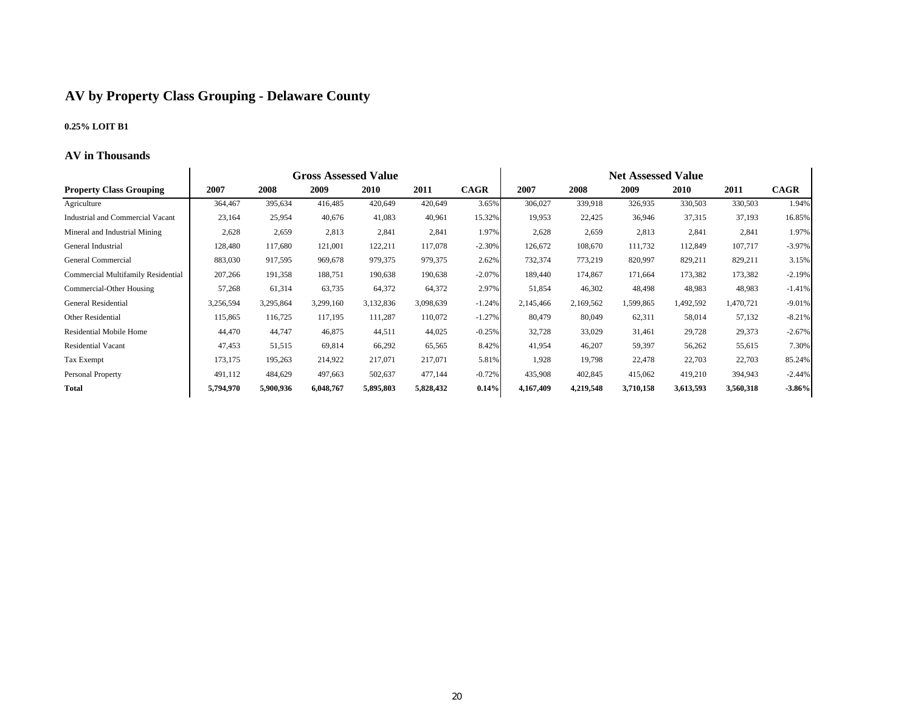#### **AV b y Pro pert y Class Grou pin g - Delaware Count y**

#### **0.25% LOIT B1**

#### **AV in Thousands**

|                                           |           |           | <b>Gross Assessed Value</b> |           |           |             |           |           | <b>Net Assessed Value</b> |             |           |             |
|-------------------------------------------|-----------|-----------|-----------------------------|-----------|-----------|-------------|-----------|-----------|---------------------------|-------------|-----------|-------------|
| <b>Property Class Grouping</b>            | 2007      | 2008      | 2009                        | 2010      | 2011      | <b>CAGR</b> | 2007      | 2008      | 2009                      | <b>2010</b> | 2011      | <b>CAGR</b> |
| Agriculture                               | 364,467   | 395,634   | 416,485                     | 420,649   | 420,649   | 3.65%       | 306,027   | 339,918   | 326,935                   | 330,503     | 330,503   | 1.94%       |
| Industrial and Commercial Vacant          | 23,164    | 25,954    | 40,676                      | 41,083    | 40,961    | 15.32%      | 19,953    | 22,425    | 36,946                    | 37,315      | 37,193    | 16.85%      |
| Mineral and Industrial Mining             | 2,628     | 2,659     | 2,813                       | 2,841     | 2,841     | 1.97%       | 2,628     | 2,659     | 2,813                     | 2,841       | 2,841     | 1.97%       |
| General Industrial                        | 128,480   | 117,680   | 121,001                     | 122,211   | 117,078   | $-2.30%$    | 126,672   | 108,670   | 111,732                   | 112,849     | 107,717   | $-3.97%$    |
| General Commercial                        | 883,030   | 917,595   | 969,678                     | 979,375   | 979,375   | 2.62%       | 732,374   | 773,219   | 820,997                   | 829,211     | 829,211   | 3.15%       |
| <b>Commercial Multifamily Residential</b> | 207,266   | 191,358   | 188,751                     | 190,638   | 190,638   | $-2.07%$    | 189,440   | 174,867   | 171,664                   | 173,382     | 173,382   | $-2.19%$    |
| Commercial-Other Housing                  | 57,268    | 61,314    | 63,735                      | 64,372    | 64,372    | 2.97%       | 51,854    | 46,302    | 48,498                    | 48,983      | 48,983    | $-1.41%$    |
| General Residential                       | 3,256,594 | 3,295,864 | 3,299,160                   | 3,132,836 | 3,098,639 | $-1.24%$    | 2,145,466 | 2,169,562 | 1,599,865                 | 1,492,592   | 1,470,721 | $-9.01%$    |
| Other Residential                         | 115,865   | 116,725   | 117,195                     | 111,287   | 110,072   | $-1.27%$    | 80,479    | 80,049    | 62,311                    | 58,014      | 57,132    | $-8.21%$    |
| <b>Residential Mobile Home</b>            | 44,470    | 44,747    | 46,875                      | 44,511    | 44,025    | $-0.25%$    | 32,728    | 33,029    | 31,461                    | 29,728      | 29,373    | $-2.67%$    |
| <b>Residential Vacant</b>                 | 47,453    | 51,515    | 69,814                      | 66,292    | 65,565    | 8.42%       | 41,954    | 46,207    | 59,397                    | 56,262      | 55,615    | 7.30%       |
| <b>Tax Exempt</b>                         | 173,175   | 195,263   | 214,922                     | 217,071   | 217,071   | 5.81%       | 1,928     | 19,798    | 22,478                    | 22,703      | 22,703    | 85.24%      |
| Personal Property                         | 491,112   | 484,629   | 497,663                     | 502,637   | 477,144   | $-0.72%$    | 435,908   | 402,845   | 415,062                   | 419,210     | 394,943   | $-2.44%$    |
| <b>Total</b>                              | 5,794,970 | 5,900,936 | 6,048,767                   | 5,895,803 | 5,828,432 | 0.14%       | 4,167,409 | 4,219,548 | 3,710,158                 | 3,613,593   | 3,560,318 | $-3.86%$    |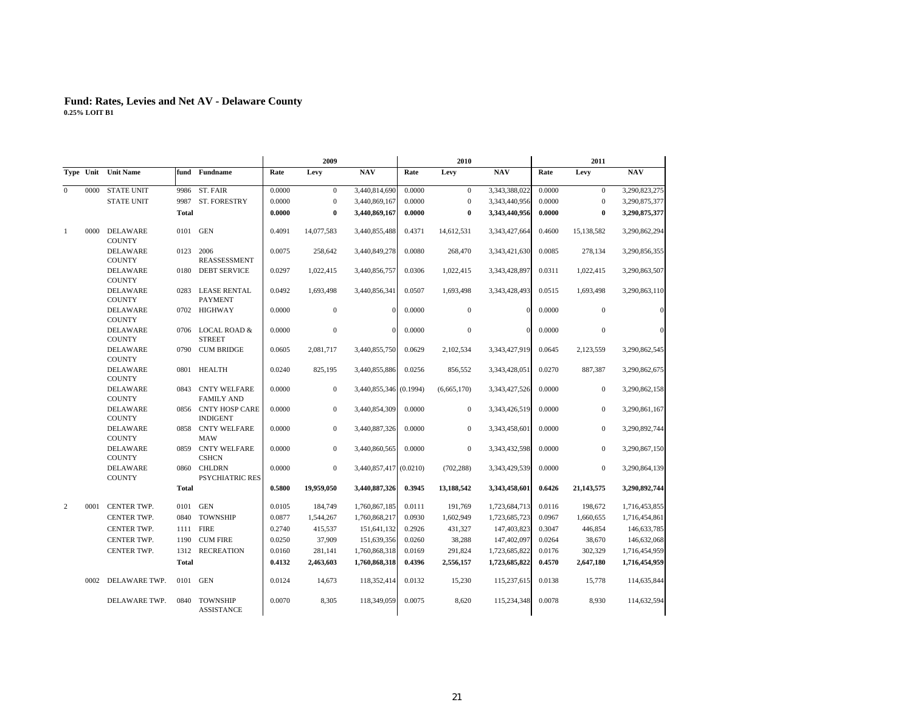|                |      |                                  |              |                                          |        | 2009             |                        |        | 2010         |               |        | 2011         |               |
|----------------|------|----------------------------------|--------------|------------------------------------------|--------|------------------|------------------------|--------|--------------|---------------|--------|--------------|---------------|
|                |      | Type Unit Unit Name              |              | fund Fundname                            | Rate   | Levy             | <b>NAV</b>             | Rate   | Levy         | <b>NAV</b>    | Rate   | Levy         | <b>NAV</b>    |
| $\Omega$       | 0000 | <b>STATE UNIT</b>                | 9986         | ST. FAIR                                 | 0.0000 | $\mathbf{0}$     | 3,440,814,690          | 0.0000 | $\mathbf{0}$ | 3,343,388,022 | 0.0000 | $\mathbf{0}$ | 3,290,823,275 |
|                |      | <b>STATE UNIT</b>                |              | 9987 ST. FORESTRY                        | 0.0000 | $\mathbf{0}$     | 3,440,869,167          | 0.0000 | $\mathbf{0}$ | 3,343,440,956 | 0.0000 | $\mathbf{0}$ | 3,290,875,377 |
|                |      |                                  | <b>Total</b> |                                          | 0.0000 | $\bf{0}$         | 3,440,869,167          | 0.0000 | $\bf{0}$     | 3,343,440,956 | 0.0000 | $\bf{0}$     | 3,290,875,377 |
| 1              | 0000 | <b>DELAWARE</b><br><b>COUNTY</b> | 0101         | <b>GEN</b>                               | 0.4091 | 14,077,583       | 3,440,855,488          | 0.4371 | 14,612,531   | 3,343,427,664 | 0.4600 | 15,138,582   | 3,290,862,294 |
|                |      | <b>DELAWARE</b><br><b>COUNTY</b> |              | 0123 2006<br>REASSESSMENT                | 0.0075 | 258,642          | 3,440,849,278          | 0.0080 | 268,470      | 3,343,421,630 | 0.0085 | 278,134      | 3,290,856,355 |
|                |      | DELAWARE<br><b>COUNTY</b>        |              | 0180 DEBT SERVICE                        | 0.0297 | 1,022,415        | 3,440,856,757          | 0.0306 | 1,022,415    | 3,343,428,897 | 0.0311 | 1,022,415    | 3,290,863,507 |
|                |      | <b>DELAWARE</b><br><b>COUNTY</b> |              | 0283 LEASE RENTAL<br><b>PAYMENT</b>      | 0.0492 | 1,693,498        | 3,440,856,341          | 0.0507 | 1,693,498    | 3,343,428,493 | 0.0515 | 1,693,498    | 3,290,863,110 |
|                |      | <b>DELAWARE</b><br><b>COUNTY</b> |              | 0702 HIGHWAY                             | 0.0000 | $\boldsymbol{0}$ | $\Omega$               | 0.0000 | $\mathbf{0}$ | $\Omega$      | 0.0000 | $\mathbf{0}$ | $\sqrt{a}$    |
|                |      | <b>DELAWARE</b><br><b>COUNTY</b> | 0706         | <b>LOCAL ROAD &amp;</b><br><b>STREET</b> | 0.0000 | $\mathbf{0}$     |                        | 0.0000 | $\mathbf{0}$ | $\Omega$      | 0.0000 | $\mathbf{0}$ | $\sqrt{ }$    |
|                |      | <b>DELAWARE</b><br><b>COUNTY</b> |              | 0790 CUM BRIDGE                          | 0.0605 | 2.081.717        | 3,440,855,750          | 0.0629 | 2,102,534    | 3,343,427,919 | 0.0645 | 2,123,559    | 3,290,862,545 |
|                |      | <b>DELAWARE</b><br><b>COUNTY</b> |              | 0801 HEALTH                              | 0.0240 | 825,195          | 3,440,855,886          | 0.0256 | 856,552      | 3,343,428,051 | 0.0270 | 887,387      | 3,290,862,675 |
|                |      | <b>DELAWARE</b><br><b>COUNTY</b> |              | 0843 CNTY WELFARE<br><b>FAMILY AND</b>   | 0.0000 | $\mathbf{0}$     | 3,440,855,346 (0.1994) |        | (6,665,170)  | 3,343,427,526 | 0.0000 | $\mathbf{0}$ | 3,290,862,158 |
|                |      | <b>DELAWARE</b><br><b>COUNTY</b> |              | 0856 CNTY HOSP CARE<br><b>INDIGENT</b>   | 0.0000 | $\mathbf{0}$     | 3,440,854,309          | 0.0000 | $\mathbf{0}$ | 3,343,426,519 | 0.0000 | $\mathbf{0}$ | 3,290,861,167 |
|                |      | <b>DELAWARE</b><br><b>COUNTY</b> |              | 0858 CNTY WELFARE<br><b>MAW</b>          | 0.0000 | $\boldsymbol{0}$ | 3,440,887,326          | 0.0000 | $\mathbf{0}$ | 3,343,458,601 | 0.0000 | $\mathbf{0}$ | 3,290,892,744 |
|                |      | <b>DELAWARE</b><br><b>COUNTY</b> | 0859         | <b>CNTY WELFARE</b><br><b>CSHCN</b>      | 0.0000 | $\mathbf{0}$     | 3,440,860,565          | 0.0000 | $\mathbf{0}$ | 3,343,432,598 | 0.0000 | $\mathbf{0}$ | 3,290,867,150 |
|                |      | <b>DELAWARE</b><br><b>COUNTY</b> |              | 0860 CHLDRN<br><b>PSYCHIATRIC RES</b>    | 0.0000 | $\mathbf{0}$     | 3,440,857,417 (0.0210) |        | (702, 288)   | 3,343,429,539 | 0.0000 | $\mathbf{0}$ | 3,290,864,139 |
|                |      |                                  | <b>Total</b> |                                          | 0.5800 | 19,959,050       | 3,440,887,326          | 0.3945 | 13,188,542   | 3,343,458,601 | 0.6426 | 21,143,575   | 3,290,892,744 |
| $\overline{2}$ | 0001 | CENTER TWP.                      |              | 0101 GEN                                 | 0.0105 | 184,749          | 1,760,867,185          | 0.0111 | 191,769      | 1,723,684,713 | 0.0116 | 198,672      | 1,716,453,855 |
|                |      | <b>CENTER TWP.</b>               | 0840         | <b>TOWNSHIP</b>                          | 0.0877 | 1,544,267        | 1,760,868,217          | 0.0930 | 1,602,949    | 1,723,685,723 | 0.0967 | 1,660,655    | 1,716,454,861 |
|                |      | CENTER TWP.                      |              | 1111 FIRE                                | 0.2740 | 415,537          | 151,641,132            | 0.2926 | 431,327      | 147,403,823   | 0.3047 | 446,854      | 146,633,785   |
|                |      | CENTER TWP.                      |              | 1190 CUM FIRE                            | 0.0250 | 37,909           | 151,639,356            | 0.0260 | 38,288       | 147,402,097   | 0.0264 | 38,670       | 146,632,068   |
|                |      | CENTER TWP.                      |              | 1312 RECREATION                          | 0.0160 | 281,141          | 1,760,868,318          | 0.0169 | 291,824      | 1,723,685,822 | 0.0176 | 302,329      | 1,716,454,959 |
|                |      |                                  | <b>Total</b> |                                          | 0.4132 | 2,463,603        | 1,760,868,318          | 0.4396 | 2,556,157    | 1,723,685,822 | 0.4570 | 2,647,180    | 1,716,454,959 |
|                | 0002 | DELAWARE TWP.                    |              | 0101 GEN                                 | 0.0124 | 14,673           | 118,352,414            | 0.0132 | 15,230       | 115,237,615   | 0.0138 | 15,778       | 114,635,844   |
|                |      | DELAWARE TWP.                    | 0840         | <b>TOWNSHIP</b><br><b>ASSISTANCE</b>     | 0.0070 | 8,305            | 118,349,059            | 0.0075 | 8,620        | 115,234,348   | 0.0078 | 8,930        | 114,632,594   |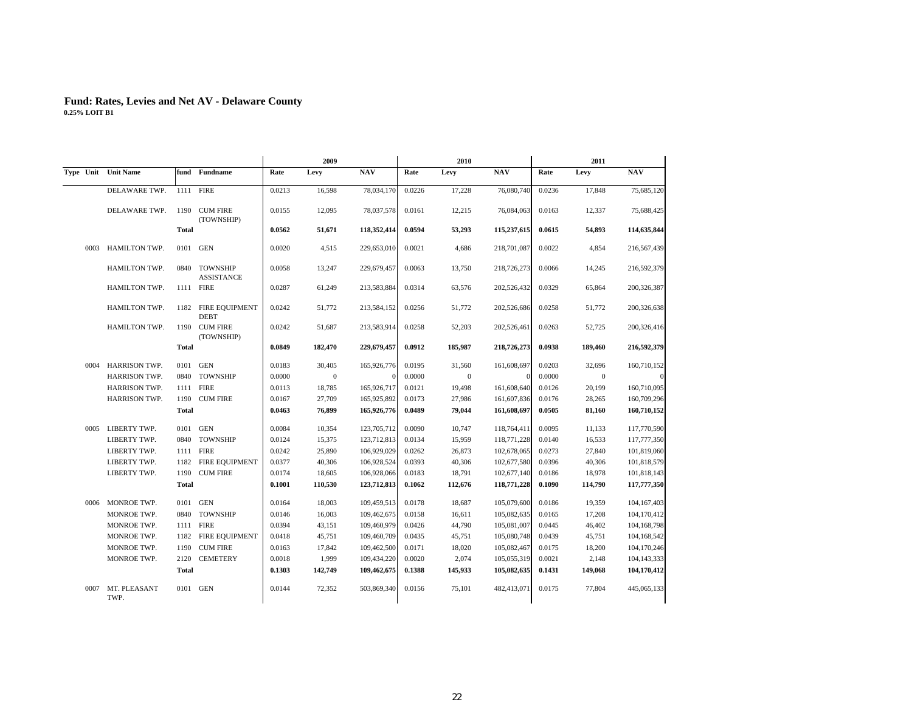|      |                      |              |                                    |        | 2009        |              |        | 2010         |             |        | 2011         |             |
|------|----------------------|--------------|------------------------------------|--------|-------------|--------------|--------|--------------|-------------|--------|--------------|-------------|
|      | Type Unit Unit Name  |              | fund Fundname                      | Rate   | Levy        | NAV          | Rate   | Levy         | NAV         | Rate   | Levy         | NAV         |
|      | DELAWARE TWP.        |              | 1111 FIRE                          | 0.0213 | 16,598      | 78,034,170   | 0.0226 | 17,228       | 76,080,740  | 0.0236 | 17,848       | 75,685,120  |
|      | DELAWARE TWP.        |              | 1190 CUM FIRE<br>(TOWNSHIP)        | 0.0155 | 12,095      | 78,037,578   | 0.0161 | 12,215       | 76,084,063  | 0.0163 | 12,337       | 75,688,425  |
|      |                      | Total        |                                    | 0.0562 | 51,671      | 118,352,414  | 0.0594 | 53,293       | 115,237,615 | 0.0615 | 54.893       | 114,635,844 |
| 0003 | <b>HAMILTON TWP.</b> |              | 0101 GEN                           | 0.0020 | 4,515       | 229,653,010  | 0.0021 | 4,686        | 218,701,087 | 0.0022 | 4,854        | 216,567,439 |
|      | HAMILTON TWP.        |              | 0840 TOWNSHIP<br><b>ASSISTANCE</b> | 0.0058 | 13,247      | 229,679,457  | 0.0063 | 13,750       | 218,726,273 | 0.0066 | 14,245       | 216,592,379 |
|      | <b>HAMILTON TWP.</b> |              | 1111 FIRE                          | 0.0287 | 61,249      | 213,583,884  | 0.0314 | 63,576       | 202,526,432 | 0.0329 | 65,864       | 200,326,387 |
|      | HAMILTON TWP.        |              | 1182 FIRE EQUIPMENT<br><b>DEBT</b> | 0.0242 | 51,772      | 213,584,152  | 0.0256 | 51,772       | 202,526,686 | 0.0258 | 51,772       | 200,326,638 |
|      | <b>HAMILTON TWP.</b> |              | 1190 CUM FIRE<br>(TOWNSHIP)        | 0.0242 | 51,687      | 213,583,914  | 0.0258 | 52,203       | 202,526,461 | 0.0263 | 52,725       | 200,326,416 |
|      |                      | <b>Total</b> |                                    | 0.0849 | 182,470     | 229,679,457  | 0.0912 | 185,987      | 218,726,273 | 0.0938 | 189,460      | 216,592,379 |
| 0004 | <b>HARRISON TWP.</b> | 0101         | <b>GEN</b>                         | 0.0183 | 30,405      | 165,926,776  | 0.0195 | 31,560       | 161,608,697 | 0.0203 | 32,696       | 160,710,152 |
|      | HARRISON TWP.        |              | 0840 TOWNSHIP                      | 0.0000 | $\mathbf 0$ | $\mathbf{0}$ | 0.0000 | $\mathbf{0}$ |             | 0.0000 | $\mathbf{0}$ | $\sqrt{a}$  |
|      | <b>HARRISON TWP.</b> |              | 1111 FIRE                          | 0.0113 | 18,785      | 165,926,717  | 0.0121 | 19,498       | 161,608,640 | 0.0126 | 20,199       | 160,710,095 |
|      | HARRISON TWP.        |              | 1190 CUM FIRE                      | 0.0167 | 27,709      | 165,925,892  | 0.0173 | 27,986       | 161,607,836 | 0.0176 | 28,265       | 160,709,296 |
|      |                      | <b>Total</b> |                                    | 0.0463 | 76,899      | 165,926,776  | 0.0489 | 79,044       | 161,608,697 | 0.0505 | 81,160       | 160,710,152 |
|      | 0005 LIBERTY TWP.    |              | 0101 GEN                           | 0.0084 | 10,354      | 123,705,712  | 0.0090 | 10,747       | 118,764,411 | 0.0095 | 11,133       | 117,770,590 |
|      | LIBERTY TWP.         |              | 0840 TOWNSHIP                      | 0.0124 | 15,375      | 123,712,813  | 0.0134 | 15,959       | 118,771,228 | 0.0140 | 16,533       | 117,777,350 |
|      | LIBERTY TWP.         |              | 1111 FIRE                          | 0.0242 | 25,890      | 106,929,029  | 0.0262 | 26,873       | 102,678,065 | 0.0273 | 27,840       | 101,819,060 |
|      | LIBERTY TWP.         |              | 1182 FIRE EQUIPMENT                | 0.0377 | 40,306      | 106,928,524  | 0.0393 | 40,306       | 102,677,580 | 0.0396 | 40,306       | 101,818,579 |
|      | LIBERTY TWP.         |              | 1190 CUM FIRE                      | 0.0174 | 18,605      | 106,928,066  | 0.0183 | 18,791       | 102,677,140 | 0.0186 | 18,978       | 101,818,143 |
|      |                      | Total        |                                    | 0.1001 | 110,530     | 123,712,813  | 0.1062 | 112,676      | 118,771,228 | 0.1090 | 114,790      | 117,777,350 |
|      | 0006 MONROE TWP.     |              | 0101 GEN                           | 0.0164 | 18,003      | 109,459,513  | 0.0178 | 18,687       | 105,079,600 | 0.0186 | 19,359       | 104,167,403 |
|      | MONROE TWP.          |              | 0840 TOWNSHIP                      | 0.0146 | 16,003      | 109,462,675  | 0.0158 | 16,611       | 105,082,635 | 0.0165 | 17,208       | 104,170,412 |
|      | MONROE TWP.          |              | 1111 FIRE                          | 0.0394 | 43,151      | 109,460,979  | 0.0426 | 44,790       | 105,081,007 | 0.0445 | 46,402       | 104,168,798 |
|      | MONROE TWP.          |              | 1182 FIRE EQUIPMENT                | 0.0418 | 45,751      | 109,460,709  | 0.0435 | 45,751       | 105,080,748 | 0.0439 | 45,751       | 104,168,542 |
|      | MONROE TWP.          | 1190         | <b>CUM FIRE</b>                    | 0.0163 | 17,842      | 109,462,500  | 0.0171 | 18,020       | 105,082,467 | 0.0175 | 18,200       | 104,170,246 |
|      | MONROE TWP.          |              | 2120 CEMETERY                      | 0.0018 | 1,999       | 109,434,220  | 0.0020 | 2,074        | 105,055,319 | 0.0021 | 2,148        | 104,143,333 |
|      |                      | <b>Total</b> |                                    | 0.1303 | 142,749     | 109,462,675  | 0.1388 | 145,933      | 105,082,635 | 0.1431 | 149,068      | 104,170,412 |
| 0007 | MT. PLEASANT<br>TWP. |              | 0101 GEN                           | 0.0144 | 72,352      | 503,869,340  | 0.0156 | 75,101       | 482,413,071 | 0.0175 | 77,804       | 445,065,133 |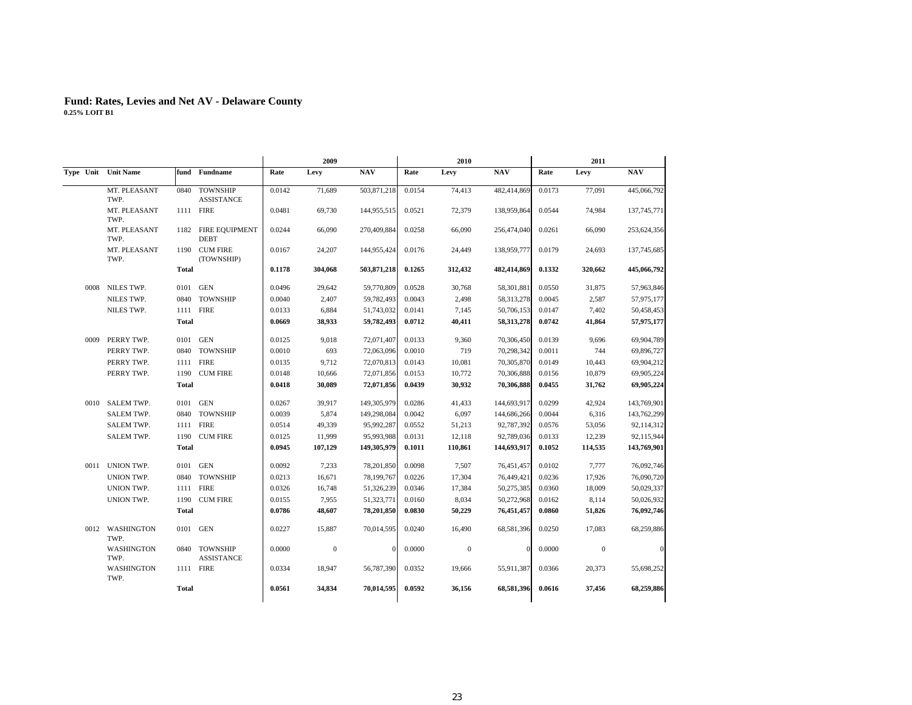|      |                         |              |                                      |        | 2009         |              |        | 2010             |              |        | 2011         |             |
|------|-------------------------|--------------|--------------------------------------|--------|--------------|--------------|--------|------------------|--------------|--------|--------------|-------------|
|      | Type Unit Unit Name     |              | fund Fundname                        | Rate   | Levy         | <b>NAV</b>   | Rate   | Levy             | NAV          | Rate   | Levy         | <b>NAV</b>  |
|      | MT. PLEASANT<br>TWP.    | 0840         | <b>TOWNSHIP</b><br><b>ASSISTANCE</b> | 0.0142 | 71,689       | 503,871,218  | 0.0154 | 74,413           | 482,414,869  | 0.0173 | 77,091       | 445,066,792 |
|      | MT. PLEASANT<br>TWP.    |              | 1111 FIRE                            | 0.0481 | 69,730       | 144,955,515  | 0.0521 | 72,379           | 138,959,864  | 0.0544 | 74,984       | 137,745,771 |
|      | MT. PLEASANT<br>TWP.    |              | 1182 FIRE EQUIPMENT<br><b>DEBT</b>   | 0.0244 | 66,090       | 270,409,884  | 0.0258 | 66,090           | 256,474,040  | 0.0261 | 66,090       | 253,624,356 |
|      | MT. PLEASANT<br>TWP.    |              | 1190 CUM FIRE<br>(TOWNSHIP)          | 0.0167 | 24,207       | 144,955,424  | 0.0176 | 24,449           | 138,959,777  | 0.0179 | 24,693       | 137,745,685 |
|      |                         | <b>Total</b> |                                      | 0.1178 | 304,068      | 503,871,218  | 0.1265 | 312,432          | 482,414,869  | 0.1332 | 320,662      | 445,066,792 |
| 0008 | NILES TWP.              |              | 0101 GEN                             | 0.0496 | 29,642       | 59,770,809   | 0.0528 | 30,768           | 58,301,881   | 0.0550 | 31,875       | 57,963,846  |
|      | NILES TWP.              | 0840         | <b>TOWNSHIP</b>                      | 0.0040 | 2,407        | 59,782,493   | 0.0043 | 2,498            | 58,313,278   | 0.0045 | 2,587        | 57,975,177  |
|      | NILES TWP.              |              | 1111 FIRE                            | 0.0133 | 6,884        | 51,743,032   | 0.0141 | 7,145            | 50,706,153   | 0.0147 | 7,402        | 50,458,453  |
|      |                         | <b>Total</b> |                                      | 0.0669 | 38,933       | 59,782,493   | 0.0712 | 40,411           | 58, 313, 278 | 0.0742 | 41,864       | 57,975,177  |
| 0009 | PERRY TWP.              |              | 0101 GEN                             | 0.0125 | 9,018        | 72,071,407   | 0.0133 | 9,360            | 70,306,450   | 0.0139 | 9,696        | 69,904,789  |
|      | PERRY TWP.              | 0840         | <b>TOWNSHIP</b>                      | 0.0010 | 693          | 72,063,096   | 0.0010 | 719              | 70,298,342   | 0.0011 | 744          | 69,896,727  |
|      | PERRY TWP.              | 1111         | <b>FIRE</b>                          | 0.0135 | 9,712        | 72,070,813   | 0.0143 | 10,081           | 70,305,870   | 0.0149 | 10,443       | 69,904,212  |
|      | PERRY TWP.              |              | 1190 CUM FIRE                        | 0.0148 | 10,666       | 72,071,856   | 0.0153 | 10,772           | 70,306,888   | 0.0156 | 10,879       | 69,905,224  |
|      |                         | Total        |                                      | 0.0418 | 30,089       | 72,071,856   | 0.0439 | 30,932           | 70,306,888   | 0.0455 | 31,762       | 69,905,224  |
|      | 0010 SALEM TWP.         | 0101         | GEN                                  | 0.0267 | 39,917       | 149,305,979  | 0.0286 | 41,433           | 144,693,917  | 0.0299 | 42,924       | 143,769,901 |
|      | SALEM TWP.              | 0840         | <b>TOWNSHIP</b>                      | 0.0039 | 5,874        | 149,298,084  | 0.0042 | 6,097            | 144,686,266  | 0.0044 | 6,316        | 143,762,299 |
|      | SALEM TWP.              |              | 1111 FIRE                            | 0.0514 | 49,339       | 95,992,287   | 0.0552 | 51,213           | 92,787,392   | 0.0576 | 53,056       | 92,114,312  |
|      | SALEM TWP.              |              | 1190 CUM FIRE                        | 0.0125 | 11,999       | 95,993,988   | 0.0131 | 12,118           | 92,789,036   | 0.0133 | 12,239       | 92,115,944  |
|      |                         | <b>Total</b> |                                      | 0.0945 | 107,129      | 149,305,979  | 0.1011 | 110,861          | 144,693,917  | 0.1052 | 114,535      | 143,769,901 |
|      | 0011 UNION TWP.         | 0101         | GEN                                  | 0.0092 | 7,233        | 78,201,850   | 0.0098 | 7,507            | 76,451,457   | 0.0102 | 7,777        | 76,092,746  |
|      | UNION TWP.              | 0840         | <b>TOWNSHIP</b>                      | 0.0213 | 16,671       | 78,199,767   | 0.0226 | 17,304           | 76,449,421   | 0.0236 | 17,926       | 76,090,720  |
|      | UNION TWP.              |              | 1111 FIRE                            | 0.0326 | 16,748       | 51,326,239   | 0.0346 | 17,384           | 50,275,385   | 0.0360 | 18,009       | 50,029,337  |
|      | UNION TWP.              | 1190         | <b>CUM FIRE</b>                      | 0.0155 | 7,955        | 51,323,771   | 0.0160 | 8,034            | 50,272,968   | 0.0162 | 8,114        | 50,026,932  |
|      |                         | Total        |                                      | 0.0786 | 48,607       | 78,201,850   | 0.0830 | 50,229           | 76,451,457   | 0.0860 | 51,826       | 76,092,746  |
|      | 0012 WASHINGTON<br>TWP. |              | 0101 GEN                             | 0.0227 | 15,887       | 70,014,595   | 0.0240 | 16,490           | 68,581,396   | 0.0250 | 17,083       | 68,259,886  |
|      | WASHINGTON<br>TWP.      |              | 0840 TOWNSHIP<br><b>ASSISTANCE</b>   | 0.0000 | $\mathbf{0}$ | $\mathbf{0}$ | 0.0000 | $\boldsymbol{0}$ | $\Omega$     | 0.0000 | $\mathbf{0}$ | $\mathbf 0$ |
|      | WASHINGTON<br>TWP.      |              | 1111 FIRE                            | 0.0334 | 18,947       | 56,787,390   | 0.0352 | 19,666           | 55,911,387   | 0.0366 | 20,373       | 55,698,252  |
|      |                         | Total        |                                      | 0.0561 | 34,834       | 70,014,595   | 0.0592 | 36,156           | 68,581,396   | 0.0616 | 37,456       | 68,259,886  |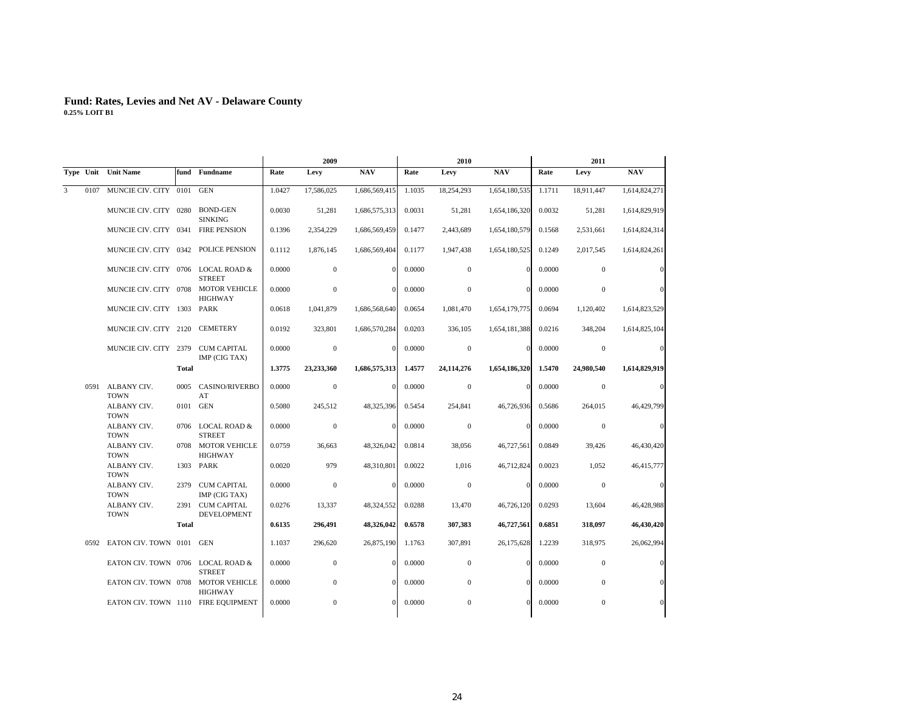|   |      | 2009                                 |              |                                          |        | 2010             |               | 2011   |                  |               |        |                  |               |
|---|------|--------------------------------------|--------------|------------------------------------------|--------|------------------|---------------|--------|------------------|---------------|--------|------------------|---------------|
|   |      | Type Unit Unit Name                  |              | fund Fundname                            | Rate   | Levy             | <b>NAV</b>    | Rate   | Levy             | <b>NAV</b>    | Rate   | Levy             | <b>NAV</b>    |
| 3 | 0107 | MUNCIE CIV. CITY 0101                |              | <b>GEN</b>                               | 1.0427 | 17,586,025       | 1,686,569,415 | 1.1035 | 18,254,293       | 1,654,180,535 | 1.1711 | 18,911,447       | 1,614,824,271 |
|   |      | MUNCIE CIV. CITY 0280                |              | BOND-GEN<br><b>SINKING</b>               | 0.0030 | 51,281           | 1,686,575,313 | 0.0031 | 51,281           | 1,654,186,320 | 0.0032 | 51,281           | 1,614,829,919 |
|   |      | MUNCIE CIV. CITY 0341                |              | <b>FIRE PENSION</b>                      | 0.1396 | 2,354,229        | 1,686,569,459 | 0.1477 | 2,443,689        | 1,654,180,579 | 0.1568 | 2,531,661        | 1,614,824,314 |
|   |      | MUNCIE CIV. CITY 0342 POLICE PENSION |              |                                          | 0.1112 | 1,876,145        | 1,686,569,404 | 0.1177 | 1,947,438        | 1,654,180,525 | 0.1249 | 2,017,545        | 1,614,824,261 |
|   |      | MUNCIE CIV. CITY 0706                |              | <b>LOCAL ROAD &amp;</b><br><b>STREET</b> | 0.0000 | $\mathbf{0}$     | $\Omega$      | 0.0000 | $\mathbf{0}$     | $\Omega$      | 0.0000 | $\mathbf{0}$     | $\sqrt{ }$    |
|   |      | MUNCIE CIV. CITY 0708                |              | <b>MOTOR VEHICLE</b><br><b>HIGHWAY</b>   | 0.0000 | $\mathbf{0}$     | $\Omega$      | 0.0000 | $\mathbf{0}$     | $\Omega$      | 0.0000 | $\mathbf{0}$     | $\sqrt{ }$    |
|   |      | MUNCIE CIV. CITY 1303 PARK           |              |                                          | 0.0618 | 1,041,879        | 1,686,568,640 | 0.0654 | 1,081,470        | 1,654,179,775 | 0.0694 | 1,120,402        | 1,614,823,529 |
|   |      | MUNCIE CIV. CITY 2120                |              | <b>CEMETERY</b>                          | 0.0192 | 323,801          | 1,686,570,284 | 0.0203 | 336,105          | 1,654,181,388 | 0.0216 | 348,204          | 1,614,825,104 |
|   |      | MUNCIE CIV. CITY 2379 CUM CAPITAL    |              | IMP (CIG TAX)                            | 0.0000 | $\mathbf{0}$     | $\mathbf{0}$  | 0.0000 | $\mathbf{0}$     | $\Omega$      | 0.0000 | $\boldsymbol{0}$ | $\sqrt{a}$    |
|   |      |                                      | <b>Total</b> |                                          | 1.3775 | 23,233,360       | 1,686,575,313 | 1.4577 | 24,114,276       | 1,654,186,320 | 1.5470 | 24,980,540       | 1,614,829,919 |
|   |      | 0591 ALBANY CIV.<br><b>TOWN</b>      |              | 0005 CASINO/RIVERBO<br>AT                | 0.0000 | $\mathbf{0}$     | $\Omega$      | 0.0000 | $\mathbf{0}$     | $\Omega$      | 0.0000 | $\mathbf{0}$     | $\sqrt{ }$    |
|   |      | ALBANY CIV.<br><b>TOWN</b>           | 0101         | <b>GEN</b>                               | 0.5080 | 245.512          | 48,325,396    | 0.5454 | 254.841          | 46.726.936    | 0.5686 | 264,015          | 46,429,799    |
|   |      | ALBANY CIV.<br><b>TOWN</b>           |              | 0706 LOCAL ROAD &<br><b>STREET</b>       | 0.0000 | $\boldsymbol{0}$ | $\mathbf{0}$  | 0.0000 | $\boldsymbol{0}$ | $\Omega$      | 0.0000 | $\mathbf 0$      | $\mathbf 0$   |
|   |      | ALBANY CIV.<br><b>TOWN</b>           |              | 0708 MOTOR VEHICLE<br><b>HIGHWAY</b>     | 0.0759 | 36,663           | 48,326,042    | 0.0814 | 38,056           | 46,727,561    | 0.0849 | 39,426           | 46,430,420    |
|   |      | ALBANY CIV.<br><b>TOWN</b>           |              | 1303 PARK                                | 0.0020 | 979              | 48,310,801    | 0.0022 | 1,016            | 46,712,824    | 0.0023 | 1,052            | 46,415,777    |
|   |      | ALBANY CIV.<br><b>TOWN</b>           |              | 2379 CUM CAPITAL<br>IMP (CIG TAX)        | 0.0000 | $\mathbf{0}$     | $\mathbf{0}$  | 0.0000 | $\boldsymbol{0}$ | $\Omega$      | 0.0000 | $\mathbf{0}$     | $\sqrt{a}$    |
|   |      | ALBANY CIV.<br><b>TOWN</b>           | 2391         | <b>CUM CAPITAL</b><br>DEVELOPMENT        | 0.0276 | 13,337           | 48,324,552    | 0.0288 | 13,470           | 46,726,120    | 0.0293 | 13,604           | 46,428,988    |
|   |      |                                      | <b>Total</b> |                                          | 0.6135 | 296,491          | 48,326,042    | 0.6578 | 307,383          | 46,727,561    | 0.6851 | 318,097          | 46,430,420    |
|   | 0592 | EATON CIV. TOWN 0101                 |              | <b>GEN</b>                               | 1.1037 | 296,620          | 26,875,190    | 1.1763 | 307,891          | 26,175,628    | 1.2239 | 318,975          | 26,062,994    |
|   |      | EATON CIV. TOWN 0706 LOCAL ROAD &    |              | <b>STREET</b>                            | 0.0000 | $\mathbf{0}$     | $\Omega$      | 0.0000 | $\mathbf{0}$     | $\Omega$      | 0.0000 | $\boldsymbol{0}$ |               |
|   |      | EATON CIV. TOWN 0708                 |              | <b>MOTOR VEHICLE</b><br><b>HIGHWAY</b>   | 0.0000 | $\mathbf{0}$     | $\Omega$      | 0.0000 | $\mathbf{0}$     | $\Omega$      | 0.0000 | $\mathbf{0}$     |               |
|   |      | EATON CIV. TOWN 1110 FIRE EQUIPMENT  |              |                                          | 0.0000 | $\mathbf{0}$     | $\Omega$      | 0.0000 | $\mathbf{0}$     | $\Omega$      | 0.0000 | $\mathbf{0}$     |               |
|   |      |                                      |              |                                          |        |                  |               |        |                  |               |        |                  |               |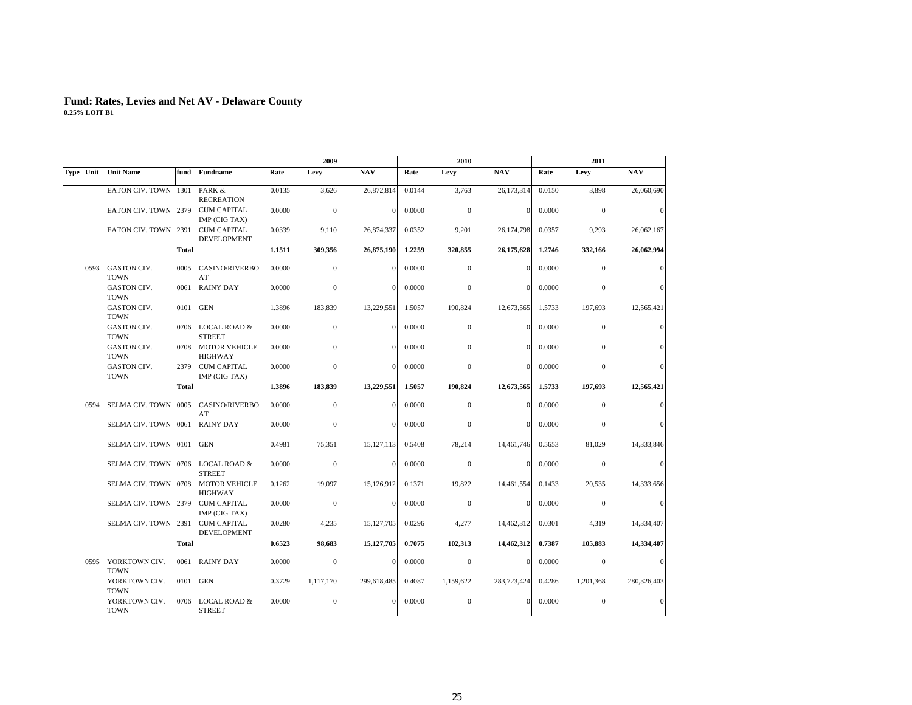|      |                                   |              |                                     |        | 2009             |              |        | 2010             |             |        | 2011             |             |
|------|-----------------------------------|--------------|-------------------------------------|--------|------------------|--------------|--------|------------------|-------------|--------|------------------|-------------|
|      | Type Unit Unit Name               |              | fund Fundname                       | Rate   | Levy             | <b>NAV</b>   | Rate   | Levy             | <b>NAV</b>  | Rate   | Levy             | <b>NAV</b>  |
|      | EATON CIV. TOWN 1301              |              | PARK &<br><b>RECREATION</b>         | 0.0135 | 3,626            | 26,872,814   | 0.0144 | 3,763            | 26,173,314  | 0.0150 | 3,898            | 26,060,690  |
|      | EATON CIV. TOWN 2379              |              | <b>CUM CAPITAL</b><br>IMP (CIG TAX) | 0.0000 | $\boldsymbol{0}$ | $\bf{0}$     | 0.0000 | $\mathbf{0}$     | $\Omega$    | 0.0000 | $\mathbf{0}$     | $\sqrt{ }$  |
|      | EATON CIV. TOWN 2391              |              | <b>CUM CAPITAL</b><br>DEVELOPMENT   | 0.0339 | 9,110            | 26,874,337   | 0.0352 | 9,201            | 26,174,798  | 0.0357 | 9,293            | 26,062,167  |
|      |                                   | <b>Total</b> |                                     | 1.1511 | 309,356          | 26,875,190   | 1.2259 | 320,855          | 26,175,628  | 1.2746 | 332,166          | 26,062,994  |
| 0593 | GASTON CIV.<br><b>TOWN</b>        | 0005         | <b>CASINO/RIVERBO</b><br>AT         | 0.0000 | $\mathbf{0}$     | $\Omega$     | 0.0000 | $\mathbf{0}$     | $\Omega$    | 0.0000 | $\mathbf{0}$     | $\sqrt{ }$  |
|      | GASTON CIV.<br><b>TOWN</b>        |              | 0061 RAINY DAY                      | 0.0000 | $\mathbf{0}$     | $\Omega$     | 0.0000 | $\boldsymbol{0}$ | $\Omega$    | 0.0000 | $\boldsymbol{0}$ |             |
|      | GASTON CIV.<br><b>TOWN</b>        |              | 0101 GEN                            | 1.3896 | 183,839          | 13,229,551   | 1.5057 | 190,824          | 12,673,565  | 1.5733 | 197,693          | 12,565,421  |
|      | GASTON CIV.<br><b>TOWN</b>        |              | 0706 LOCAL ROAD &<br><b>STREET</b>  | 0.0000 | $\mathbf{0}$     | $\Omega$     | 0.0000 | $\mathbf{0}$     | $\Omega$    | 0.0000 | $\mathbf{0}$     |             |
|      | GASTON CIV.<br><b>TOWN</b>        |              | 0708 MOTOR VEHICLE<br>HIGHWAY       | 0.0000 | $\mathbf{0}$     | $\Omega$     | 0.0000 | $\mathbf{0}$     | $\Omega$    | 0.0000 | $\mathbf{0}$     |             |
|      | GASTON CIV.<br><b>TOWN</b>        | 2379         | <b>CUM CAPITAL</b><br>IMP (CIG TAX) | 0.0000 | $\mathbf{0}$     | $\Omega$     | 0.0000 | $\mathbf{0}$     | $\Omega$    | 0.0000 | $\mathbf{0}$     |             |
|      |                                   | Total        |                                     | 1.3896 | 183,839          | 13,229,551   | 1.5057 | 190.824          | 12,673,565  | 1.5733 | 197,693          | 12,565,421  |
| 0594 | SELMA CIV. TOWN 0005              |              | <b>CASINO/RIVERBO</b><br>AT         | 0.0000 | $\mathbf{0}$     | $\Omega$     | 0.0000 | $\mathbf{0}$     | $\Omega$    | 0.0000 | $\overline{0}$   | $\sqrt{ }$  |
|      | SELMA CIV. TOWN 0061 RAINY DAY    |              |                                     | 0.0000 | $\mathbf 0$      | $\bf{0}$     | 0.0000 | $\boldsymbol{0}$ | $\Omega$    | 0.0000 | $\boldsymbol{0}$ |             |
|      | SELMA CIV. TOWN 0101 GEN          |              |                                     | 0.4981 | 75,351           | 15, 127, 113 | 0.5408 | 78,214           | 14,461,746  | 0.5653 | 81,029           | 14,333,846  |
|      | SELMA CIV. TOWN 0706 LOCAL ROAD & |              | <b>STREET</b>                       | 0.0000 | $\mathbf{0}$     | $\Omega$     | 0.0000 | $\mathbf{0}$     | $\Omega$    | 0.0000 | $\mathbf{0}$     | $\sqrt{ }$  |
|      | SELMA CIV. TOWN 0708              |              | <b>MOTOR VEHICLE</b><br>HIGHWAY     | 0.1262 | 19,097           | 15,126,912   | 0.1371 | 19,822           | 14,461,554  | 0.1433 | 20,535           | 14,333,656  |
|      | SELMA CIV. TOWN 2379              |              | <b>CUM CAPITAL</b><br>IMP (CIG TAX) | 0.0000 | $\boldsymbol{0}$ | $\mathbf{0}$ | 0.0000 | $\mathbf{0}$     | $\Omega$    | 0.0000 | $\mathbf{0}$     | $\sqrt{a}$  |
|      | SELMA CIV. TOWN 2391              |              | <b>CUM CAPITAL</b><br>DEVELOPMENT   | 0.0280 | 4,235            | 15, 127, 705 | 0.0296 | 4,277            | 14,462,312  | 0.0301 | 4,319            | 14,334,407  |
|      |                                   | <b>Total</b> |                                     | 0.6523 | 98,683           | 15, 127, 705 | 0.7075 | 102,313          | 14,462,312  | 0.7387 | 105,883          | 14,334,407  |
|      | 0595 YORKTOWN CIV.<br><b>TOWN</b> |              | 0061 RAINY DAY                      | 0.0000 | $\mathbf{0}$     | $\Omega$     | 0.0000 | $\mathbf{0}$     | $\Omega$    | 0.0000 | $\mathbf{0}$     | $\mathbf 0$ |
|      | YORKTOWN CIV.<br><b>TOWN</b>      |              | 0101 GEN                            | 0.3729 | 1,117,170        | 299,618,485  | 0.4087 | 1,159,622        | 283,723,424 | 0.4286 | 1,201,368        | 280,326,403 |
|      | YORKTOWN CIV.<br><b>TOWN</b>      |              | 0706 LOCAL ROAD &<br><b>STREET</b>  | 0.0000 | $\mathbf 0$      | $\Omega$     | 0.0000 | $\mathbf{0}$     | $\Omega$    | 0.0000 | $\mathbf{0}$     |             |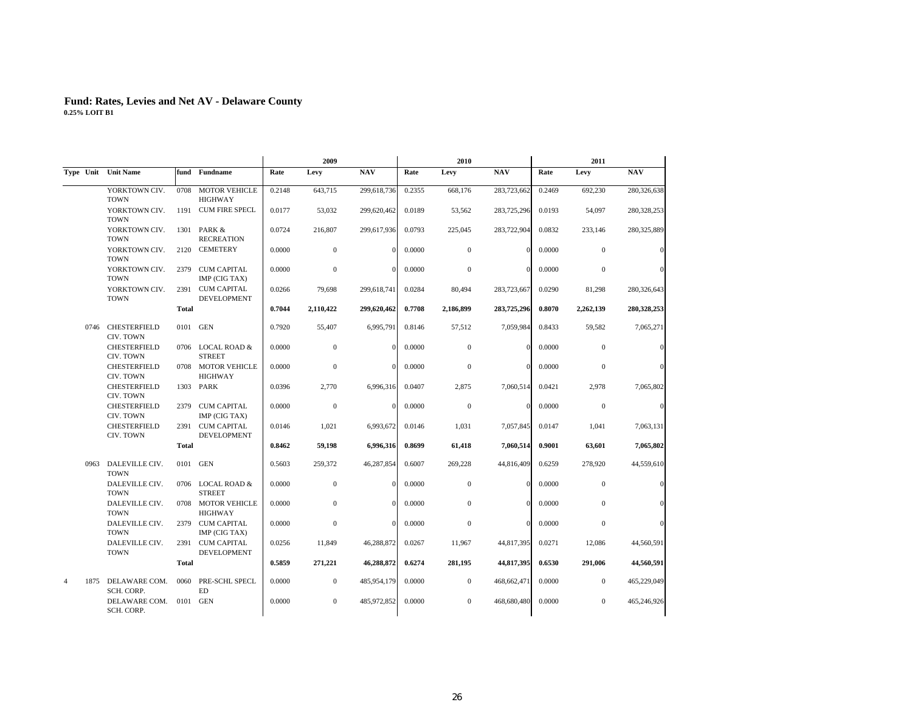|                        |                                  |              | 2009                                     |        |              |             | 2010   |                  | 2011         |        |                  |             |
|------------------------|----------------------------------|--------------|------------------------------------------|--------|--------------|-------------|--------|------------------|--------------|--------|------------------|-------------|
|                        | Type Unit Unit Name              | fund         | <b>Fundname</b>                          | Rate   | Levy         | <b>NAV</b>  | Rate   | Levy             | <b>NAV</b>   | Rate   | Levy             | <b>NAV</b>  |
|                        | YORKTOWN CIV.<br><b>TOWN</b>     | 0708         | <b>MOTOR VEHICLE</b><br><b>HIGHWAY</b>   | 0.2148 | 643,715      | 299,618,736 | 0.2355 | 668,176          | 283,723,662  | 0.2469 | 692,230          | 280,326,638 |
|                        | YORKTOWN CIV.<br><b>TOWN</b>     | 1191         | <b>CUM FIRE SPECL</b>                    | 0.0177 | 53,032       | 299,620,462 | 0.0189 | 53,562           | 283,725,296  | 0.0193 | 54,097           | 280,328,253 |
|                        | YORKTOWN CIV.<br><b>TOWN</b>     | 1301         | PARK &<br><b>RECREATION</b>              | 0.0724 | 216,807      | 299,617,936 | 0.0793 | 225,045          | 283,722,904  | 0.0832 | 233,146          | 280,325,889 |
|                        | YORKTOWN CIV.<br><b>TOWN</b>     | 2120         | <b>CEMETERY</b>                          | 0.0000 | $\mathbf{0}$ | $\Omega$    | 0.0000 | $\mathbf{0}$     | $\Omega$     | 0.0000 | $\mathbf{0}$     | $\sqrt{ }$  |
|                        | YORKTOWN CIV.<br><b>TOWN</b>     | 2379         | <b>CUM CAPITAL</b><br>IMP (CIG TAX)      | 0.0000 | $\mathbf{0}$ | $\theta$    | 0.0000 | $\mathbf{0}$     | $\mathbf{0}$ | 0.0000 | $\mathbf{0}$     |             |
|                        | YORKTOWN CIV.<br><b>TOWN</b>     | 2391         | <b>CUM CAPITAL</b><br><b>DEVELOPMENT</b> | 0.0266 | 79,698       | 299,618,741 | 0.0284 | 80,494           | 283,723,667  | 0.0290 | 81,298           | 280,326,643 |
|                        |                                  | <b>Total</b> |                                          | 0.7044 | 2,110,422    | 299,620,462 | 0.7708 | 2,186,899        | 283,725,296  | 0.8070 | 2,262,139        | 280,328,253 |
| 0746                   | CHESTERFIELD<br>CIV. TOWN        |              | 0101 GEN                                 | 0.7920 | 55,407       | 6,995,791   | 0.8146 | 57,512           | 7,059,984    | 0.8433 | 59,582           | 7,065,271   |
|                        | <b>CHESTERFIELD</b><br>CIV. TOWN |              | 0706 LOCAL ROAD &<br><b>STREET</b>       | 0.0000 | $\mathbf{0}$ | $\Omega$    | 0.0000 | $\mathbf{0}$     | $\Omega$     | 0.0000 | $\mathbf{0}$     |             |
|                        | <b>CHESTERFIELD</b><br>CIV. TOWN | 0708         | <b>MOTOR VEHICLE</b><br><b>HIGHWAY</b>   | 0.0000 | $\mathbf{0}$ | $\Omega$    | 0.0000 | $\mathbf{0}$     | $\Omega$     | 0.0000 | $\mathbf{0}$     |             |
|                        | <b>CHESTERFIELD</b><br>CIV. TOWN | 1303         | PARK                                     | 0.0396 | 2,770        | 6,996,316   | 0.0407 | 2,875            | 7,060,514    | 0.0421 | 2,978            | 7,065,802   |
|                        | <b>CHESTERFIELD</b><br>CIV. TOWN | 2379         | CUM CAPITAL<br>IMP (CIG TAX)             | 0.0000 | $\theta$     | $\Omega$    | 0.0000 | $\mathbf{0}$     | $\Omega$     | 0.0000 | $\mathbf{0}$     | $\sqrt{ }$  |
|                        | CHESTERFIELD<br>CIV. TOWN        | 2391         | <b>CUM CAPITAL</b><br>DEVELOPMENT        | 0.0146 | 1,021        | 6,993,672   | 0.0146 | 1,031            | 7,057,845    | 0.0147 | 1,041            | 7,063,131   |
|                        |                                  | <b>Total</b> |                                          | 0.8462 | 59,198       | 6,996,316   | 0.8699 | 61,418           | 7,060,514    | 0.9001 | 63,601           | 7,065,802   |
| 0963                   | DALEVILLE CIV.<br><b>TOWN</b>    | 0101         | GEN                                      | 0.5603 | 259,372      | 46,287,854  | 0.6007 | 269,228          | 44,816,409   | 0.6259 | 278,920          | 44,559,610  |
|                        | DALEVILLE CIV.<br><b>TOWN</b>    | 0706         | <b>LOCAL ROAD &amp;</b><br><b>STREET</b> | 0.0000 | $\mathbf{0}$ | $\Omega$    | 0.0000 | $\mathbf{0}$     | $\Omega$     | 0.0000 | $\boldsymbol{0}$ |             |
|                        | DALEVILLE CIV.<br><b>TOWN</b>    |              | 0708 MOTOR VEHICLE<br><b>HIGHWAY</b>     | 0.0000 | $\Omega$     | $\Omega$    | 0.0000 | $\mathbf{0}$     | $\Omega$     | 0.0000 | $\Omega$         |             |
|                        | DALEVILLE CIV.<br><b>TOWN</b>    | 2379         | CUM CAPITAL<br>IMP (CIG TAX)             | 0.0000 | $\bf{0}$     | $\Omega$    | 0.0000 | $\boldsymbol{0}$ | $\Omega$     | 0.0000 | $\boldsymbol{0}$ |             |
|                        | DALEVILLE CIV.<br><b>TOWN</b>    | 2391         | <b>CUM CAPITAL</b><br><b>DEVELOPMENT</b> | 0.0256 | 11,849       | 46,288,872  | 0.0267 | 11,967           | 44,817,395   | 0.0271 | 12,086           | 44,560,591  |
|                        |                                  | <b>Total</b> |                                          | 0.5859 | 271,221      | 46,288,872  | 0.6274 | 281,195          | 44,817,395   | 0.6530 | 291,006          | 44,560,591  |
| $\overline{4}$<br>1875 | DELAWARE COM.<br>SCH. CORP.      | 0060         | PRE-SCHL SPECL<br>ED                     | 0.0000 | $\mathbf{0}$ | 485,954,179 | 0.0000 | $\mathbf{0}$     | 468,662,471  | 0.0000 | $\mathbf{0}$     | 465,229,049 |
|                        | DELAWARE COM.<br>SCH. CORP.      | 0101         | GEN                                      | 0.0000 | $\mathbf{0}$ | 485,972,852 | 0.0000 | $\mathbf{0}$     | 468,680,480  | 0.0000 | $\mathbf{0}$     | 465,246,926 |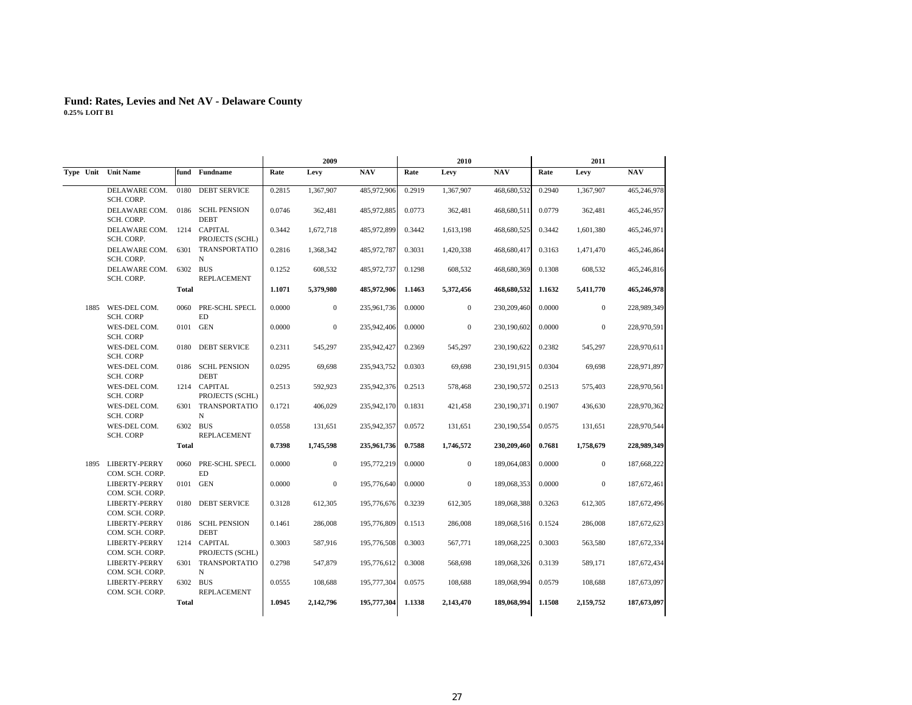|      |                                          |              |                                  |        | 2009         |             |        | 2010         |               |        | 2011         |             |
|------|------------------------------------------|--------------|----------------------------------|--------|--------------|-------------|--------|--------------|---------------|--------|--------------|-------------|
|      | Type Unit Unit Name                      |              | fund Fundname                    | Rate   | Levy         | <b>NAV</b>  | Rate   | Levy         | <b>NAV</b>    | Rate   | Levy         | <b>NAV</b>  |
|      | DELAWARE COM.<br>SCH. CORP.              | 0180         | <b>DEBT SERVICE</b>              | 0.2815 | 1,367,907    | 485,972,906 | 0.2919 | 1,367,907    | 468,680,532   | 0.2940 | 1,367,907    | 465,246,978 |
|      | DELAWARE COM.<br>SCH. CORP.              |              | 0186 SCHL PENSION<br><b>DEBT</b> | 0.0746 | 362,481      | 485,972,885 | 0.0773 | 362,481      | 468,680,511   | 0.0779 | 362,481      | 465,246,957 |
|      | DELAWARE COM. 1214 CAPITAL<br>SCH. CORP. |              | PROJECTS (SCHL)                  | 0.3442 | 1,672,718    | 485,972,899 | 0.3442 | 1,613,198    | 468,680,525   | 0.3442 | 1,601,380    | 465,246,971 |
|      | DELAWARE COM.<br>SCH. CORP.              |              | 6301 TRANSPORTATIO<br>N          | 0.2816 | 1,368,342    | 485,972,787 | 0.3031 | 1,420,338    | 468,680,417   | 0.3163 | 1,471,470    | 465,246,864 |
|      | DELAWARE COM.<br>SCH. CORP.              |              | 6302 BUS<br>REPLACEMENT          | 0.1252 | 608,532      | 485,972,737 | 0.1298 | 608,532      | 468,680,369   | 0.1308 | 608,532      | 465,246,816 |
|      |                                          | Total        |                                  | 1.1071 | 5,379,980    | 485,972,906 | 1.1463 | 5,372,456    | 468,680,532   | 1.1632 | 5,411,770    | 465,246,978 |
| 1885 | WES-DEL COM.<br><b>SCH. CORP</b>         | 0060         | PRE-SCHL SPECL<br><b>ED</b>      | 0.0000 | $\mathbf{0}$ | 235,961,736 | 0.0000 | $\mathbf{0}$ | 230,209,460   | 0.0000 | $\mathbf{0}$ | 228,989,349 |
|      | WES-DEL COM.<br><b>SCH. CORP</b>         |              | 0101 GEN                         | 0.0000 | $\mathbf{0}$ | 235,942,406 | 0.0000 | $\mathbf{0}$ | 230,190,602   | 0.0000 | $\mathbf{0}$ | 228,970,591 |
|      | WES-DEL COM.<br><b>SCH. CORP</b>         |              | 0180 DEBT SERVICE                | 0.2311 | 545,297      | 235,942,427 | 0.2369 | 545,297      | 230,190,622   | 0.2382 | 545,297      | 228,970,611 |
|      | WES-DEL COM.<br><b>SCH. CORP</b>         |              | 0186 SCHL PENSION<br><b>DEBT</b> | 0.0295 | 69,698       | 235,943,752 | 0.0303 | 69,698       | 230, 191, 915 | 0.0304 | 69,698       | 228,971,897 |
|      | WES-DEL COM.<br><b>SCH. CORP</b>         |              | 1214 CAPITAL<br>PROJECTS (SCHL)  | 0.2513 | 592.923      | 235,942,376 | 0.2513 | 578,468      | 230,190,572   | 0.2513 | 575.403      | 228,970,561 |
|      | WES-DEL COM.<br><b>SCH. CORP</b>         |              | 6301 TRANSPORTATIO<br>$_{\rm N}$ | 0.1721 | 406,029      | 235,942,170 | 0.1831 | 421,458      | 230,190,371   | 0.1907 | 436,630      | 228,970,362 |
|      | WES-DEL COM.<br><b>SCH. CORP</b>         |              | 6302 BUS<br>REPLACEMENT          | 0.0558 | 131,651      | 235,942,357 | 0.0572 | 131,651      | 230,190,554   | 0.0575 | 131,651      | 228,970,544 |
|      |                                          | <b>Total</b> |                                  | 0.7398 | 1,745,598    | 235,961,736 | 0.7588 | 1,746,572    | 230,209,460   | 0.7681 | 1,758,679    | 228,989,349 |
|      | 1895 LIBERTY-PERRY<br>COM. SCH. CORP.    | 0060         | PRE-SCHL SPECL<br>ED             | 0.0000 | $\mathbf{0}$ | 195,772,219 | 0.0000 | $\mathbf{0}$ | 189,064,083   | 0.0000 | $\bf{0}$     | 187,668,222 |
|      | LIBERTY-PERRY<br>COM. SCH. CORP.         |              | 0101 GEN                         | 0.0000 | $\mathbf{0}$ | 195,776,640 | 0.0000 | $\mathbf{0}$ | 189,068,353   | 0.0000 | $\mathbf{0}$ | 187,672,461 |
|      | LIBERTY-PERRY<br>COM. SCH. CORP.         |              | 0180 DEBT SERVICE                | 0.3128 | 612,305      | 195,776,676 | 0.3239 | 612,305      | 189,068,388   | 0.3263 | 612,305      | 187,672,496 |
|      | <b>LIBERTY-PERRY</b><br>COM. SCH. CORP.  |              | 0186 SCHL PENSION<br><b>DEBT</b> | 0.1461 | 286,008      | 195,776,809 | 0.1513 | 286,008      | 189,068,516   | 0.1524 | 286,008      | 187,672,623 |
|      | <b>LIBERTY-PERRY</b><br>COM. SCH. CORP.  |              | 1214 CAPITAL<br>PROJECTS (SCHL)  | 0.3003 | 587,916      | 195,776,508 | 0.3003 | 567,771      | 189,068,225   | 0.3003 | 563,580      | 187,672,334 |
|      | LIBERTY-PERRY<br>COM. SCH. CORP.         |              | 6301 TRANSPORTATIO<br>$_{\rm N}$ | 0.2798 | 547,879      | 195,776,612 | 0.3008 | 568,698      | 189,068,326   | 0.3139 | 589,171      | 187,672,434 |
|      | LIBERTY-PERRY<br>COM. SCH. CORP.         |              | 6302 BUS<br>REPLACEMENT          | 0.0555 | 108,688      | 195,777,304 | 0.0575 | 108,688      | 189,068,994   | 0.0579 | 108,688      | 187,673,097 |
|      |                                          | <b>Total</b> |                                  | 1.0945 | 2,142,796    | 195,777,304 | 1.1338 | 2,143,470    | 189,068,994   | 1.1508 | 2,159,752    | 187,673,097 |
|      |                                          |              |                                  |        |              |             |        |              |               |        |              |             |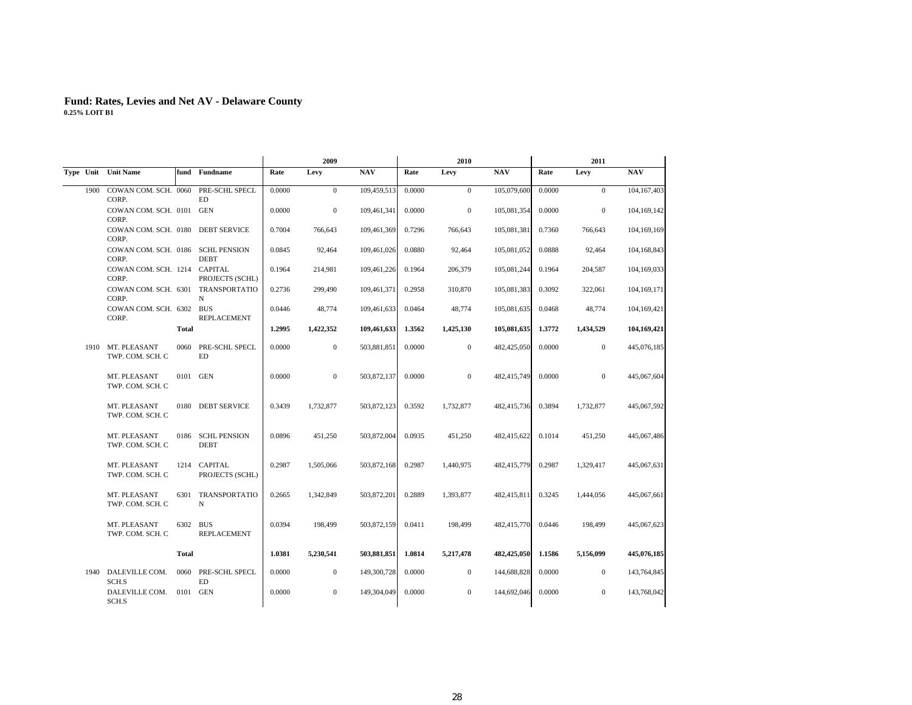|      |                                             |              |                                  |        | 2009         |             |        | 2010         |             |        | 2011             |             |
|------|---------------------------------------------|--------------|----------------------------------|--------|--------------|-------------|--------|--------------|-------------|--------|------------------|-------------|
|      | Type Unit Unit Name                         |              | fund Fundname                    | Rate   | Levy         | <b>NAV</b>  | Rate   | Levy         | <b>NAV</b>  | Rate   | Levy             | <b>NAV</b>  |
| 1900 | COWAN COM. SCH. 0060<br>CORP.               |              | PRE-SCHL SPECL<br>ED             | 0.0000 | $\mathbf{0}$ | 109,459,513 | 0.0000 | $\mathbf{0}$ | 105,079,600 | 0.0000 | $\overline{0}$   | 104,167,403 |
|      | COWAN COM. SCH. 0101 GEN<br>CORP.           |              |                                  | 0.0000 | $\mathbf{0}$ | 109,461,341 | 0.0000 | $\mathbf{0}$ | 105,081,354 | 0.0000 | $\overline{0}$   | 104,169,142 |
|      | COWAN COM. SCH. 0180 DEBT SERVICE<br>CORP.  |              |                                  | 0.7004 | 766,643      | 109,461,369 | 0.7296 | 766,643      | 105,081,381 | 0.7360 | 766,643          | 104,169,169 |
|      | COWAN COM. SCH. 0186 SCHL PENSION<br>CORP.  |              | <b>DEBT</b>                      | 0.0845 | 92,464       | 109,461,026 | 0.0880 | 92,464       | 105,081,052 | 0.0888 | 92,464           | 104,168,843 |
|      | COWAN COM. SCH. 1214 CAPITAL<br>CORP.       |              | PROJECTS (SCHL)                  | 0.1964 | 214,981      | 109,461,226 | 0.1964 | 206,379      | 105,081,244 | 0.1964 | 204,587          | 104,169,033 |
|      | COWAN COM. SCH. 6301 TRANSPORTATIO<br>CORP. |              | N                                | 0.2736 | 299,490      | 109,461,371 | 0.2958 | 310,870      | 105,081,383 | 0.3092 | 322,061          | 104,169,171 |
|      | COWAN COM. SCH. 6302 BUS<br>CORP.           |              | REPLACEMENT                      | 0.0446 | 48,774       | 109,461,633 | 0.0464 | 48,774       | 105,081,635 | 0.0468 | 48,774           | 104,169,421 |
|      |                                             | <b>Total</b> |                                  | 1.2995 | 1,422,352    | 109,461,633 | 1.3562 | 1,425,130    | 105,081,635 | 1.3772 | 1,434,529        | 104,169,421 |
| 1910 | MT. PLEASANT<br>TWP. COM. SCH. C            | 0060         | PRE-SCHL SPECL<br>ED             | 0.0000 | $\mathbf{0}$ | 503,881,851 | 0.0000 | $\mathbf{0}$ | 482,425,050 | 0.0000 | $\mathbf{0}$     | 445,076,185 |
|      | MT. PLEASANT<br>TWP. COM. SCH. C            |              | 0101 GEN                         | 0.0000 | $\mathbf{0}$ | 503,872,137 | 0.0000 | $\mathbf{0}$ | 482,415,749 | 0.0000 | $\overline{0}$   | 445,067,604 |
|      | MT. PLEASANT<br>TWP. COM. SCH. C            |              | 0180 DEBT SERVICE                | 0.3439 | 1,732,877    | 503,872,123 | 0.3592 | 1,732,877    | 482,415,736 | 0.3894 | 1,732,877        | 445,067,592 |
|      | MT. PLEASANT<br>TWP. COM. SCH. C            |              | 0186 SCHL PENSION<br><b>DEBT</b> | 0.0896 | 451,250      | 503,872,004 | 0.0935 | 451,250      | 482,415,622 | 0.1014 | 451,250          | 445,067,486 |
|      | MT. PLEASANT<br>TWP. COM. SCH. C            |              | 1214 CAPITAL<br>PROJECTS (SCHL)  | 0.2987 | 1,505,066    | 503,872,168 | 0.2987 | 1,440,975    | 482,415,779 | 0.2987 | 1,329,417        | 445,067,631 |
|      | MT. PLEASANT<br>TWP. COM. SCH. C            |              | 6301 TRANSPORTATIO<br>N          | 0.2665 | 1,342,849    | 503,872,201 | 0.2889 | 1,393,877    | 482,415,811 | 0.3245 | 1,444,056        | 445,067,661 |
|      | MT. PLEASANT<br>TWP. COM. SCH. C            |              | 6302 BUS<br>REPLACEMENT          | 0.0394 | 198,499      | 503,872,159 | 0.0411 | 198,499      | 482,415,770 | 0.0446 | 198,499          | 445,067,623 |
|      |                                             | <b>Total</b> |                                  | 1.0381 | 5,230,541    | 503,881,851 | 1.0814 | 5,217,478    | 482,425,050 | 1.1586 | 5,156,099        | 445,076,185 |
| 1940 | DALEVILLE COM.<br>SCH.S                     | 0060         | PRE-SCHL SPECL<br><b>ED</b>      | 0.0000 | $\mathbf{0}$ | 149,300,728 | 0.0000 | $\mathbf{0}$ | 144,688,828 | 0.0000 | $\boldsymbol{0}$ | 143,764,845 |
|      | DALEVILLE COM.<br>SCH.S                     | 0101         | <b>GEN</b>                       | 0.0000 | $\mathbf{0}$ | 149,304,049 | 0.0000 | $\mathbf{0}$ | 144,692,046 | 0.0000 | $\mathbf{0}$     | 143,768,042 |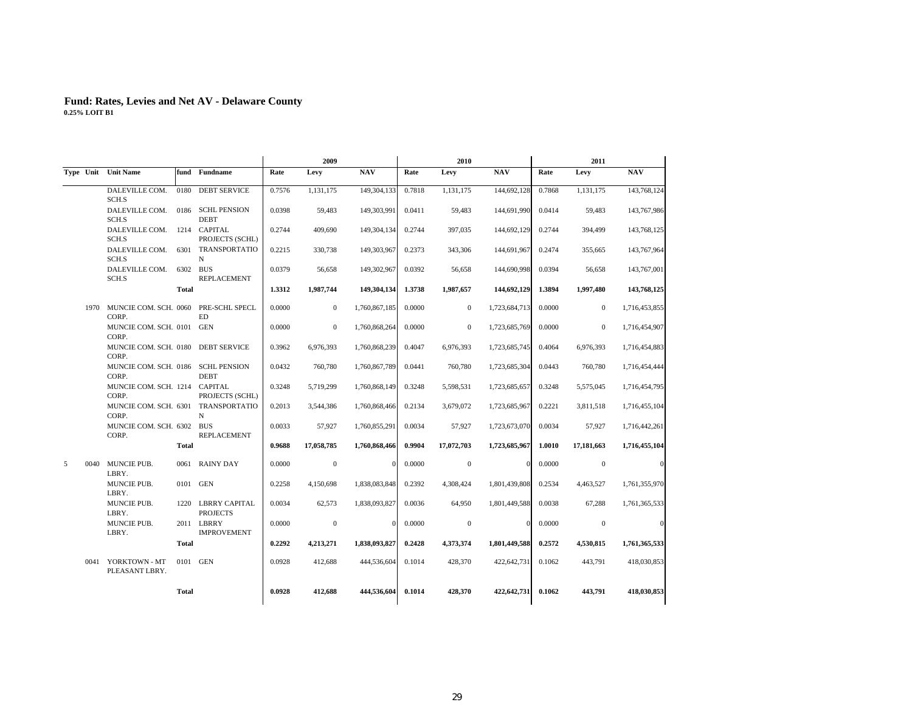|   |                                        |                           |                                                   |        | 2009         |               |        | 2010         |               |        | 2011         |               |
|---|----------------------------------------|---------------------------|---------------------------------------------------|--------|--------------|---------------|--------|--------------|---------------|--------|--------------|---------------|
|   | Type Unit Unit Name                    |                           | fund Fundname                                     | Rate   | Levy         | <b>NAV</b>    | Rate   | Levy         | <b>NAV</b>    | Rate   | Levy         | <b>NAV</b>    |
|   | DALEVILLE COM.<br>SCH.S                | 0180                      | <b>DEBT SERVICE</b>                               | 0.7576 | 1,131,175    | 149,304,133   | 0.7818 | 1,131,175    | 144,692,128   | 0.7868 | 1,131,175    | 143,768,124   |
|   | DALEVILLE COM.<br>SCH.S                |                           | 0186 SCHL PENSION<br><b>DEBT</b>                  | 0.0398 | 59,483       | 149,303,991   | 0.0411 | 59,483       | 144,691,990   | 0.0414 | 59,483       | 143,767,986   |
|   | DALEVILLE COM.<br>SCH.S                |                           | 1214 CAPITAL<br>PROJECTS (SCHL)                   | 0.2744 | 409,690      | 149,304,134   | 0.2744 | 397,035      | 144,692,129   | 0.2744 | 394,499      | 143,768,125   |
|   | DALEVILLE COM.<br>SCH.S                |                           | 6301 TRANSPORTATIO<br>N                           | 0.2215 | 330,738      | 149,303,967   | 0.2373 | 343,306      | 144,691,967   | 0.2474 | 355,665      | 143,767,964   |
|   | DALEVILLE COM.<br>SCH.S                |                           | 6302 BUS<br>REPLACEMENT                           | 0.0379 | 56,658       | 149,302,967   | 0.0392 | 56,658       | 144,690,998   | 0.0394 | 56,658       | 143,767,001   |
|   |                                        | <b>Total</b>              |                                                   | 1.3312 | 1,987,744    | 149,304,134   | 1.3738 | 1,987,657    | 144,692,129   | 1.3894 | 1,997,480    | 143,768,125   |
|   | CORP.                                  |                           | 1970 MUNCIE COM. SCH. 0060 PRE-SCHL SPECL<br>ED   | 0.0000 | $\mathbf{0}$ | 1,760,867,185 | 0.0000 | $\mathbf{0}$ | 1,723,684,713 | 0.0000 | $\mathbf{0}$ | 1,716,453,855 |
|   | MUNCIE COM. SCH. 0101 GEN<br>CORP.     |                           |                                                   | 0.0000 | $\mathbf{0}$ | 1,760,868,264 | 0.0000 | $\mathbf{0}$ | 1,723,685,769 | 0.0000 | $\mathbf{0}$ | 1,716,454,907 |
|   | MUNCIE COM. SCH. 0180<br>CORP.         |                           | <b>DEBT SERVICE</b>                               | 0.3962 | 6,976,393    | 1,760,868,239 | 0.4047 | 6,976,393    | 1,723,685,745 | 0.4064 | 6,976,393    | 1,716,454,883 |
|   | CORP.                                  |                           | MUNCIE COM. SCH. 0186 SCHL PENSION<br><b>DEBT</b> | 0.0432 | 760,780      | 1,760,867,789 | 0.0441 | 760,780      | 1,723,685,304 | 0.0443 | 760,780      | 1,716,454,444 |
|   | MUNCIE COM. SCH. 1214 CAPITAL<br>CORP. |                           | PROJECTS (SCHL)                                   | 0.3248 | 5,719,299    | 1,760,868,149 | 0.3248 | 5,598,531    | 1,723,685,657 | 0.3248 | 5,575,045    | 1,716,454,795 |
|   | CORP.                                  |                           | MUNCIE COM. SCH. 6301 TRANSPORTATIO<br>N          | 0.2013 | 3,544,386    | 1,760,868,466 | 0.2134 | 3,679,072    | 1,723,685,967 | 0.2221 | 3,811,518    | 1,716,455,104 |
|   | CORP.                                  | MUNCIE COM. SCH. 6302 BUS |                                                   | 0.0033 | 57,927       | 1,760,855,291 | 0.0034 | 57,927       | 1,723,673,070 | 0.0034 | 57,927       | 1,716,442,261 |
|   |                                        | <b>Total</b>              |                                                   | 0.9688 | 17,058,785   | 1,760,868,466 | 0.9904 | 17,072,703   | 1,723,685,967 | 1.0010 | 17,181,663   | 1,716,455,104 |
| 5 | 0040 MUNCIE PUB.<br>LBRY.              |                           | 0061 RAINY DAY                                    | 0.0000 | $\mathbf{0}$ | $\Omega$      | 0.0000 | $\mathbf{0}$ | $\Omega$      | 0.0000 | $\mathbf{0}$ | $\sqrt{ }$    |
|   | MUNCIE PUB.<br>LBRY.                   |                           | 0101 GEN                                          | 0.2258 | 4.150.698    | 1,838,083,848 | 0.2392 | 4,308,424    | 1,801,439,808 | 0.2534 | 4,463,527    | 1,761,355,970 |
|   | MUNCIE PUB.<br>LBRY.                   |                           | 1220 LBRRY CAPITAL<br><b>PROJECTS</b>             | 0.0034 | 62,573       | 1,838,093,827 | 0.0036 | 64,950       | 1,801,449,588 | 0.0038 | 67,288       | 1,761,365,533 |
|   | MUNCIE PUB.<br>LBRY.                   |                           | 2011 LBRRY<br><b>IMPROVEMENT</b>                  | 0.0000 | $\mathbf{0}$ | $\mathbf{0}$  | 0.0000 | $\mathbf{0}$ | $\Omega$      | 0.0000 | $\mathbf{0}$ | $\sqrt{ }$    |
|   |                                        | <b>Total</b>              |                                                   | 0.2292 | 4,213,271    | 1,838,093,827 | 0.2428 | 4,373,374    | 1,801,449,588 | 0.2572 | 4,530,815    | 1,761,365,533 |
|   | 0041 YORKTOWN - MT<br>PLEASANT LBRY.   |                           | 0101 GEN                                          | 0.0928 | 412,688      | 444,536,604   | 0.1014 | 428,370      | 422,642,731   | 0.1062 | 443,791      | 418,030,853   |
|   |                                        | <b>Total</b>              |                                                   | 0.0928 | 412,688      | 444,536,604   | 0.1014 | 428,370      | 422,642,731   | 0.1062 | 443,791      | 418,030,853   |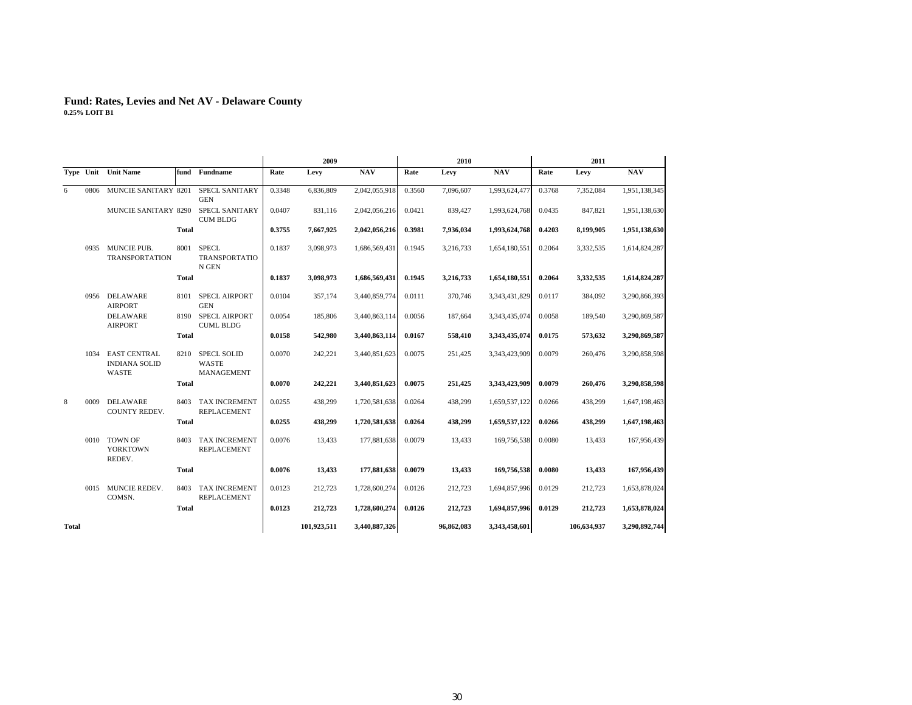|       |      |                                                             |              |                                            |        | 2009        |               |        | 2010       |               |        | 2011        |               |
|-------|------|-------------------------------------------------------------|--------------|--------------------------------------------|--------|-------------|---------------|--------|------------|---------------|--------|-------------|---------------|
|       |      | Type Unit Unit Name                                         |              | fund Fundname                              | Rate   | Levy        | <b>NAV</b>    | Rate   | Levy       | <b>NAV</b>    | Rate   | Levy        | <b>NAV</b>    |
| 6     | 0806 | MUNCIE SANITARY 8201                                        |              | SPECL SANITARY<br><b>GEN</b>               | 0.3348 | 6,836,809   | 2,042,055,918 | 0.3560 | 7,096,607  | 1,993,624,477 | 0.3768 | 7,352,084   | 1,951,138,345 |
|       |      | <b>MUNCIE SANITARY 8290</b>                                 |              | <b>SPECL SANITARY</b><br><b>CUM BLDG</b>   | 0.0407 | 831,116     | 2,042,056,216 | 0.0421 | 839,427    | 1,993,624,768 | 0.0435 | 847,821     | 1,951,138,630 |
|       |      |                                                             | <b>Total</b> |                                            | 0.3755 | 7,667,925   | 2,042,056,216 | 0.3981 | 7,936,034  | 1,993,624,768 | 0.4203 | 8,199,905   | 1,951,138,630 |
|       |      | 0935 MUNCIE PUB.<br><b>TRANSPORTATION</b>                   |              | 8001 SPECL<br>TRANSPORTATIO<br>N GEN       | 0.1837 | 3,098,973   | 1,686,569,431 | 0.1945 | 3,216,733  | 1,654,180,551 | 0.2064 | 3,332,535   | 1,614,824,287 |
|       |      |                                                             | <b>Total</b> |                                            | 0.1837 | 3,098,973   | 1,686,569,431 | 0.1945 | 3,216,733  | 1,654,180,551 | 0.2064 | 3,332,535   | 1,614,824,287 |
|       | 0956 | DELAWARE<br><b>AIRPORT</b>                                  | 8101         | <b>SPECL AIRPORT</b><br><b>GEN</b>         | 0.0104 | 357,174     | 3,440,859,774 | 0.0111 | 370,746    | 3,343,431,829 | 0.0117 | 384,092     | 3,290,866,393 |
|       |      | <b>DELAWARE</b><br><b>AIRPORT</b>                           | 8190         | <b>SPECL AIRPORT</b><br><b>CUML BLDG</b>   | 0.0054 | 185,806     | 3,440,863,114 | 0.0056 | 187,664    | 3,343,435,074 | 0.0058 | 189,540     | 3,290,869,587 |
|       |      |                                                             | <b>Total</b> |                                            | 0.0158 | 542,980     | 3,440,863,114 | 0.0167 | 558,410    | 3,343,435,074 | 0.0175 | 573,632     | 3,290,869,587 |
|       | 1034 | <b>EAST CENTRAL</b><br><b>INDIANA SOLID</b><br><b>WASTE</b> | 8210         | <b>SPECL SOLID</b><br>WASTE<br>MANAGEMENT  | 0.0070 | 242,221     | 3,440,851,623 | 0.0075 | 251,425    | 3,343,423,909 | 0.0079 | 260,476     | 3,290,858,598 |
|       |      |                                                             | <b>Total</b> |                                            | 0.0070 | 242,221     | 3,440,851,623 | 0.0075 | 251.425    | 3,343,423,909 | 0.0079 | 260,476     | 3,290,858,598 |
| 8     | 0009 | <b>DELAWARE</b><br>COUNTY REDEV.                            | 8403         | <b>TAX INCREMENT</b><br><b>REPLACEMENT</b> | 0.0255 | 438,299     | 1,720,581,638 | 0.0264 | 438,299    | 1,659,537,122 | 0.0266 | 438,299     | 1,647,198,463 |
|       |      |                                                             | <b>Total</b> |                                            | 0.0255 | 438,299     | 1,720,581,638 | 0.0264 | 438,299    | 1,659,537,122 | 0.0266 | 438,299     | 1,647,198,463 |
|       |      | 0010 TOWN OF<br><b>YORKTOWN</b><br>REDEV.                   | 8403         | <b>TAX INCREMENT</b><br><b>REPLACEMENT</b> | 0.0076 | 13,433      | 177,881,638   | 0.0079 | 13,433     | 169,756,538   | 0.0080 | 13,433      | 167,956,439   |
|       |      |                                                             | <b>Total</b> |                                            | 0.0076 | 13,433      | 177,881,638   | 0.0079 | 13,433     | 169,756,538   | 0.0080 | 13,433      | 167,956,439   |
|       |      | 0015 MUNCIE REDEV.<br>COMSN.                                | 8403         | <b>TAX INCREMENT</b><br><b>REPLACEMENT</b> | 0.0123 | 212,723     | 1,728,600,274 | 0.0126 | 212,723    | 1,694,857,996 | 0.0129 | 212,723     | 1,653,878,024 |
|       |      |                                                             | <b>Total</b> |                                            | 0.0123 | 212,723     | 1,728,600,274 | 0.0126 | 212,723    | 1,694,857,996 | 0.0129 | 212,723     | 1,653,878,024 |
| Total |      |                                                             |              |                                            |        | 101,923,511 | 3,440,887,326 |        | 96,862,083 | 3,343,458,601 |        | 106,634,937 | 3,290,892,744 |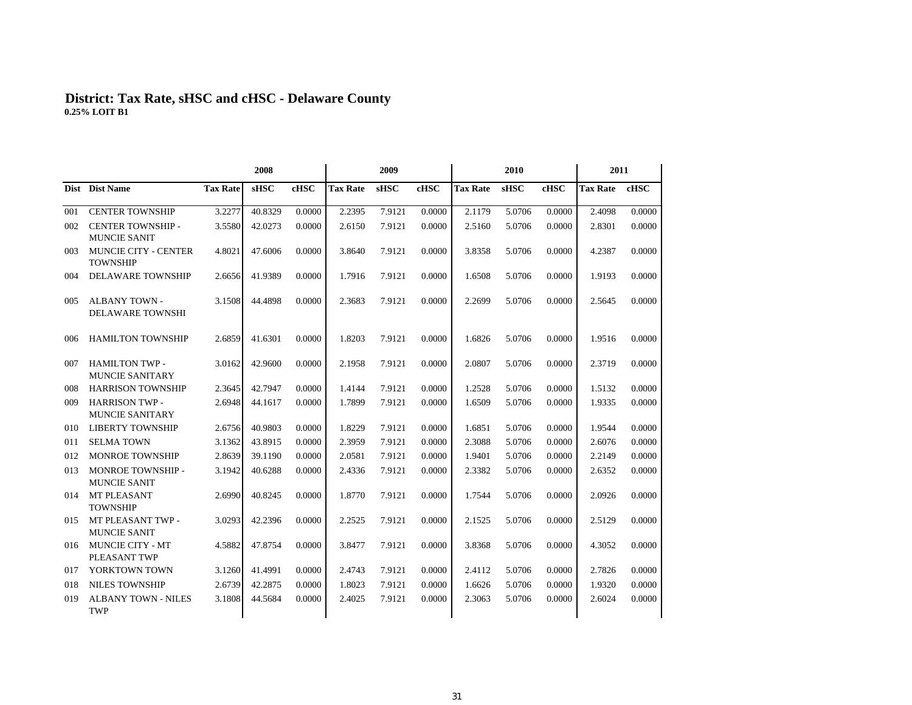#### **District: Tax Rate, sHSC and cHSC - Delaware Count y 0.25% LOIT B1**

|     |                                                 |                 | 2008        |        |                 | 2009        |        |                 | 2010        |        | 2011            |        |  |
|-----|-------------------------------------------------|-----------------|-------------|--------|-----------------|-------------|--------|-----------------|-------------|--------|-----------------|--------|--|
|     | Dist Dist Name                                  | <b>Tax Rate</b> | <b>sHSC</b> | cHSC   | <b>Tax Rate</b> | <b>sHSC</b> | cHSC   | <b>Tax Rate</b> | <b>sHSC</b> | cHSC   | <b>Tax Rate</b> | cHSC   |  |
| 001 | <b>CENTER TOWNSHIP</b>                          | 3.2277          | 40.8329     | 0.0000 | 2.2395          | 7.9121      | 0.0000 | 2.1179          | 5.0706      | 0.0000 | 2.4098          | 0.0000 |  |
| 002 | <b>CENTER TOWNSHIP -</b><br><b>MUNCIE SANIT</b> | 3.5580          | 42.0273     | 0.0000 | 2.6150          | 7.9121      | 0.0000 | 2.5160          | 5.0706      | 0.0000 | 2.8301          | 0.0000 |  |
| 003 | <b>MUNCIE CITY - CENTER</b><br><b>TOWNSHIP</b>  | 4.8021          | 47.6006     | 0.0000 | 3.8640          | 7.9121      | 0.0000 | 3.8358          | 5.0706      | 0.0000 | 4.2387          | 0.0000 |  |
| 004 | <b>DELAWARE TOWNSHIP</b>                        | 2.6656          | 41.9389     | 0.0000 | 1.7916          | 7.9121      | 0.0000 | 1.6508          | 5.0706      | 0.0000 | 1.9193          | 0.0000 |  |
| 005 | <b>ALBANY TOWN -</b><br><b>DELAWARE TOWNSHI</b> | 3.1508          | 44.4898     | 0.0000 | 2.3683          | 7.9121      | 0.0000 | 2.2699          | 5.0706      | 0.0000 | 2.5645          | 0.0000 |  |
| 006 | <b>HAMILTON TOWNSHIP</b>                        | 2.6859          | 41.6301     | 0.0000 | 1.8203          | 7.9121      | 0.0000 | 1.6826          | 5.0706      | 0.0000 | 1.9516          | 0.0000 |  |
| 007 | <b>HAMILTON TWP -</b><br><b>MUNCIE SANITARY</b> | 3.0162          | 42.9600     | 0.0000 | 2.1958          | 7.9121      | 0.0000 | 2.0807          | 5.0706      | 0.0000 | 2.3719          | 0.0000 |  |
| 008 | <b>HARRISON TOWNSHIP</b>                        | 2.3645          | 42.7947     | 0.0000 | 1.4144          | 7.9121      | 0.0000 | 1.2528          | 5.0706      | 0.0000 | 1.5132          | 0.0000 |  |
| 009 | <b>HARRISON TWP -</b><br><b>MUNCIE SANITARY</b> | 2.6948          | 44.1617     | 0.0000 | 1.7899          | 7.9121      | 0.0000 | 1.6509          | 5.0706      | 0.0000 | 1.9335          | 0.0000 |  |
| 010 | <b>LIBERTY TOWNSHIP</b>                         | 2.6756          | 40.9803     | 0.0000 | 1.8229          | 7.9121      | 0.0000 | 1.6851          | 5.0706      | 0.0000 | 1.9544          | 0.0000 |  |
| 011 | <b>SELMA TOWN</b>                               | 3.1362          | 43.8915     | 0.0000 | 2.3959          | 7.9121      | 0.0000 | 2.3088          | 5.0706      | 0.0000 | 2.6076          | 0.0000 |  |
| 012 | <b>MONROE TOWNSHIP</b>                          | 2.8639          | 39.1190     | 0.0000 | 2.0581          | 7.9121      | 0.0000 | 1.9401          | 5.0706      | 0.0000 | 2.2149          | 0.0000 |  |
| 013 | MONROE TOWNSHIP -<br><b>MUNCIE SANIT</b>        | 3.1942          | 40.6288     | 0.0000 | 2.4336          | 7.9121      | 0.0000 | 2.3382          | 5.0706      | 0.0000 | 2.6352          | 0.0000 |  |
| 014 | <b>MT PLEASANT</b><br><b>TOWNSHIP</b>           | 2.6990          | 40.8245     | 0.0000 | 1.8770          | 7.9121      | 0.0000 | 1.7544          | 5.0706      | 0.0000 | 2.0926          | 0.0000 |  |
| 015 | MT PLEASANT TWP -<br><b>MUNCIE SANIT</b>        | 3.0293          | 42.2396     | 0.0000 | 2.2525          | 7.9121      | 0.0000 | 2.1525          | 5.0706      | 0.0000 | 2.5129          | 0.0000 |  |
| 016 | MUNCIE CITY - MT<br>PLEASANT TWP                | 4.5882          | 47.8754     | 0.0000 | 3.8477          | 7.9121      | 0.0000 | 3.8368          | 5.0706      | 0.0000 | 4.3052          | 0.0000 |  |
| 017 | YORKTOWN TOWN                                   | 3.1260          | 41.4991     | 0.0000 | 2.4743          | 7.9121      | 0.0000 | 2.4112          | 5.0706      | 0.0000 | 2.7826          | 0.0000 |  |
| 018 | <b>NILES TOWNSHIP</b>                           | 2.6739          | 42.2875     | 0.0000 | 1.8023          | 7.9121      | 0.0000 | 1.6626          | 5.0706      | 0.0000 | 1.9320          | 0.0000 |  |
| 019 | <b>ALBANY TOWN - NILES</b><br><b>TWP</b>        | 3.1808          | 44.5684     | 0.0000 | 2.4025          | 7.9121      | 0.0000 | 2.3063          | 5.0706      | 0.0000 | 2.6024          | 0.0000 |  |